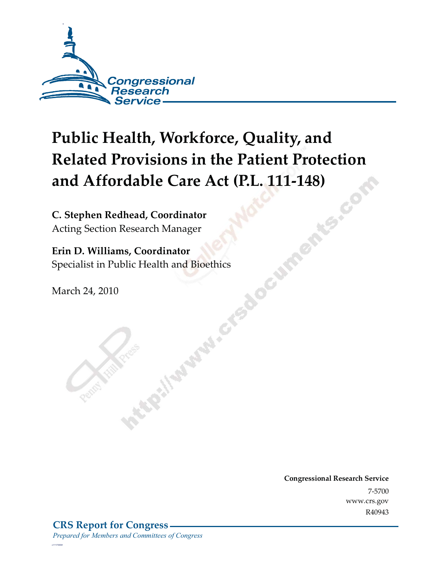

# **Public Health, Workforce, Quality, and Related Provisions in the Patient Protection and Affordable Care Act (P.L. 111-148)**<br> **C. Stephen Redhead, Coordinator**<br>
Acting Section Research Manager

**C. Stephen Redhead, Coordinator**  Acting Section Research Manager

**Erin D. Williams, Coordinator**<br>Specialist in Public Health and Bioethics<br>March 24, 2010 Specialist in Public Health and Bioethics

March 24, 2010

**Congressional Research Service** 7-5700 www.crs.gov R40943

*c11173008*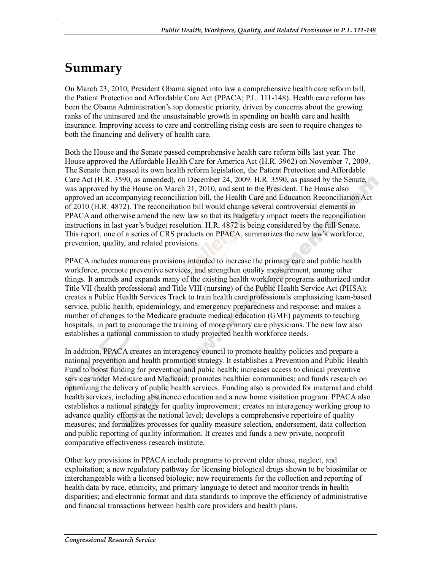# **Summary**

.

On March 23, 2010, President Obama signed into law a comprehensive health care reform bill, the Patient Protection and Affordable Care Act (PPACA; P.L. 111-148). Health care reform has been the Obama Administration's top domestic priority, driven by concerns about the growing ranks of the uninsured and the unsustainable growth in spending on health care and health insurance. Improving access to care and controlling rising costs are seen to require changes to both the financing and delivery of health care.

Both the House and the Senate passed comprehensive health care reform bills last year. The House approved the Affordable Health Care for America Act (H.R. 3962) on November 7, 2009. The Senate then passed its own health reform legislation, the Patient Protection and Affordable Care Act (H.R. 3590, as amended), on December 24, 2009. H.R. 3590, as passed by the Senate, was approved by the House on March 21, 2010, and sent to the President. The House also approved an accompanying reconciliation bill, the Health Care and Education Reconciliation Act of 2010 (H.R. 4872). The reconciliation bill would change several controversial elements in PPACA and otherwise amend the new law so that its budgetary impact meets the reconciliation instructions in last year's budget resolution. H.R. 4872 is being considered by the full Senate. This report, one of a series of CRS products on PPACA, summarizes the new law's workforce, prevention, quality, and related provisions.

PPACA includes numerous provisions intended to increase the primary care and public health workforce, promote preventive services, and strengthen quality measurement, among other things. It amends and expands many of the existing health workforce programs authorized under Title VII (health professions) and Title VIII (nursing) of the Public Health Service Act (PHSA); creates a Public Health Services Track to train health care professionals emphasizing team-based service, public health, epidemiology, and emergency preparedness and response; and makes a number of changes to the Medicare graduate medical education (GME) payments to teaching hospitals, in part to encourage the training of more primary care physicians. The new law also establishes a national commission to study projected health workforce needs.

In addition, PPACA creates an interagency council to promote healthy policies and prepare a national prevention and health promotion strategy. It establishes a Prevention and Public Health Fund to boost funding for prevention and pubic health; increases access to clinical preventive services under Medicare and Medicaid; promotes healthier communities; and funds research on optimizing the delivery of public health services. Funding also is provided for maternal and child health services, including abstinence education and a new home visitation program. PPACA also establishes a national strategy for quality improvement; creates an interagency working group to advance quality efforts at the national level; develops a comprehensive repertoire of quality measures; and formalizes processes for quality measure selection, endorsement, data collection and public reporting of quality information. It creates and funds a new private, nonprofit comparative effectiveness research institute.

Other key provisions in PPACA include programs to prevent elder abuse, neglect, and exploitation; a new regulatory pathway for licensing biological drugs shown to be biosimilar or interchangeable with a licensed biologic; new requirements for the collection and reporting of health data by race, ethnicity, and primary language to detect and monitor trends in health disparities; and electronic format and data standards to improve the efficiency of administrative and financial transactions between health care providers and health plans.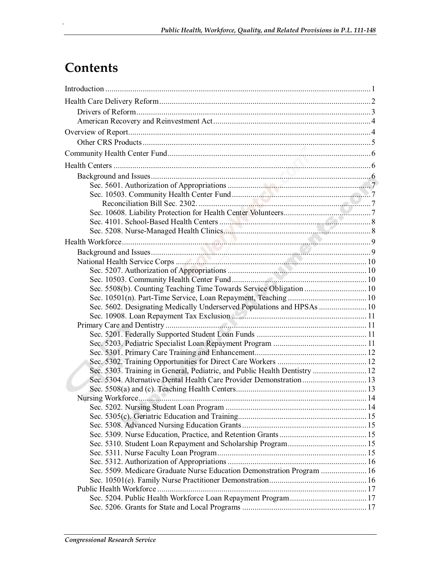# **Contents**

| Sec. 5508(b). Counting Teaching Time Towards Service Obligation  10        |  |
|----------------------------------------------------------------------------|--|
|                                                                            |  |
| Sec. 5602. Designating Medically Underserved Populations and HPSAs  10     |  |
|                                                                            |  |
|                                                                            |  |
|                                                                            |  |
|                                                                            |  |
|                                                                            |  |
|                                                                            |  |
| Sec. 5303. Training in General, Pediatric, and Public Health Dentistry  12 |  |
| Sec. 5304. Alternative Dental Health Care Provider Demonstration 13        |  |
|                                                                            |  |
|                                                                            |  |
|                                                                            |  |
|                                                                            |  |
|                                                                            |  |
|                                                                            |  |
|                                                                            |  |
|                                                                            |  |
|                                                                            |  |
| Sec. 5509. Medicare Graduate Nurse Education Demonstration Program  16     |  |
|                                                                            |  |
|                                                                            |  |
|                                                                            |  |
|                                                                            |  |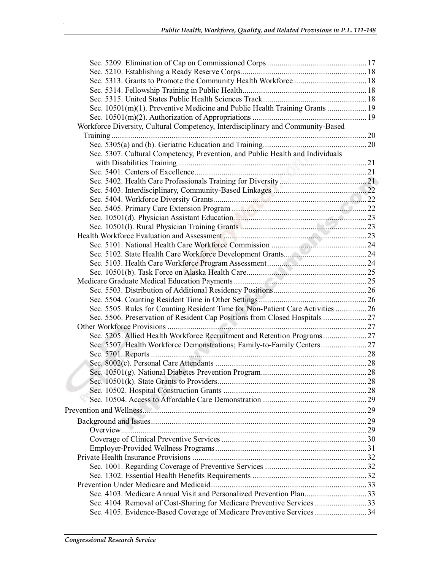| Sec. 10501(m)(1). Preventive Medicine and Public Health Training Grants  19     |  |
|---------------------------------------------------------------------------------|--|
|                                                                                 |  |
| Workforce Diversity, Cultural Competency, Interdisciplinary and Community-Based |  |
|                                                                                 |  |
|                                                                                 |  |
| Sec. 5307. Cultural Competency, Prevention, and Public Health and Individuals   |  |
|                                                                                 |  |
|                                                                                 |  |
|                                                                                 |  |
|                                                                                 |  |
|                                                                                 |  |
|                                                                                 |  |
|                                                                                 |  |
|                                                                                 |  |
|                                                                                 |  |
|                                                                                 |  |
|                                                                                 |  |
|                                                                                 |  |
|                                                                                 |  |
|                                                                                 |  |
|                                                                                 |  |
| Sec. 5505. Rules for Counting Resident Time for Non-Patient Care Activities  26 |  |
| Sec. 5506. Preservation of Resident Cap Positions from Closed Hospitals         |  |
|                                                                                 |  |
| Sec. 5205. Allied Health Workforce Recruitment and Retention Programs 27        |  |
| Sec. 5507. Health Workforce Demonstrations; Family-to-Family Centers 27         |  |
|                                                                                 |  |
|                                                                                 |  |
|                                                                                 |  |
|                                                                                 |  |
|                                                                                 |  |
|                                                                                 |  |
|                                                                                 |  |
|                                                                                 |  |
|                                                                                 |  |
|                                                                                 |  |
|                                                                                 |  |
|                                                                                 |  |
|                                                                                 |  |
|                                                                                 |  |
|                                                                                 |  |
| Sec. 4103. Medicare Annual Visit and Personalized Prevention Plan33             |  |
| Sec. 4104. Removal of Cost-Sharing for Medicare Preventive Services 33          |  |
|                                                                                 |  |
|                                                                                 |  |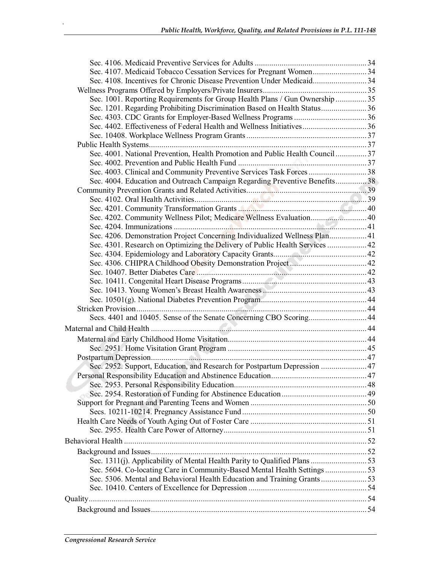| Sec. 4108. Incentives for Chronic Disease Prevention Under Medicaid34          |  |
|--------------------------------------------------------------------------------|--|
|                                                                                |  |
| Sec. 1001. Reporting Requirements for Group Health Plans / Gun Ownership  35   |  |
| Sec. 1201. Regarding Prohibiting Discrimination Based on Health Status36       |  |
|                                                                                |  |
|                                                                                |  |
|                                                                                |  |
|                                                                                |  |
| Sec. 4001. National Prevention, Health Promotion and Public Health Council  37 |  |
|                                                                                |  |
| Sec. 4003. Clinical and Community Preventive Services Task Forces 38           |  |
| Sec. 4004. Education and Outreach Campaign Regarding Preventive Benefits38     |  |
|                                                                                |  |
|                                                                                |  |
|                                                                                |  |
| Sec. 4202. Community Wellness Pilot; Medicare Wellness Evaluation 40           |  |
|                                                                                |  |
| Sec. 4206. Demonstration Project Concerning Individualized Wellness Plan 41    |  |
| Sec. 4301. Research on Optimizing the Delivery of Public Health Services  42   |  |
|                                                                                |  |
|                                                                                |  |
|                                                                                |  |
|                                                                                |  |
|                                                                                |  |
|                                                                                |  |
|                                                                                |  |
|                                                                                |  |
|                                                                                |  |
|                                                                                |  |
|                                                                                |  |
|                                                                                |  |
|                                                                                |  |
| Sec. 2952. Support, Education, and Research for Postpartum Depression  47      |  |
|                                                                                |  |
|                                                                                |  |
|                                                                                |  |
|                                                                                |  |
|                                                                                |  |
|                                                                                |  |
|                                                                                |  |
|                                                                                |  |
|                                                                                |  |
|                                                                                |  |
| Sec. 5604. Co-locating Care in Community-Based Mental Health Settings53        |  |
|                                                                                |  |
|                                                                                |  |
|                                                                                |  |
|                                                                                |  |
|                                                                                |  |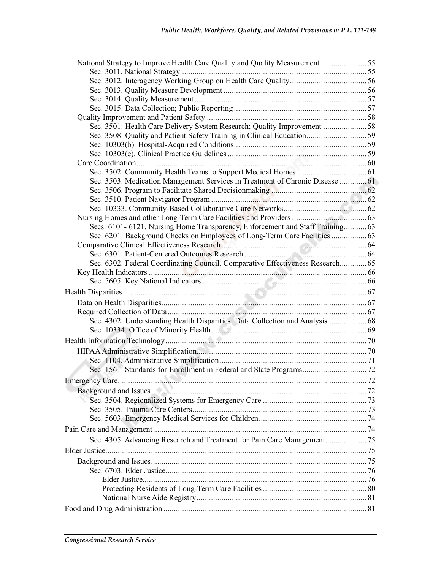| National Strategy to Improve Health Care Quality and Quality Measurement 55    |     |
|--------------------------------------------------------------------------------|-----|
|                                                                                |     |
|                                                                                |     |
|                                                                                |     |
|                                                                                |     |
|                                                                                |     |
|                                                                                |     |
| Sec. 3501. Health Care Delivery System Research; Quality Improvement 58        |     |
|                                                                                |     |
|                                                                                |     |
|                                                                                |     |
|                                                                                |     |
|                                                                                |     |
| Sec. 3503. Medication Management Services in Treatment of Chronic Disease  61  |     |
|                                                                                |     |
|                                                                                |     |
|                                                                                |     |
|                                                                                |     |
| Secs. 6101-6121. Nursing Home Transparency, Enforcement and Staff Training 63  |     |
| Sec. 6201. Background Checks on Employees of Long-Term Care Facilities  63     |     |
|                                                                                |     |
|                                                                                |     |
| Sec. 6302. Federal Coordinating Council, Comparative Effectiveness Research 65 |     |
|                                                                                |     |
|                                                                                |     |
|                                                                                |     |
|                                                                                |     |
|                                                                                |     |
| Sec. 4302. Understanding Health Disparities: Data Collection and Analysis  68  |     |
|                                                                                |     |
|                                                                                |     |
|                                                                                |     |
|                                                                                |     |
|                                                                                |     |
|                                                                                | .72 |
|                                                                                |     |
|                                                                                |     |
|                                                                                |     |
|                                                                                |     |
|                                                                                |     |
|                                                                                |     |
|                                                                                |     |
|                                                                                |     |
|                                                                                |     |
|                                                                                |     |
|                                                                                |     |
|                                                                                |     |
|                                                                                |     |
|                                                                                |     |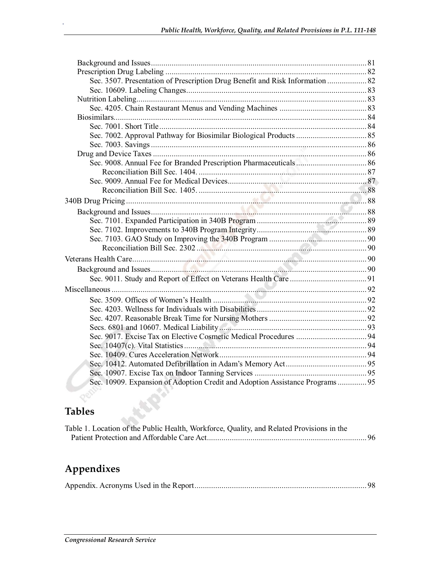| Sec. 3507. Presentation of Prescription Drug Benefit and Risk Information  82 |  |
|-------------------------------------------------------------------------------|--|
|                                                                               |  |
|                                                                               |  |
|                                                                               |  |
|                                                                               |  |
|                                                                               |  |
|                                                                               |  |
|                                                                               |  |
|                                                                               |  |
|                                                                               |  |
|                                                                               |  |
|                                                                               |  |
|                                                                               |  |
|                                                                               |  |
|                                                                               |  |
|                                                                               |  |
|                                                                               |  |
|                                                                               |  |
|                                                                               |  |
|                                                                               |  |
|                                                                               |  |
|                                                                               |  |
|                                                                               |  |
|                                                                               |  |
|                                                                               |  |
|                                                                               |  |
|                                                                               |  |
|                                                                               |  |
|                                                                               |  |
|                                                                               |  |
|                                                                               |  |
|                                                                               |  |
| Sec. 10909. Expansion of Adoption Credit and Adoption Assistance Programs 95  |  |
|                                                                               |  |

# **Tables**

.

| Table 1. Location of the Public Health, Workforce, Quality, and Related Provisions in the |  |
|-------------------------------------------------------------------------------------------|--|
|                                                                                           |  |

# **Appendixes**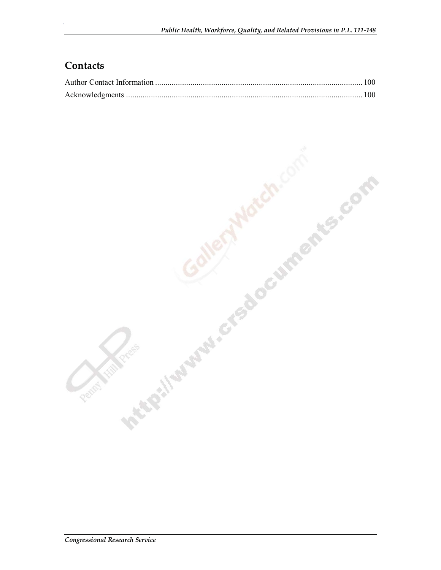## **Contacts**

.

Interest Libraries of Boomments, com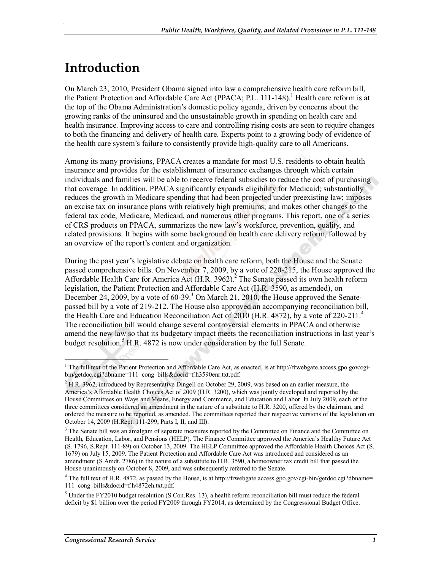# **Introduction**

.

On March 23, 2010, President Obama signed into law a comprehensive health care reform bill, the Patient Protection and Affordable Care Act (PPACA; P.L. 111-148).<sup>1</sup> Health care reform is at the top of the Obama Administration's domestic policy agenda, driven by concerns about the growing ranks of the uninsured and the unsustainable growth in spending on health care and health insurance. Improving access to care and controlling rising costs are seen to require changes to both the financing and delivery of health care. Experts point to a growing body of evidence of the health care system's failure to consistently provide high-quality care to all Americans.

Among its many provisions, PPACA creates a mandate for most U.S. residents to obtain health insurance and provides for the establishment of insurance exchanges through which certain individuals and families will be able to receive federal subsidies to reduce the cost of purchasing that coverage. In addition, PPACA significantly expands eligibility for Medicaid; substantially reduces the growth in Medicare spending that had been projected under preexisting law; imposes an excise tax on insurance plans with relatively high premiums; and makes other changes to the federal tax code, Medicare, Medicaid, and numerous other programs. This report, one of a series of CRS products on PPACA, summarizes the new law's workforce, prevention, quality, and related provisions. It begins with some background on health care delivery reform, followed by an overview of the report's content and organization.

During the past year's legislative debate on health care reform, both the House and the Senate passed comprehensive bills. On November 7, 2009, by a vote of 220-215, the House approved the Affordable Health Care for America Act  $(H.R. 3962)$ .<sup>2</sup> The Senate passed its own health reform legislation, the Patient Protection and Affordable Care Act (H.R. 3590, as amended), on December 24, 2009, by a vote of 60-39.<sup>3</sup> On March 21, 2010, the House approved the Senatepassed bill by a vote of 219-212. The House also approved an accompanying reconciliation bill, the Health Care and Education Reconciliation Act of 2010 (H.R. 4872), by a vote of 220-211.<sup>4</sup> The reconciliation bill would change several controversial elements in PPACA and otherwise amend the new law so that its budgetary impact meets the reconciliation instructions in last year's budget resolution.<sup>5</sup> H.R. 4872 is now under consideration by the full Senate.

<sup>&</sup>lt;sup>1</sup> The full text of the Patient Protection and Affordable Care Act, as enacted, is at http://frwebgate.access.gpo.gov/cgibin/getdoc.cgi?dbname=111\_cong\_bills&docid=f:h3590enr.txt.pdf.

 $2^2$  H.R. 3962, introduced by Representative Dingell on October 29, 2009, was based on an earlier measure, the America's Affordable Health Choices Act of 2009 (H.R. 3200), which was jointly developed and reported by the House Committees on Ways and Means, Energy and Commerce, and Education and Labor. In July 2009, each of the three committees considered an amendment in the nature of a substitute to H.R. 3200, offered by the chairman, and ordered the measure to be reported, as amended. The committees reported their respective versions of the legislation on October 14, 2009 (H.Rept. 111-299, Parts I, II, and III).

<sup>&</sup>lt;sup>3</sup> The Senate bill was an amalgam of separate measures reported by the Committee on Finance and the Committee on Health, Education, Labor, and Pensions (HELP). The Finance Committee approved the America's Healthy Future Act (S. 1796, S.Rept. 111-89) on October 13, 2009. The HELP Committee approved the Affordable Health Choices Act (S. 1679) on July 15, 2009. The Patient Protection and Affordable Care Act was introduced and considered as an amendment (S.Amdt. 2786) in the nature of a substitute to H.R. 3590, a homeowner tax credit bill that passed the House unanimously on October 8, 2009, and was subsequently referred to the Senate.

 $4$  The full text of H.R. 4872, as passed by the House, is at http://frwebgate.access.gpo.gov/cgi-bin/getdoc.cgi?dbname= 111\_cong\_bills&docid=f:h4872eh.txt.pdf.

 $<sup>5</sup>$  Under the FY2010 budget resolution (S.Con.Res. 13), a health reform reconciliation bill must reduce the federal</sup> deficit by \$1 billion over the period FY2009 through FY2014, as determined by the Congressional Budget Office.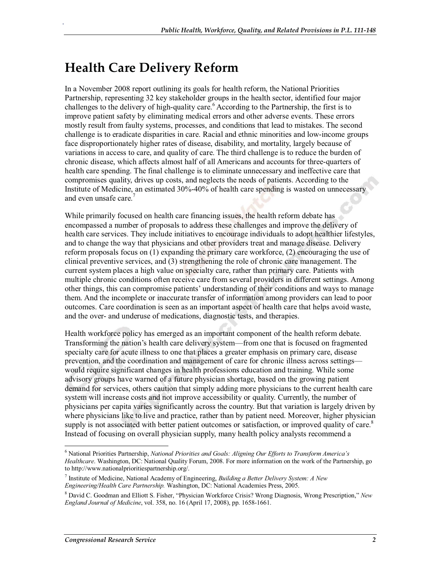# **Health Care Delivery Reform**

.

In a November 2008 report outlining its goals for health reform, the National Priorities Partnership, representing 32 key stakeholder groups in the health sector, identified four major challenges to the delivery of high-quality care.<sup>6</sup> According to the Partnership, the first is to improve patient safety by eliminating medical errors and other adverse events. These errors mostly result from faulty systems, processes, and conditions that lead to mistakes. The second challenge is to eradicate disparities in care. Racial and ethnic minorities and low-income groups face disproportionately higher rates of disease, disability, and mortality, largely because of variations in access to care, and quality of care. The third challenge is to reduce the burden of chronic disease, which affects almost half of all Americans and accounts for three-quarters of health care spending. The final challenge is to eliminate unnecessary and ineffective care that compromises quality, drives up costs, and neglects the needs of patients. According to the Institute of Medicine, an estimated 30%-40% of health care spending is wasted on unnecessary and even unsafe care.<sup>7</sup>

While primarily focused on health care financing issues, the health reform debate has encompassed a number of proposals to address these challenges and improve the delivery of health care services. They include initiatives to encourage individuals to adopt healthier lifestyles, and to change the way that physicians and other providers treat and manage disease. Delivery reform proposals focus on (1) expanding the primary care workforce, (2) encouraging the use of clinical preventive services, and (3) strengthening the role of chronic care management. The current system places a high value on specialty care, rather than primary care. Patients with multiple chronic conditions often receive care from several providers in different settings. Among other things, this can compromise patients' understanding of their conditions and ways to manage them. And the incomplete or inaccurate transfer of information among providers can lead to poor outcomes. Care coordination is seen as an important aspect of health care that helps avoid waste, and the over- and underuse of medications, diagnostic tests, and therapies.

Health workforce policy has emerged as an important component of the health reform debate. Transforming the nation's health care delivery system—from one that is focused on fragmented specialty care for acute illness to one that places a greater emphasis on primary care, disease prevention, and the coordination and management of care for chronic illness across settings would require significant changes in health professions education and training. While some advisory groups have warned of a future physician shortage, based on the growing patient demand for services, others caution that simply adding more physicians to the current health care system will increase costs and not improve accessibility or quality. Currently, the number of physicians per capita varies significantly across the country. But that variation is largely driven by where physicians like to live and practice, rather than by patient need. Moreover, higher physician supply is not associated with better patient outcomes or satisfaction, or improved quality of care.<sup>8</sup> Instead of focusing on overall physician supply, many health policy analysts recommend a

<sup>6</sup> National Priorities Partnership, *National Priorities and Goals: Aligning Our Efforts to Transform America's Healthcare*. Washington, DC: National Quality Forum, 2008. For more information on the work of the Partnership, go to http://www.nationalprioritiespartnership.org/.

<sup>7</sup> Institute of Medicine, National Academy of Engineering, *Building a Better Delivery System: A New Engineering/Health Care Partnership.* Washington, DC: National Academies Press, 2005.

<sup>8</sup> David C. Goodman and Elliott S. Fisher, "Physician Workforce Crisis? Wrong Diagnosis, Wrong Prescription," *New England Journal of Medicine*, vol. 358, no. 16 (April 17, 2008), pp. 1658-1661.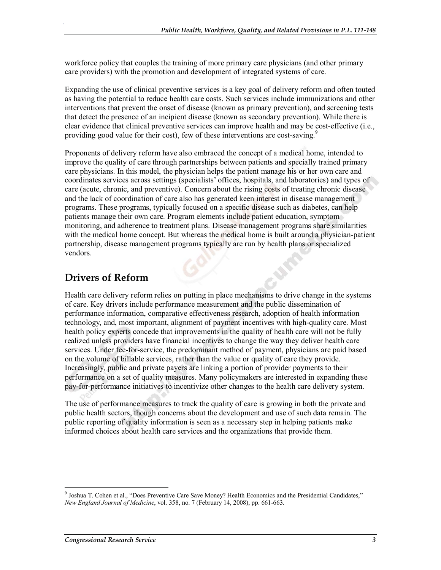workforce policy that couples the training of more primary care physicians (and other primary care providers) with the promotion and development of integrated systems of care.

Expanding the use of clinical preventive services is a key goal of delivery reform and often touted as having the potential to reduce health care costs. Such services include immunizations and other interventions that prevent the onset of disease (known as primary prevention), and screening tests that detect the presence of an incipient disease (known as secondary prevention). While there is clear evidence that clinical preventive services can improve health and may be cost-effective (i.e., providing good value for their cost), few of these interventions are cost-saving.<sup>9</sup>

Proponents of delivery reform have also embraced the concept of a medical home, intended to improve the quality of care through partnerships between patients and specially trained primary care physicians. In this model, the physician helps the patient manage his or her own care and coordinates services across settings (specialists' offices, hospitals, and laboratories) and types of care (acute, chronic, and preventive). Concern about the rising costs of treating chronic disease and the lack of coordination of care also has generated keen interest in disease management programs. These programs, typically focused on a specific disease such as diabetes, can help patients manage their own care. Program elements include patient education, symptom monitoring, and adherence to treatment plans. Disease management programs share similarities with the medical home concept. But whereas the medical home is built around a physician-patient partnership, disease management programs typically are run by health plans or specialized vendors.

## **Drivers of Reform**

.

Health care delivery reform relies on putting in place mechanisms to drive change in the systems of care. Key drivers include performance measurement and the public dissemination of performance information, comparative effectiveness research, adoption of health information technology, and, most important, alignment of payment incentives with high-quality care. Most health policy experts concede that improvements in the quality of health care will not be fully realized unless providers have financial incentives to change the way they deliver health care services. Under fee-for-service, the predominant method of payment, physicians are paid based on the volume of billable services, rather than the value or quality of care they provide. Increasingly, public and private payers are linking a portion of provider payments to their performance on a set of quality measures. Many policymakers are interested in expanding these pay-for-performance initiatives to incentivize other changes to the health care delivery system.

The use of performance measures to track the quality of care is growing in both the private and public health sectors, though concerns about the development and use of such data remain. The public reporting of quality information is seen as a necessary step in helping patients make informed choices about health care services and the organizations that provide them.

<sup>9</sup> Joshua T. Cohen et al., "Does Preventive Care Save Money? Health Economics and the Presidential Candidates," *New England Journal of Medicine*, vol. 358, no. 7 (February 14, 2008), pp. 661-663.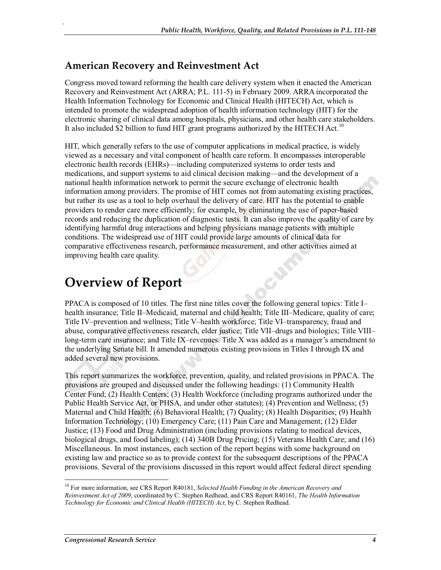#### **American Recovery and Reinvestment Act**

.

Congress moved toward reforming the health care delivery system when it enacted the American Recovery and Reinvestment Act (ARRA; P.L. 111-5) in February 2009. ARRA incorporated the Health Information Technology for Economic and Clinical Health (HITECH) Act, which is intended to promote the widespread adoption of health information technology (HIT) for the electronic sharing of clinical data among hospitals, physicians, and other health care stakeholders. It also included \$2 billion to fund HIT grant programs authorized by the HITECH Act.<sup>10</sup>

HIT, which generally refers to the use of computer applications in medical practice, is widely viewed as a necessary and vital component of health care reform. It encompasses interoperable electronic health records (EHRs)—including computerized systems to order tests and medications, and support systems to aid clinical decision making—and the development of a national health information network to permit the secure exchange of electronic health information among providers. The promise of HIT comes not from automating existing practices, but rather its use as a tool to help overhaul the delivery of care. HIT has the potential to enable providers to render care more efficiently; for example, by eliminating the use of paper-based records and reducing the duplication of diagnostic tests. It can also improve the quality of care by identifying harmful drug interactions and helping physicians manage patients with multiple conditions. The widespread use of HIT could provide large amounts of clinical data for comparative effectiveness research, performance measurement, and other activities aimed at improving health care quality.

# **Overview of Report**

PPACA is composed of 10 titles. The first nine titles cover the following general topics: Title I– health insurance; Title II–Medicaid, maternal and child health; Title III–Medicare, quality of care; Title IV–prevention and wellness; Title V–health workforce; Title VI–transparency, fraud and abuse, comparative effectiveness research, elder justice; Title VII–drugs and biologics; Title VIII– long-term care insurance; and Title IX–revenues. Title X was added as a manager's amendment to the underlying Senate bill. It amended numerous existing provisions in Titles I through IX and added several new provisions.

This report summarizes the workforce, prevention, quality, and related provisions in PPACA. The provisions are grouped and discussed under the following headings: (1) Community Health Center Fund; (2) Health Centers; (3) Health Workforce (including programs authorized under the Public Health Service Act, or PHSA, and under other statutes); (4) Prevention and Wellness; (5) Maternal and Child Health; (6) Behavioral Health; (7) Quality; (8) Health Disparities; (9) Health Information Technology; (10) Emergency Care; (11) Pain Care and Management; (12) Elder Justice; (13) Food and Drug Administration (including provisions relating to medical devices, biological drugs, and food labeling); (14) 340B Drug Pricing; (15) Veterans Health Care; and (16) Miscellaneous. In most instances, each section of the report begins with some background on existing law and practice so as to provide context for the subsequent descriptions of the PPACA provisions. Several of the provisions discussed in this report would affect federal direct spending

<sup>10</sup> For more information, see CRS Report R40181, *Selected Health Funding in the American Recovery and Reinvestment Act of 2009*, coordinated by C. Stephen Redhead, and CRS Report R40161, *The Health Information Technology for Economic and Clinical Health (HITECH) Act*, by C. Stephen Redhead.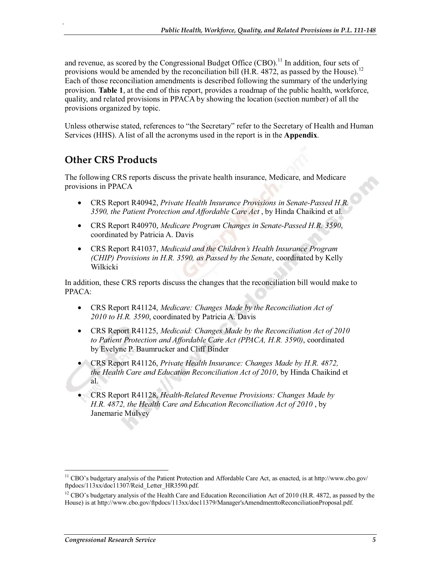and revenue, as scored by the Congressional Budget Office  $(CBO)$ .<sup>11</sup> In addition, four sets of provisions would be amended by the reconciliation bill (H.R. 4872, as passed by the House).<sup>12</sup> Each of those reconciliation amendments is described following the summary of the underlying provision. **Table 1**, at the end of this report, provides a roadmap of the public health, workforce, quality, and related provisions in PPACA by showing the location (section number) of all the provisions organized by topic.

Unless otherwise stated, references to "the Secretary" refer to the Secretary of Health and Human Services (HHS). A list of all the acronyms used in the report is in the **Appendix**.

## **Other CRS Products**

.

The following CRS reports discuss the private health insurance, Medicare, and Medicare provisions in PPACA

- CRS Report R40942, *Private Health Insurance Provisions in Senate-Passed H.R. 3590, the Patient Protection and Affordable Care Act* , by Hinda Chaikind et al.
- CRS Report R40970, *Medicare Program Changes in Senate-Passed H.R. 3590*, coordinated by Patricia A. Davis
- CRS Report R41037, *Medicaid and the Children's Health Insurance Program (CHIP) Provisions in H.R. 3590, as Passed by the Senate*, coordinated by Kelly Wilkicki

In addition, these CRS reports discuss the changes that the reconciliation bill would make to PPACA:

- CRS Report R41124, *Medicare: Changes Made by the Reconciliation Act of 2010 to H.R. 3590*, coordinated by Patricia A. Davis
- CRS Report R41125, *Medicaid: Changes Made by the Reconciliation Act of 2010 to Patient Protection and Affordable Care Act (PPACA, H.R. 3590)*, coordinated by Evelyne P. Baumrucker and Cliff Binder
- CRS Report R41126, *Private Health Insurance: Changes Made by H.R. 4872, the Health Care and Education Reconciliation Act of 2010*, by Hinda Chaikind et al.
- CRS Report R41128, *Health-Related Revenue Provisions: Changes Made by H.R. 4872, the Health Care and Education Reconciliation Act of 2010* , by Janemarie Mulvey

<sup>11</sup> CBO's budgetary analysis of the Patient Protection and Affordable Care Act, as enacted, is at http://www.cbo.gov/ ftpdocs/113xx/doc11307/Reid\_Letter\_HR3590.pdf.

<sup>&</sup>lt;sup>12</sup> CBO's budgetary analysis of the Health Care and Education Reconciliation Act of 2010 (H.R. 4872, as passed by the House) is at http://www.cbo.gov/ftpdocs/113xx/doc11379/Manager'sAmendmenttoReconciliationProposal.pdf.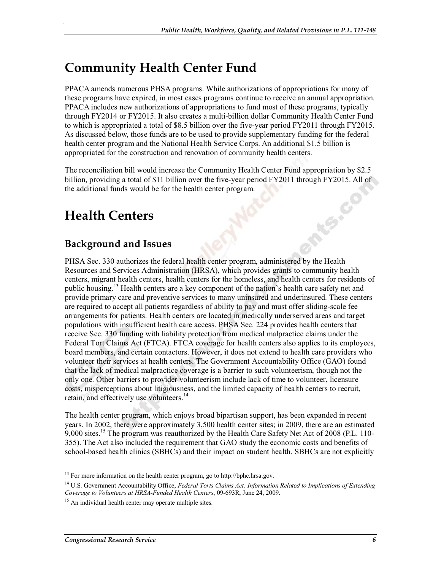# **Community Health Center Fund**

PPACA amends numerous PHSA programs. While authorizations of appropriations for many of these programs have expired, in most cases programs continue to receive an annual appropriation. PPACA includes new authorizations of appropriations to fund most of these programs, typically through FY2014 or FY2015. It also creates a multi-billion dollar Community Health Center Fund to which is appropriated a total of \$8.5 billion over the five-year period FY2011 through FY2015. As discussed below, those funds are to be used to provide supplementary funding for the federal health center program and the National Health Service Corps. An additional \$1.5 billion is appropriated for the construction and renovation of community health centers.

The reconciliation bill would increase the Community Health Center Fund appropriation by \$2.5 billion, providing a total of \$11 billion over the five-year period FY2011 through FY2015. All of the additional funds would be for the health center program.

# **Health Centers**

.

## **Background and Issues**

PHSA Sec. 330 authorizes the federal health center program, administered by the Health Resources and Services Administration (HRSA), which provides grants to community health centers, migrant health centers, health centers for the homeless, and health centers for residents of public housing.<sup>13</sup> Health centers are a key component of the nation's health care safety net and provide primary care and preventive services to many uninsured and underinsured. These centers are required to accept all patients regardless of ability to pay and must offer sliding-scale fee arrangements for patients. Health centers are located in medically underserved areas and target populations with insufficient health care access. PHSA Sec. 224 provides health centers that receive Sec. 330 funding with liability protection from medical malpractice claims under the Federal Tort Claims Act (FTCA). FTCA coverage for health centers also applies to its employees, board members, and certain contactors. However, it does not extend to health care providers who volunteer their services at health centers. The Government Accountability Office (GAO) found that the lack of medical malpractice coverage is a barrier to such volunteerism, though not the only one. Other barriers to provider volunteerism include lack of time to volunteer, licensure costs, misperceptions about litigiousness, and the limited capacity of health centers to recruit, retain, and effectively use volunteers.<sup>14</sup>

The health center program, which enjoys broad bipartisan support, has been expanded in recent years. In 2002, there were approximately 3,500 health center sites; in 2009, there are an estimated 9,000 sites.<sup>15</sup> The program was reauthorized by the Health Care Safety Net Act of 2008 (P.L. 110-355). The Act also included the requirement that GAO study the economic costs and benefits of school-based health clinics (SBHCs) and their impact on student health. SBHCs are not explicitly

<sup>&</sup>lt;sup>13</sup> For more information on the health center program, go to http://bphc.hrsa.gov.

<sup>14</sup> U.S. Government Accountability Office, *Federal Torts Claims Act: Information Related to Implications of Extending Coverage to Volunteers at HRSA-Funded Health Centers*, 09-693R, June 24, 2009.

<sup>&</sup>lt;sup>15</sup> An individual health center may operate multiple sites.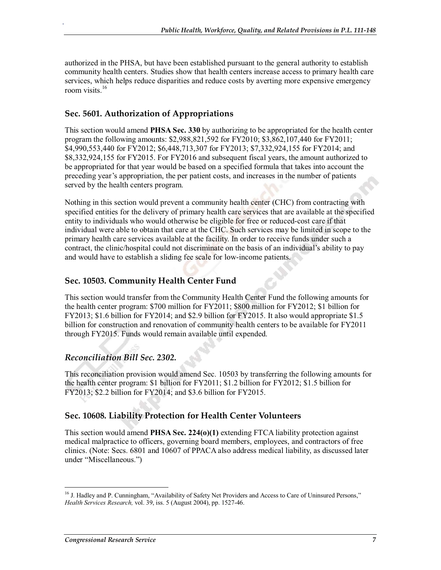authorized in the PHSA, but have been established pursuant to the general authority to establish community health centers. Studies show that health centers increase access to primary health care services, which helps reduce disparities and reduce costs by averting more expensive emergency room visits.<sup>16</sup>

#### **Sec. 5601. Authorization of Appropriations**

.

This section would amend **PHSA Sec. 330** by authorizing to be appropriated for the health center program the following amounts: \$2,988,821,592 for FY2010; \$3,862,107,440 for FY2011; \$4,990,553,440 for FY2012; \$6,448,713,307 for FY2013; \$7,332,924,155 for FY2014; and \$8,332,924,155 for FY2015. For FY2016 and subsequent fiscal years, the amount authorized to be appropriated for that year would be based on a specified formula that takes into account the preceding year's appropriation, the per patient costs, and increases in the number of patients served by the health centers program.

Nothing in this section would prevent a community health center (CHC) from contracting with specified entities for the delivery of primary health care services that are available at the specified entity to individuals who would otherwise be eligible for free or reduced-cost care if that individual were able to obtain that care at the CHC. Such services may be limited in scope to the primary health care services available at the facility. In order to receive funds under such a contract, the clinic/hospital could not discriminate on the basis of an individual's ability to pay and would have to establish a sliding fee scale for low-income patients.

#### **Sec. 10503. Community Health Center Fund**

This section would transfer from the Community Health Center Fund the following amounts for the health center program: \$700 million for FY2011; \$800 million for FY2012; \$1 billion for FY2013; \$1.6 billion for FY2014; and \$2.9 billion for FY2015. It also would appropriate \$1.5 billion for construction and renovation of community health centers to be available for FY2011 through FY2015. Funds would remain available until expended.

#### *Reconciliation Bill Sec. 2302.*

This reconciliation provision would amend Sec. 10503 by transferring the following amounts for the health center program: \$1 billion for FY2011; \$1.2 billion for FY2012; \$1.5 billion for FY2013; \$2.2 billion for FY2014; and \$3.6 billion for FY2015.

#### **Sec. 10608. Liability Protection for Health Center Volunteers**

This section would amend **PHSA Sec. 224(o)(1)** extending FTCA liability protection against medical malpractice to officers, governing board members, employees, and contractors of free clinics. (Note: Secs. 6801 and 10607 of PPACA also address medical liability, as discussed later under "Miscellaneous.")

<sup>&</sup>lt;sup>16</sup> J. Hadley and P. Cunningham, "Availability of Safety Net Providers and Access to Care of Uninsured Persons," *Health Services Research,* vol. 39, iss. 5 (August 2004), pp. 1527-46.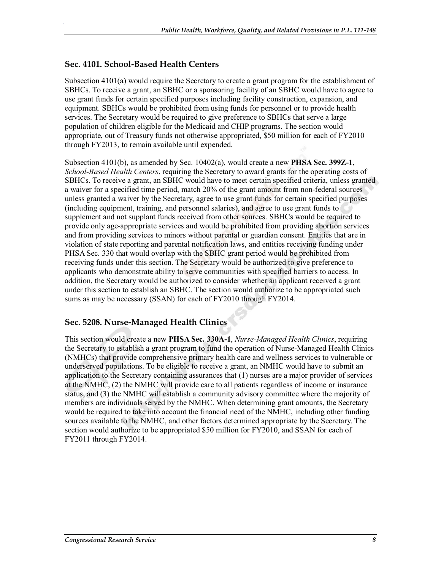#### **Sec. 4101. School-Based Health Centers**

.

Subsection 4101(a) would require the Secretary to create a grant program for the establishment of SBHCs. To receive a grant, an SBHC or a sponsoring facility of an SBHC would have to agree to use grant funds for certain specified purposes including facility construction, expansion, and equipment. SBHCs would be prohibited from using funds for personnel or to provide health services. The Secretary would be required to give preference to SBHCs that serve a large population of children eligible for the Medicaid and CHIP programs. The section would appropriate, out of Treasury funds not otherwise appropriated, \$50 million for each of FY2010 through FY2013, to remain available until expended.

Subsection 4101(b), as amended by Sec. 10402(a), would create a new **PHSA Sec. 399Z-1**, *School-Based Health Centers*, requiring the Secretary to award grants for the operating costs of SBHCs. To receive a grant, an SBHC would have to meet certain specified criteria, unless granted a waiver for a specified time period, match 20% of the grant amount from non-federal sources unless granted a waiver by the Secretary, agree to use grant funds for certain specified purposes (including equipment, training, and personnel salaries), and agree to use grant funds to supplement and not supplant funds received from other sources. SBHCs would be required to provide only age-appropriate services and would be prohibited from providing abortion services and from providing services to minors without parental or guardian consent. Entities that are in violation of state reporting and parental notification laws, and entities receiving funding under PHSA Sec. 330 that would overlap with the SBHC grant period would be prohibited from receiving funds under this section. The Secretary would be authorized to give preference to applicants who demonstrate ability to serve communities with specified barriers to access. In addition, the Secretary would be authorized to consider whether an applicant received a grant under this section to establish an SBHC. The section would authorize to be appropriated such sums as may be necessary (SSAN) for each of FY2010 through FY2014.

#### **Sec. 5208. Nurse-Managed Health Clinics**

This section would create a new **PHSA Sec. 330A-1**, *Nurse-Managed Health Clinics*, requiring the Secretary to establish a grant program to fund the operation of Nurse-Managed Health Clinics (NMHCs) that provide comprehensive primary health care and wellness services to vulnerable or underserved populations. To be eligible to receive a grant, an NMHC would have to submit an application to the Secretary containing assurances that (1) nurses are a major provider of services at the NMHC, (2) the NMHC will provide care to all patients regardless of income or insurance status, and (3) the NMHC will establish a community advisory committee where the majority of members are individuals served by the NMHC. When determining grant amounts, the Secretary would be required to take into account the financial need of the NMHC, including other funding sources available to the NMHC, and other factors determined appropriate by the Secretary. The section would authorize to be appropriated \$50 million for FY2010, and SSAN for each of FY2011 through FY2014.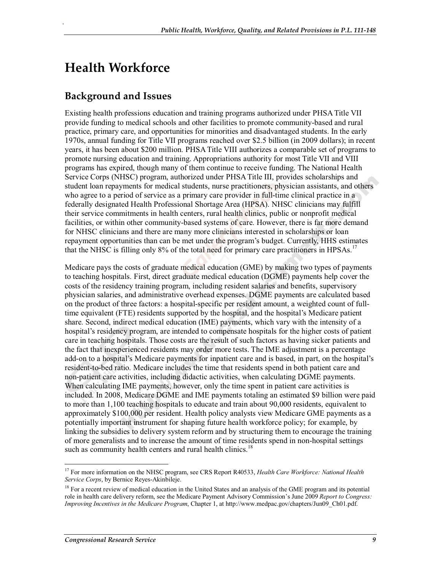# **Health Workforce**

.

## **Background and Issues**

Existing health professions education and training programs authorized under PHSA Title VII provide funding to medical schools and other facilities to promote community-based and rural practice, primary care, and opportunities for minorities and disadvantaged students. In the early 1970s, annual funding for Title VII programs reached over \$2.5 billion (in 2009 dollars); in recent years, it has been about \$200 million. PHSA Title VIII authorizes a comparable set of programs to promote nursing education and training. Appropriations authority for most Title VII and VIII programs has expired, though many of them continue to receive funding. The National Health Service Corps (NHSC) program, authorized under PHSA Title III, provides scholarships and student loan repayments for medical students, nurse practitioners, physician assistants, and others who agree to a period of service as a primary care provider in full-time clinical practice in a federally designated Health Professional Shortage Area (HPSA). NHSC clinicians may fulfill their service commitments in health centers, rural health clinics, public or nonprofit medical facilities, or within other community-based systems of care. However, there is far more demand for NHSC clinicians and there are many more clinicians interested in scholarships or loan repayment opportunities than can be met under the program's budget. Currently, HHS estimates that the NHSC is filling only 8% of the total need for primary care practitioners in HPSAs.<sup>17</sup>

Medicare pays the costs of graduate medical education (GME) by making two types of payments to teaching hospitals. First, direct graduate medical education (DGME) payments help cover the costs of the residency training program, including resident salaries and benefits, supervisory physician salaries, and administrative overhead expenses. DGME payments are calculated based on the product of three factors: a hospital-specific per resident amount, a weighted count of fulltime equivalent (FTE) residents supported by the hospital, and the hospital's Medicare patient share. Second, indirect medical education (IME) payments, which vary with the intensity of a hospital's residency program, are intended to compensate hospitals for the higher costs of patient care in teaching hospitals. Those costs are the result of such factors as having sicker patients and the fact that inexperienced residents may order more tests. The IME adjustment is a percentage add-on to a hospital's Medicare payments for inpatient care and is based, in part, on the hospital's resident-to-bed ratio. Medicare includes the time that residents spend in both patient care and non-patient care activities, including didactic activities, when calculating DGME payments. When calculating IME payments, however, only the time spent in patient care activities is included. In 2008, Medicare DGME and IME payments totaling an estimated \$9 billion were paid to more than 1,100 teaching hospitals to educate and train about 90,000 residents, equivalent to approximately \$100,000 per resident. Health policy analysts view Medicare GME payments as a potentially important instrument for shaping future health workforce policy; for example, by linking the subsidies to delivery system reform and by structuring them to encourage the training of more generalists and to increase the amount of time residents spend in non-hospital settings such as community health centers and rural health clinics.<sup>18</sup>

<sup>17</sup> For more information on the NHSC program, see CRS Report R40533, *Health Care Workforce: National Health Service Corps*, by Bernice Reyes-Akinbileje.

 $<sup>18</sup>$  For a recent review of medical education in the United States and an analysis of the GME program and its potential</sup> role in health care delivery reform, see the Medicare Payment Advisory Commission's June 2009 *Report to Congress: Improving Incentives in the Medicare Program*, Chapter 1, at http://www.medpac.gov/chapters/Jun09\_Ch01.pdf.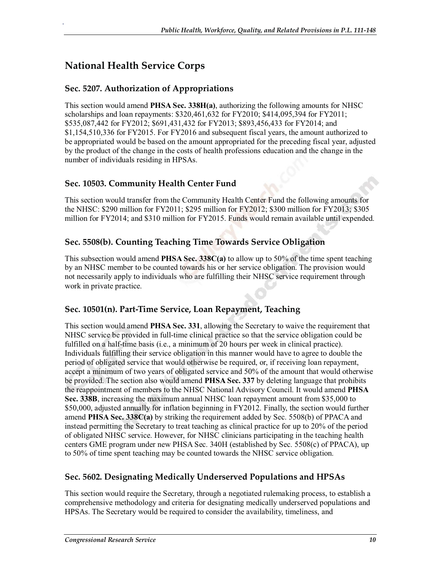# **National Health Service Corps**

.

#### **Sec. 5207. Authorization of Appropriations**

This section would amend **PHSA Sec. 338H(a)**, authorizing the following amounts for NHSC scholarships and loan repayments: \$320,461,632 for FY2010; \$414,095,394 for FY2011; \$535,087,442 for FY2012; \$691,431,432 for FY2013; \$893,456,433 for FY2014; and \$1,154,510,336 for FY2015. For FY2016 and subsequent fiscal years, the amount authorized to be appropriated would be based on the amount appropriated for the preceding fiscal year, adjusted by the product of the change in the costs of health professions education and the change in the number of individuals residing in HPSAs.

#### **Sec. 10503. Community Health Center Fund**

This section would transfer from the Community Health Center Fund the following amounts for the NHSC: \$290 million for FY2011; \$295 million for FY2012; \$300 million for FY2013; \$305 million for FY2014; and \$310 million for FY2015. Funds would remain available until expended.

#### **Sec. 5508(b). Counting Teaching Time Towards Service Obligation**

This subsection would amend **PHSA Sec. 338C(a)** to allow up to 50% of the time spent teaching by an NHSC member to be counted towards his or her service obligation. The provision would not necessarily apply to individuals who are fulfilling their NHSC service requirement through work in private practice.

#### **Sec. 10501(n). Part-Time Service, Loan Repayment, Teaching**

This section would amend **PHSA Sec. 331**, allowing the Secretary to waive the requirement that NHSC service be provided in full-time clinical practice so that the service obligation could be fulfilled on a half-time basis (i.e., a minimum of 20 hours per week in clinical practice). Individuals fulfilling their service obligation in this manner would have to agree to double the period of obligated service that would otherwise be required, or, if receiving loan repayment, accept a minimum of two years of obligated service and 50% of the amount that would otherwise be provided. The section also would amend **PHSA Sec. 337** by deleting language that prohibits the reappointment of members to the NHSC National Advisory Council. It would amend **PHSA Sec. 338B**, increasing the maximum annual NHSC loan repayment amount from \$35,000 to \$50,000, adjusted annually for inflation beginning in FY2012. Finally, the section would further amend **PHSA Sec. 338C(a)** by striking the requirement added by Sec. 5508(b) of PPACA and instead permitting the Secretary to treat teaching as clinical practice for up to 20% of the period of obligated NHSC service. However, for NHSC clinicians participating in the teaching health centers GME program under new PHSA Sec. 340H (established by Sec. 5508(c) of PPACA), up to 50% of time spent teaching may be counted towards the NHSC service obligation.

#### **Sec. 5602. Designating Medically Underserved Populations and HPSAs**

This section would require the Secretary, through a negotiated rulemaking process, to establish a comprehensive methodology and criteria for designating medically underserved populations and HPSAs. The Secretary would be required to consider the availability, timeliness, and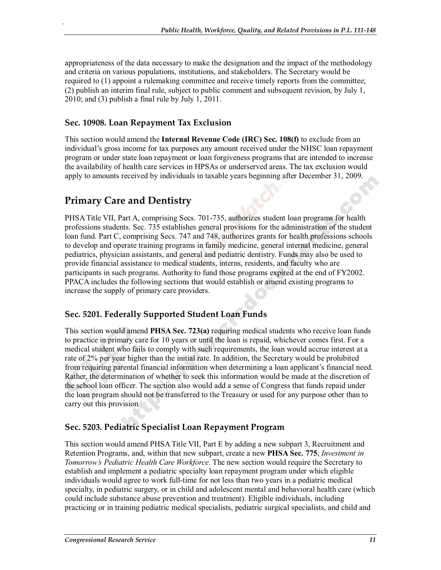appropriateness of the data necessary to make the designation and the impact of the methodology and criteria on various populations, institutions, and stakeholders. The Secretary would be required to (1) appoint a rulemaking committee and receive timely reports from the committee; (2) publish an interim final rule, subject to public comment and subsequent revision, by July 1, 2010; and (3) publish a final rule by July 1, 2011.

#### **Sec. 10908. Loan Repayment Tax Exclusion**

This section would amend the **Internal Revenue Code (IRC) Sec. 108(f)** to exclude from an individual's gross income for tax purposes any amount received under the NHSC loan repayment program or under state loan repayment or loan forgiveness programs that are intended to increase the availability of health care services in HPSAs or underserved areas. The tax exclusion would apply to amounts received by individuals in taxable years beginning after December 31, 2009.

## **Primary Care and Dentistry**

.

PHSA Title VII, Part A, comprising Secs. 701-735, authorizes student loan programs for health professions students. Sec. 735 establishes general provisions for the administration of the student loan fund. Part C, comprising Secs. 747 and 748, authorizes grants for health professions schools to develop and operate training programs in family medicine, general internal medicine, general pediatrics, physician assistants, and general and pediatric dentistry. Funds may also be used to provide financial assistance to medical students, interns, residents, and faculty who are participants in such programs. Authority to fund those programs expired at the end of FY2002. PPACA includes the following sections that would establish or amend existing programs to increase the supply of primary care providers.

#### **Sec. 5201. Federally Supported Student Loan Funds**

This section would amend **PHSA Sec. 723(a)** requiring medical students who receive loan funds to practice in primary care for 10 years or until the loan is repaid, whichever comes first. For a medical student who fails to comply with such requirements, the loan would accrue interest at a rate of 2% per year higher than the initial rate. In addition, the Secretary would be prohibited from requiring parental financial information when determining a loan applicant's financial need. Rather, the determination of whether to seek this information would be made at the discretion of the school loan officer. The section also would add a sense of Congress that funds repaid under the loan program should not be transferred to the Treasury or used for any purpose other than to carry out this provision.

#### **Sec. 5203. Pediatric Specialist Loan Repayment Program**

This section would amend PHSA Title VII, Part E by adding a new subpart 3, Recruitment and Retention Programs, and, within that new subpart, create a new **PHSA Sec. 775**, *Investment in Tomorrow's Pediatric Health Care Workforce*. The new section would require the Secretary to establish and implement a pediatric specialty loan repayment program under which eligible individuals would agree to work full-time for not less than two years in a pediatric medical specialty, in pediatric surgery, or in child and adolescent mental and behavioral health care (which could include substance abuse prevention and treatment). Eligible individuals, including practicing or in training pediatric medical specialists, pediatric surgical specialists, and child and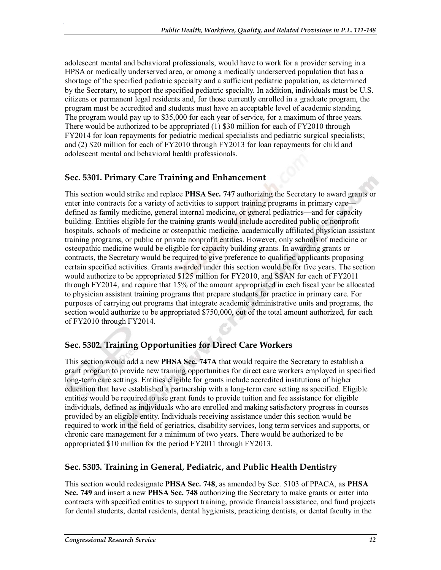adolescent mental and behavioral professionals, would have to work for a provider serving in a HPSA or medically underserved area, or among a medically underserved population that has a shortage of the specified pediatric specialty and a sufficient pediatric population, as determined by the Secretary, to support the specified pediatric specialty. In addition, individuals must be U.S. citizens or permanent legal residents and, for those currently enrolled in a graduate program, the program must be accredited and students must have an acceptable level of academic standing. The program would pay up to \$35,000 for each year of service, for a maximum of three years. There would be authorized to be appropriated (1) \$30 million for each of FY2010 through FY2014 for loan repayments for pediatric medical specialists and pediatric surgical specialists; and (2) \$20 million for each of FY2010 through FY2013 for loan repayments for child and adolescent mental and behavioral health professionals.

#### **Sec. 5301. Primary Care Training and Enhancement**

.

This section would strike and replace **PHSA Sec. 747** authorizing the Secretary to award grants or enter into contracts for a variety of activities to support training programs in primary care defined as family medicine, general internal medicine, or general pediatrics—and for capacity building. Entities eligible for the training grants would include accredited public or nonprofit hospitals, schools of medicine or osteopathic medicine, academically affiliated physician assistant training programs, or public or private nonprofit entities. However, only schools of medicine or osteopathic medicine would be eligible for capacity building grants. In awarding grants or contracts, the Secretary would be required to give preference to qualified applicants proposing certain specified activities. Grants awarded under this section would be for five years. The section would authorize to be appropriated \$125 million for FY2010, and SSAN for each of FY2011 through FY2014, and require that 15% of the amount appropriated in each fiscal year be allocated to physician assistant training programs that prepare students for practice in primary care. For purposes of carrying out programs that integrate academic administrative units and programs, the section would authorize to be appropriated \$750,000, out of the total amount authorized, for each of FY2010 through FY2014.

#### **Sec. 5302. Training Opportunities for Direct Care Workers**

This section would add a new **PHSA Sec. 747A** that would require the Secretary to establish a grant program to provide new training opportunities for direct care workers employed in specified long-term care settings. Entities eligible for grants include accredited institutions of higher education that have established a partnership with a long-term care setting as specified. Eligible entities would be required to use grant funds to provide tuition and fee assistance for eligible individuals, defined as individuals who are enrolled and making satisfactory progress in courses provided by an eligible entity. Individuals receiving assistance under this section would be required to work in the field of geriatrics, disability services, long term services and supports, or chronic care management for a minimum of two years. There would be authorized to be appropriated \$10 million for the period FY2011 through FY2013.

#### **Sec. 5303. Training in General, Pediatric, and Public Health Dentistry**

This section would redesignate **PHSA Sec. 748**, as amended by Sec. 5103 of PPACA, as **PHSA Sec. 749** and insert a new **PHSA Sec. 748** authorizing the Secretary to make grants or enter into contracts with specified entities to support training, provide financial assistance, and fund projects for dental students, dental residents, dental hygienists, practicing dentists, or dental faculty in the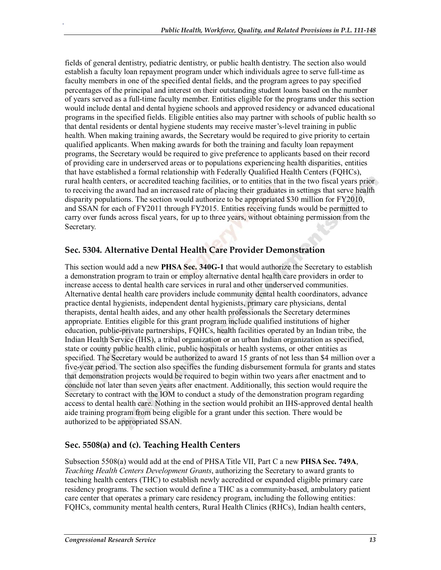fields of general dentistry, pediatric dentistry, or public health dentistry. The section also would establish a faculty loan repayment program under which individuals agree to serve full-time as faculty members in one of the specified dental fields, and the program agrees to pay specified percentages of the principal and interest on their outstanding student loans based on the number of years served as a full-time faculty member. Entities eligible for the programs under this section would include dental and dental hygiene schools and approved residency or advanced educational programs in the specified fields. Eligible entities also may partner with schools of public health so that dental residents or dental hygiene students may receive master's-level training in public health. When making training awards, the Secretary would be required to give priority to certain qualified applicants. When making awards for both the training and faculty loan repayment programs, the Secretary would be required to give preference to applicants based on their record of providing care in underserved areas or to populations experiencing health disparities, entities that have established a formal relationship with Federally Qualified Health Centers (FQHCs), rural health centers, or accredited teaching facilities, or to entities that in the two fiscal years prior to receiving the award had an increased rate of placing their graduates in settings that serve health disparity populations. The section would authorize to be appropriated \$30 million for FY2010, and SSAN for each of FY2011 through FY2015. Entities receiving funds would be permitted to carry over funds across fiscal years, for up to three years, without obtaining permission from the Secretary.

#### **Sec. 5304. Alternative Dental Health Care Provider Demonstration**

This section would add a new **PHSA Sec. 340G-1** that would authorize the Secretary to establish a demonstration program to train or employ alternative dental health care providers in order to increase access to dental health care services in rural and other underserved communities. Alternative dental health care providers include community dental health coordinators, advance practice dental hygienists, independent dental hygienists, primary care physicians, dental therapists, dental health aides, and any other health professionals the Secretary determines appropriate. Entities eligible for this grant program include qualified institutions of higher education, public-private partnerships, FQHCs, health facilities operated by an Indian tribe, the Indian Health Service (IHS), a tribal organization or an urban Indian organization as specified, state or county public health clinic, public hospitals or health systems, or other entities as specified. The Secretary would be authorized to award 15 grants of not less than \$4 million over a five-year period. The section also specifies the funding disbursement formula for grants and states that demonstration projects would be required to begin within two years after enactment and to conclude not later than seven years after enactment. Additionally, this section would require the Secretary to contract with the IOM to conduct a study of the demonstration program regarding access to dental health care. Nothing in the section would prohibit an IHS-approved dental health aide training program from being eligible for a grant under this section. There would be authorized to be appropriated SSAN.

#### **Sec. 5508(a) and (c). Teaching Health Centers**

Subsection 5508(a) would add at the end of PHSA Title VII, Part C a new **PHSA Sec. 749A**, *Teaching Health Centers Development Grants*, authorizing the Secretary to award grants to teaching health centers (THC) to establish newly accredited or expanded eligible primary care residency programs. The section would define a THC as a community-based, ambulatory patient care center that operates a primary care residency program, including the following entities: FQHCs, community mental health centers, Rural Health Clinics (RHCs), Indian health centers,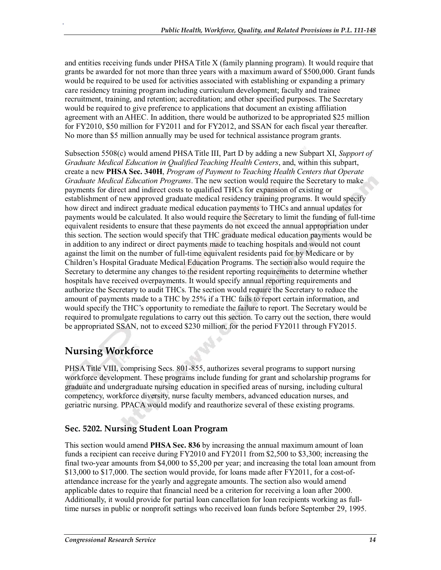and entities receiving funds under PHSA Title X (family planning program). It would require that grants be awarded for not more than three years with a maximum award of \$500,000. Grant funds would be required to be used for activities associated with establishing or expanding a primary care residency training program including curriculum development; faculty and trainee recruitment, training, and retention; accreditation; and other specified purposes. The Secretary would be required to give preference to applications that document an existing affiliation agreement with an AHEC. In addition, there would be authorized to be appropriated \$25 million for FY2010, \$50 million for FY2011 and for FY2012, and SSAN for each fiscal year thereafter. No more than \$5 million annually may be used for technical assistance program grants.

Subsection 5508(c) would amend PHSA Title III, Part D by adding a new Subpart XI, *Support of Graduate Medical Education in Qualified Teaching Health Centers*, and, within this subpart, create a new **PHSA Sec. 340H**, *Program of Payment to Teaching Health Centers that Operate Graduate Medical Education Programs*. The new section would require the Secretary to make payments for direct and indirect costs to qualified THCs for expansion of existing or establishment of new approved graduate medical residency training programs. It would specify how direct and indirect graduate medical education payments to THCs and annual updates for payments would be calculated. It also would require the Secretary to limit the funding of full-time equivalent residents to ensure that these payments do not exceed the annual appropriation under this section. The section would specify that THC graduate medical education payments would be in addition to any indirect or direct payments made to teaching hospitals and would not count against the limit on the number of full-time equivalent residents paid for by Medicare or by Children's Hospital Graduate Medical Education Programs. The section also would require the Secretary to determine any changes to the resident reporting requirements to determine whether hospitals have received overpayments. It would specify annual reporting requirements and authorize the Secretary to audit THCs. The section would require the Secretary to reduce the amount of payments made to a THC by 25% if a THC fails to report certain information, and would specify the THC's opportunity to remediate the failure to report. The Secretary would be required to promulgate regulations to carry out this section. To carry out the section, there would be appropriated SSAN, not to exceed \$230 million, for the period FY2011 through FY2015.

# **Nursing Workforce**

.

PHSA Title VIII, comprising Secs. 801-855, authorizes several programs to support nursing workforce development. These programs include funding for grant and scholarship programs for graduate and undergraduate nursing education in specified areas of nursing, including cultural competency, workforce diversity, nurse faculty members, advanced education nurses, and geriatric nursing. PPACA would modify and reauthorize several of these existing programs.

#### **Sec. 5202. Nursing Student Loan Program**

This section would amend **PHSA Sec. 836** by increasing the annual maximum amount of loan funds a recipient can receive during FY2010 and FY2011 from \$2,500 to \$3,300; increasing the final two-year amounts from \$4,000 to \$5,200 per year; and increasing the total loan amount from \$13,000 to \$17,000. The section would provide, for loans made after FY2011, for a cost-ofattendance increase for the yearly and aggregate amounts. The section also would amend applicable dates to require that financial need be a criterion for receiving a loan after 2000. Additionally, it would provide for partial loan cancellation for loan recipients working as fulltime nurses in public or nonprofit settings who received loan funds before September 29, 1995.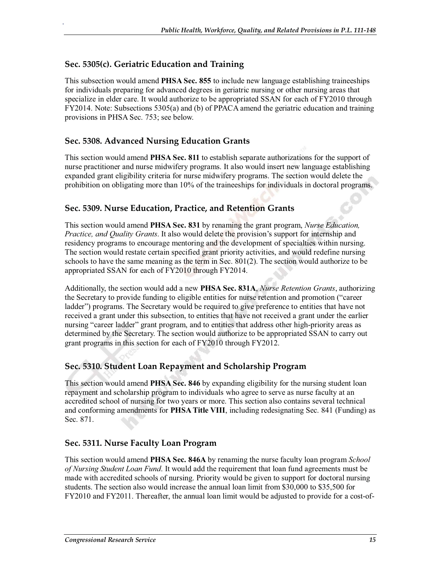#### **Sec. 5305(c). Geriatric Education and Training**

.

This subsection would amend **PHSA Sec. 855** to include new language establishing traineeships for individuals preparing for advanced degrees in geriatric nursing or other nursing areas that specialize in elder care. It would authorize to be appropriated SSAN for each of FY2010 through FY2014. Note: Subsections 5305(a) and (b) of PPACA amend the geriatric education and training provisions in PHSA Sec. 753; see below.

#### **Sec. 5308. Advanced Nursing Education Grants**

This section would amend **PHSA Sec. 811** to establish separate authorizations for the support of nurse practitioner and nurse midwifery programs. It also would insert new language establishing expanded grant eligibility criteria for nurse midwifery programs. The section would delete the prohibition on obligating more than 10% of the traineeships for individuals in doctoral programs.

#### **Sec. 5309. Nurse Education, Practice, and Retention Grants**

This section would amend **PHSA Sec. 831** by renaming the grant program, *Nurse Education, Practice, and Quality Grants*. It also would delete the provision's support for internship and residency programs to encourage mentoring and the development of specialties within nursing. The section would restate certain specified grant priority activities, and would redefine nursing schools to have the same meaning as the term in Sec. 801(2). The section would authorize to be appropriated SSAN for each of FY2010 through FY2014.

Additionally, the section would add a new **PHSA Sec. 831A**, *Nurse Retention Grants*, authorizing the Secretary to provide funding to eligible entities for nurse retention and promotion ("career ladder") programs. The Secretary would be required to give preference to entities that have not received a grant under this subsection, to entities that have not received a grant under the earlier nursing "career ladder" grant program, and to entities that address other high-priority areas as determined by the Secretary. The section would authorize to be appropriated SSAN to carry out grant programs in this section for each of FY2010 through FY2012.

#### **Sec. 5310. Student Loan Repayment and Scholarship Program**

This section would amend **PHSA Sec. 846** by expanding eligibility for the nursing student loan repayment and scholarship program to individuals who agree to serve as nurse faculty at an accredited school of nursing for two years or more. This section also contains several technical and conforming amendments for **PHSA Title VIII**, including redesignating Sec. 841 (Funding) as Sec. 871.

#### **Sec. 5311. Nurse Faculty Loan Program**

This section would amend **PHSA Sec. 846A** by renaming the nurse faculty loan program *School of Nursing Student Loan Fund*. It would add the requirement that loan fund agreements must be made with accredited schools of nursing. Priority would be given to support for doctoral nursing students. The section also would increase the annual loan limit from \$30,000 to \$35,500 for FY2010 and FY2011. Thereafter, the annual loan limit would be adjusted to provide for a cost-of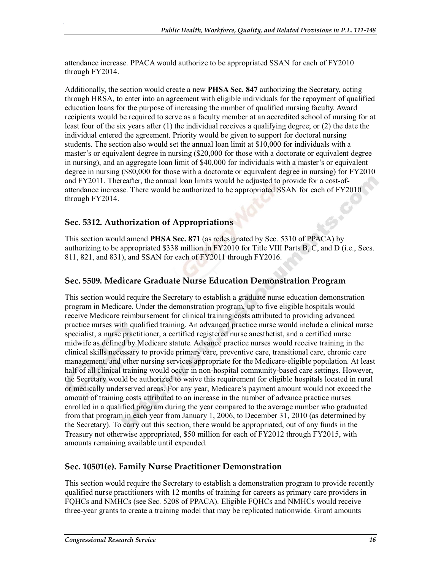attendance increase. PPACA would authorize to be appropriated SSAN for each of FY2010 through FY2014.

Additionally, the section would create a new **PHSA Sec. 847** authorizing the Secretary, acting through HRSA, to enter into an agreement with eligible individuals for the repayment of qualified education loans for the purpose of increasing the number of qualified nursing faculty. Award recipients would be required to serve as a faculty member at an accredited school of nursing for at least four of the six years after (1) the individual receives a qualifying degree; or (2) the date the individual entered the agreement. Priority would be given to support for doctoral nursing students. The section also would set the annual loan limit at \$10,000 for individuals with a master's or equivalent degree in nursing (\$20,000 for those with a doctorate or equivalent degree in nursing), and an aggregate loan limit of \$40,000 for individuals with a master's or equivalent degree in nursing (\$80,000 for those with a doctorate or equivalent degree in nursing) for FY2010 and FY2011. Thereafter, the annual loan limits would be adjusted to provide for a cost-ofattendance increase. There would be authorized to be appropriated SSAN for each of FY2010 through FY2014.

#### **Sec. 5312. Authorization of Appropriations**

.

This section would amend **PHSA Sec. 871** (as redesignated by Sec. 5310 of PPACA) by authorizing to be appropriated \$338 million in FY2010 for Title VIII Parts B, C, and D (i.e., Secs. 811, 821, and 831), and SSAN for each of FY2011 through FY2016.

#### **Sec. 5509. Medicare Graduate Nurse Education Demonstration Program**

This section would require the Secretary to establish a graduate nurse education demonstration program in Medicare. Under the demonstration program, up to five eligible hospitals would receive Medicare reimbursement for clinical training costs attributed to providing advanced practice nurses with qualified training. An advanced practice nurse would include a clinical nurse specialist, a nurse practitioner, a certified registered nurse anesthetist, and a certified nurse midwife as defined by Medicare statute. Advance practice nurses would receive training in the clinical skills necessary to provide primary care, preventive care, transitional care, chronic care management, and other nursing services appropriate for the Medicare-eligible population. At least half of all clinical training would occur in non-hospital community-based care settings. However, the Secretary would be authorized to waive this requirement for eligible hospitals located in rural or medically underserved areas. For any year, Medicare's payment amount would not exceed the amount of training costs attributed to an increase in the number of advance practice nurses enrolled in a qualified program during the year compared to the average number who graduated from that program in each year from January 1, 2006, to December 31, 2010 (as determined by the Secretary). To carry out this section, there would be appropriated, out of any funds in the Treasury not otherwise appropriated, \$50 million for each of FY2012 through FY2015, with amounts remaining available until expended.

#### **Sec. 10501(e). Family Nurse Practitioner Demonstration**

This section would require the Secretary to establish a demonstration program to provide recently qualified nurse practitioners with 12 months of training for careers as primary care providers in FQHCs and NMHCs (see Sec. 5208 of PPACA). Eligible FQHCs and NMHCs would receive three-year grants to create a training model that may be replicated nationwide. Grant amounts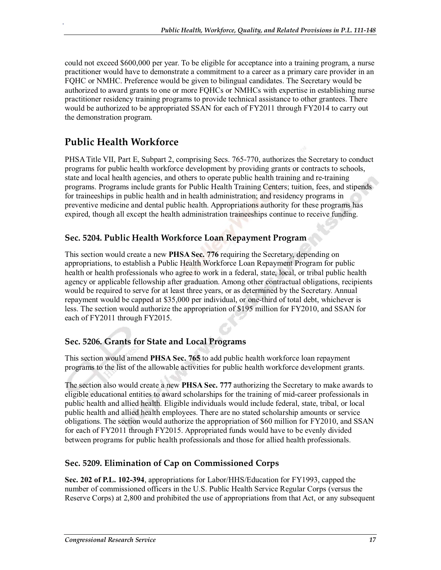could not exceed \$600,000 per year. To be eligible for acceptance into a training program, a nurse practitioner would have to demonstrate a commitment to a career as a primary care provider in an FQHC or NMHC. Preference would be given to bilingual candidates. The Secretary would be authorized to award grants to one or more FQHCs or NMHCs with expertise in establishing nurse practitioner residency training programs to provide technical assistance to other grantees. There would be authorized to be appropriated SSAN for each of FY2011 through FY2014 to carry out the demonstration program.

# **Public Health Workforce**

.

PHSA Title VII, Part E, Subpart 2, comprising Secs. 765-770, authorizes the Secretary to conduct programs for public health workforce development by providing grants or contracts to schools, state and local health agencies, and others to operate public health training and re-training programs. Programs include grants for Public Health Training Centers; tuition, fees, and stipends for traineeships in public health and in health administration; and residency programs in preventive medicine and dental public health. Appropriations authority for these programs has expired, though all except the health administration traineeships continue to receive funding.

#### **Sec. 5204. Public Health Workforce Loan Repayment Program**

This section would create a new **PHSA Sec. 776** requiring the Secretary, depending on appropriations, to establish a Public Health Workforce Loan Repayment Program for public health or health professionals who agree to work in a federal, state, local, or tribal public health agency or applicable fellowship after graduation. Among other contractual obligations, recipients would be required to serve for at least three years, or as determined by the Secretary. Annual repayment would be capped at \$35,000 per individual, or one-third of total debt, whichever is less. The section would authorize the appropriation of \$195 million for FY2010, and SSAN for each of FY2011 through FY2015.

#### **Sec. 5206. Grants for State and Local Programs**

This section would amend **PHSA Sec. 765** to add public health workforce loan repayment programs to the list of the allowable activities for public health workforce development grants.

The section also would create a new **PHSA Sec. 777** authorizing the Secretary to make awards to eligible educational entities to award scholarships for the training of mid-career professionals in public health and allied health. Eligible individuals would include federal, state, tribal, or local public health and allied health employees. There are no stated scholarship amounts or service obligations. The section would authorize the appropriation of \$60 million for FY2010, and SSAN for each of FY2011 through FY2015. Appropriated funds would have to be evenly divided between programs for public health professionals and those for allied health professionals.

#### **Sec. 5209. Elimination of Cap on Commissioned Corps**

**Sec. 202 of P.L. 102-394**, appropriations for Labor/HHS/Education for FY1993, capped the number of commissioned officers in the U.S. Public Health Service Regular Corps (versus the Reserve Corps) at 2,800 and prohibited the use of appropriations from that Act, or any subsequent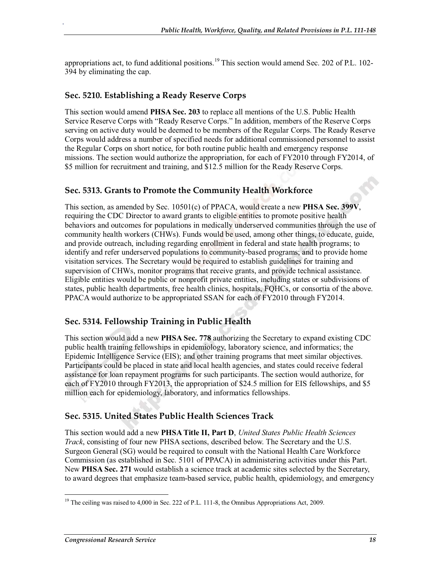appropriations act, to fund additional positions.<sup>19</sup> This section would amend Sec. 202 of P.L. 102-394 by eliminating the cap.

#### **Sec. 5210. Establishing a Ready Reserve Corps**

.

This section would amend **PHSA Sec. 203** to replace all mentions of the U.S. Public Health Service Reserve Corps with "Ready Reserve Corps." In addition, members of the Reserve Corps serving on active duty would be deemed to be members of the Regular Corps. The Ready Reserve Corps would address a number of specified needs for additional commissioned personnel to assist the Regular Corps on short notice, for both routine public health and emergency response missions. The section would authorize the appropriation, for each of FY2010 through FY2014, of \$5 million for recruitment and training, and \$12.5 million for the Ready Reserve Corps.

#### **Sec. 5313. Grants to Promote the Community Health Workforce**

This section, as amended by Sec. 10501(c) of PPACA, would create a new **PHSA Sec. 399V**, requiring the CDC Director to award grants to eligible entities to promote positive health behaviors and outcomes for populations in medically underserved communities through the use of community health workers (CHWs). Funds would be used, among other things, to educate, guide, and provide outreach, including regarding enrollment in federal and state health programs; to identify and refer underserved populations to community-based programs; and to provide home visitation services. The Secretary would be required to establish guidelines for training and supervision of CHWs, monitor programs that receive grants, and provide technical assistance. Eligible entities would be public or nonprofit private entities, including states or subdivisions of states, public health departments, free health clinics, hospitals, FQHCs, or consortia of the above. PPACA would authorize to be appropriated SSAN for each of FY2010 through FY2014.

#### **Sec. 5314. Fellowship Training in Public Health**

This section would add a new **PHSA Sec. 778** authorizing the Secretary to expand existing CDC public health training fellowships in epidemiology, laboratory science, and informatics; the Epidemic Intelligence Service (EIS); and other training programs that meet similar objectives. Participants could be placed in state and local health agencies, and states could receive federal assistance for loan repayment programs for such participants. The section would authorize, for each of FY2010 through FY2013, the appropriation of \$24.5 million for EIS fellowships, and \$5 million each for epidemiology, laboratory, and informatics fellowships.

#### **Sec. 5315. United States Public Health Sciences Track**

This section would add a new **PHSA Title II, Part D**, *United States Public Health Sciences Track*, consisting of four new PHSA sections, described below. The Secretary and the U.S. Surgeon General (SG) would be required to consult with the National Health Care Workforce Commission (as established in Sec. 5101 of PPACA) in administering activities under this Part. New **PHSA Sec. 271** would establish a science track at academic sites selected by the Secretary, to award degrees that emphasize team-based service, public health, epidemiology, and emergency

<sup>&</sup>lt;sup>19</sup> The ceiling was raised to 4,000 in Sec. 222 of P.L. 111-8, the Omnibus Appropriations Act, 2009.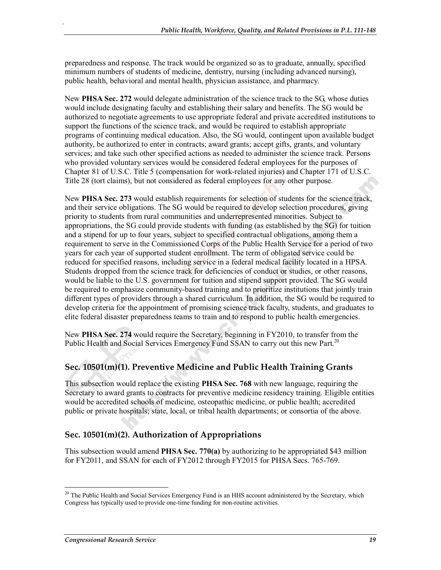preparedness and response. The track would be organized so as to graduate, annually, specified minimum numbers of students of medicine, dentistry, nursing (including advanced nursing), public health, behavioral and mental health, physician assistance, and pharmacy.

New **PHSA Sec. 272** would delegate administration of the science track to the SG, whose duties would include designating faculty and establishing their salary and benefits. The SG would be authorized to negotiate agreements to use appropriate federal and private accredited institutions to support the functions of the science track, and would be required to establish appropriate programs of continuing medical education. Also, the SG would, contingent upon available budget authority, be authorized to enter in contracts; award grants; accept gifts, grants, and voluntary services; and take such other specified actions as needed to administer the science track. Persons who provided voluntary services would be considered federal employees for the purposes of Chapter 81 of U.S.C. Title 5 (compensation for work-related injuries) and Chapter 171 of U.S.C. Title 28 (tort claims), but not considered as federal employees for any other purpose.

New **PHSA Sec. 273** would establish requirements for selection of students for the science track, and their service obligations. The SG would be required to develop selection procedures, giving priority to students from rural communities and underrepresented minorities. Subject to appropriations, the SG could provide students with funding (as established by the SG) for tuition and a stipend for up to four years, subject to specified contractual obligations, among them a requirement to serve in the Commissioned Corps of the Public Health Service for a period of two years for each year of supported student enrollment. The term of obligated service could be reduced for specified reasons, including service in a federal medical facility located in a HPSA. Students dropped from the science track for deficiencies of conduct or studies, or other reasons, would be liable to the U.S. government for tuition and stipend support provided. The SG would be required to emphasize community-based training and to prioritize institutions that jointly train different types of providers through a shared curriculum. In addition, the SG would be required to develop criteria for the appointment of promising science track faculty, students, and graduates to elite federal disaster preparedness teams to train and to respond to public health emergencies.

New **PHSA Sec. 274** would require the Secretary, beginning in FY2010, to transfer from the Public Health and Social Services Emergency Fund SSAN to carry out this new Part.<sup>20</sup>

#### **Sec. 10501(m)(1). Preventive Medicine and Public Health Training Grants**

This subsection would replace the existing **PHSA Sec. 768** with new language, requiring the Secretary to award grants to contracts for preventive medicine residency training. Eligible entities would be accredited schools of medicine, osteopathic medicine, or public health; accredited public or private hospitals; state, local, or tribal health departments; or consortia of the above.

#### **Sec. 10501(m)(2). Authorization of Appropriations**

This subsection would amend **PHSA Sec. 770(a)** by authorizing to be appropriated \$43 million for FY2011, and SSAN for each of FY2012 through FY2015 for PHSA Secs. 765-769.

<sup>&</sup>lt;sup>20</sup> The Public Health and Social Services Emergency Fund is an HHS account administered by the Secretary, which Congress has typically used to provide one-time funding for non-routine activities.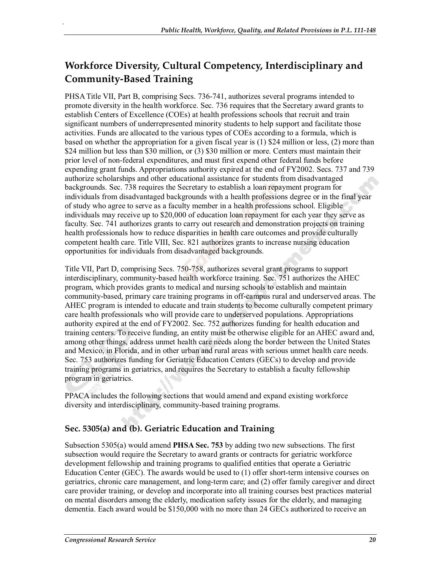## **Workforce Diversity, Cultural Competency, Interdisciplinary and Community-Based Training**

PHSA Title VII, Part B, comprising Secs. 736-741, authorizes several programs intended to promote diversity in the health workforce. Sec. 736 requires that the Secretary award grants to establish Centers of Excellence (COEs) at health professions schools that recruit and train significant numbers of underrepresented minority students to help support and facilitate those activities. Funds are allocated to the various types of COEs according to a formula, which is based on whether the appropriation for a given fiscal year is (1) \$24 million or less, (2) more than \$24 million but less than \$30 million, or (3) \$30 million or more. Centers must maintain their prior level of non-federal expenditures, and must first expend other federal funds before expending grant funds. Appropriations authority expired at the end of FY2002. Secs. 737 and 739 authorize scholarships and other educational assistance for students from disadvantaged backgrounds. Sec. 738 requires the Secretary to establish a loan repayment program for individuals from disadvantaged backgrounds with a health professions degree or in the final year of study who agree to serve as a faculty member in a health professions school. Eligible individuals may receive up to \$20,000 of education loan repayment for each year they serve as faculty. Sec. 741 authorizes grants to carry out research and demonstration projects on training health professionals how to reduce disparities in health care outcomes and provide culturally competent health care. Title VIII, Sec. 821 authorizes grants to increase nursing education opportunities for individuals from disadvantaged backgrounds.

Title VII, Part D, comprising Secs. 750-758, authorizes several grant programs to support interdisciplinary, community-based health workforce training. Sec. 751 authorizes the AHEC program, which provides grants to medical and nursing schools to establish and maintain community-based, primary care training programs in off-campus rural and underserved areas. The AHEC program is intended to educate and train students to become culturally competent primary care health professionals who will provide care to underserved populations. Appropriations authority expired at the end of FY2002. Sec. 752 authorizes funding for health education and training centers. To receive funding, an entity must be otherwise eligible for an AHEC award and, among other things, address unmet health care needs along the border between the United States and Mexico, in Florida, and in other urban and rural areas with serious unmet health care needs. Sec. 753 authorizes funding for Geriatric Education Centers (GECs) to develop and provide training programs in geriatrics, and requires the Secretary to establish a faculty fellowship program in geriatrics.

PPACA includes the following sections that would amend and expand existing workforce diversity and interdisciplinary, community-based training programs.

#### **Sec. 5305(a) and (b). Geriatric Education and Training**

Subsection 5305(a) would amend **PHSA Sec. 753** by adding two new subsections. The first subsection would require the Secretary to award grants or contracts for geriatric workforce development fellowship and training programs to qualified entities that operate a Geriatric Education Center (GEC). The awards would be used to (1) offer short-term intensive courses on geriatrics, chronic care management, and long-term care; and (2) offer family caregiver and direct care provider training, or develop and incorporate into all training courses best practices material on mental disorders among the elderly, medication safety issues for the elderly, and managing dementia. Each award would be \$150,000 with no more than 24 GECs authorized to receive an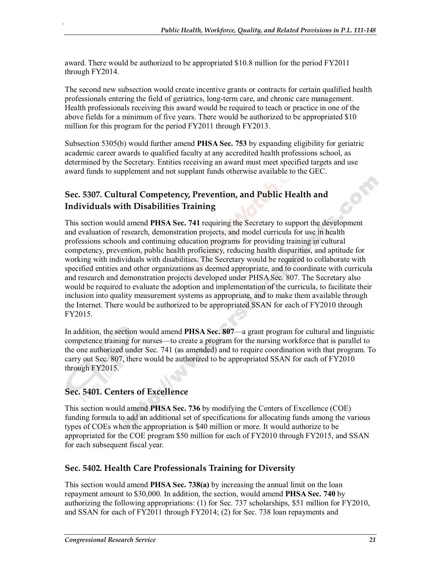award. There would be authorized to be appropriated \$10.8 million for the period FY2011 through FY2014.

The second new subsection would create incentive grants or contracts for certain qualified health professionals entering the field of geriatrics, long-term care, and chronic care management. Health professionals receiving this award would be required to teach or practice in one of the above fields for a minimum of five years. There would be authorized to be appropriated \$10 million for this program for the period FY2011 through FY2013.

Subsection 5305(b) would further amend **PHSA Sec. 753** by expanding eligibility for geriatric academic career awards to qualified faculty at any accredited health professions school, as determined by the Secretary. Entities receiving an award must meet specified targets and use award funds to supplement and not supplant funds otherwise available to the GEC.

#### **Sec. 5307. Cultural Competency, Prevention, and Public Health and Individuals with Disabilities Training**

This section would amend **PHSA Sec. 741** requiring the Secretary to support the development and evaluation of research, demonstration projects, and model curricula for use in health professions schools and continuing education programs for providing training in cultural competency, prevention, public health proficiency, reducing health disparities, and aptitude for working with individuals with disabilities. The Secretary would be required to collaborate with specified entities and other organizations as deemed appropriate, and to coordinate with curricula and research and demonstration projects developed under PHSA Sec. 807. The Secretary also would be required to evaluate the adoption and implementation of the curricula, to facilitate their inclusion into quality measurement systems as appropriate, and to make them available through the Internet. There would be authorized to be appropriated SSAN for each of FY2010 through FY2015.

In addition, the section would amend **PHSA Sec. 807**—a grant program for cultural and linguistic competence training for nurses—to create a program for the nursing workforce that is parallel to the one authorized under Sec. 741 (as amended) and to require coordination with that program. To carry out Sec. 807, there would be authorized to be appropriated SSAN for each of FY2010 through FY2015.

#### **Sec. 5401. Centers of Excellence**

.

This section would amend **PHSA Sec. 736** by modifying the Centers of Excellence (COE) funding formula to add an additional set of specifications for allocating funds among the various types of COEs when the appropriation is \$40 million or more. It would authorize to be appropriated for the COE program \$50 million for each of FY2010 through FY2015, and SSAN for each subsequent fiscal year.

#### **Sec. 5402. Health Care Professionals Training for Diversity**

This section would amend **PHSA Sec. 738(a)** by increasing the annual limit on the loan repayment amount to \$30,000. In addition, the section, would amend **PHSA Sec. 740** by authorizing the following appropriations: (1) for Sec. 737 scholarships, \$51 million for FY2010, and SSAN for each of FY2011 through FY2014; (2) for Sec. 738 loan repayments and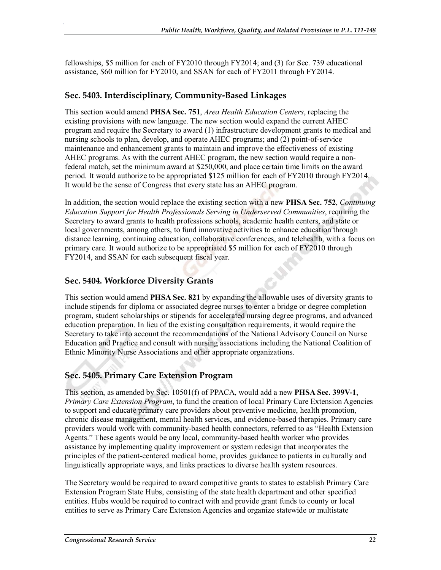fellowships, \$5 million for each of FY2010 through FY2014; and (3) for Sec. 739 educational assistance, \$60 million for FY2010, and SSAN for each of FY2011 through FY2014.

#### **Sec. 5403. Interdisciplinary, Community-Based Linkages**

.

This section would amend **PHSA Sec. 751**, *Area Health Education Centers*, replacing the existing provisions with new language. The new section would expand the current AHEC program and require the Secretary to award (1) infrastructure development grants to medical and nursing schools to plan, develop, and operate AHEC programs; and (2) point-of-service maintenance and enhancement grants to maintain and improve the effectiveness of existing AHEC programs. As with the current AHEC program, the new section would require a nonfederal match, set the minimum award at \$250,000, and place certain time limits on the award period. It would authorize to be appropriated \$125 million for each of FY2010 through FY2014. It would be the sense of Congress that every state has an AHEC program.

In addition, the section would replace the existing section with a new **PHSA Sec. 752**, *Continuing Education Support for Health Professionals Serving in Underserved Communities*, requiring the Secretary to award grants to health professions schools, academic health centers, and state or local governments, among others, to fund innovative activities to enhance education through distance learning, continuing education, collaborative conferences, and telehealth, with a focus on primary care. It would authorize to be appropriated \$5 million for each of FY2010 through FY2014, and SSAN for each subsequent fiscal year.

#### **Sec. 5404. Workforce Diversity Grants**

This section would amend **PHSA Sec. 821** by expanding the allowable uses of diversity grants to include stipends for diploma or associated degree nurses to enter a bridge or degree completion program, student scholarships or stipends for accelerated nursing degree programs, and advanced education preparation. In lieu of the existing consultation requirements, it would require the Secretary to take into account the recommendations of the National Advisory Council on Nurse Education and Practice and consult with nursing associations including the National Coalition of Ethnic Minority Nurse Associations and other appropriate organizations.

#### **Sec. 5405. Primary Care Extension Program**

This section, as amended by Sec. 10501(f) of PPACA, would add a new **PHSA Sec. 399V-1**, *Primary Care Extension Program*, to fund the creation of local Primary Care Extension Agencies to support and educate primary care providers about preventive medicine, health promotion, chronic disease management, mental health services, and evidence-based therapies. Primary care providers would work with community-based health connectors, referred to as "Health Extension Agents." These agents would be any local, community-based health worker who provides assistance by implementing quality improvement or system redesign that incorporates the principles of the patient-centered medical home, provides guidance to patients in culturally and linguistically appropriate ways, and links practices to diverse health system resources.

The Secretary would be required to award competitive grants to states to establish Primary Care Extension Program State Hubs, consisting of the state health department and other specified entities. Hubs would be required to contract with and provide grant funds to county or local entities to serve as Primary Care Extension Agencies and organize statewide or multistate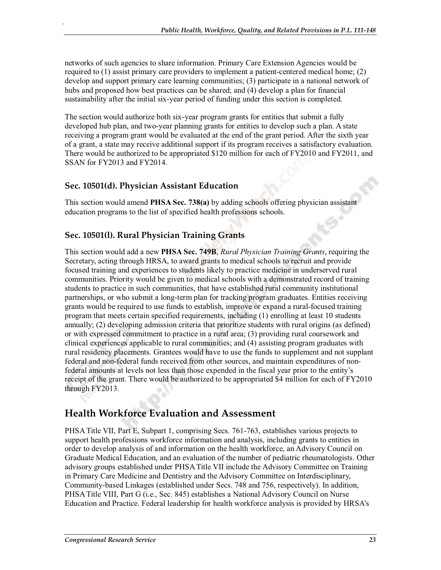networks of such agencies to share information. Primary Care Extension Agencies would be required to (1) assist primary care providers to implement a patient-centered medical home; (2) develop and support primary care learning communities; (3) participate in a national network of hubs and proposed how best practices can be shared; and (4) develop a plan for financial sustainability after the initial six-year period of funding under this section is completed.

The section would authorize both six-year program grants for entities that submit a fully developed hub plan, and two-year planning grants for entities to develop such a plan. A state receiving a program grant would be evaluated at the end of the grant period. After the sixth year of a grant, a state may receive additional support if its program receives a satisfactory evaluation. There would be authorized to be appropriated \$120 million for each of FY2010 and FY2011, and SSAN for FY2013 and FY2014.

#### **Sec. 10501(d). Physician Assistant Education**

.

This section would amend **PHSA Sec. 738(a)** by adding schools offering physician assistant education programs to the list of specified health professions schools.

#### **Sec. 10501(l). Rural Physician Training Grants**

This section would add a new **PHSA Sec. 749B**, *Rural Physician Training Grants*, requiring the Secretary, acting through HRSA, to award grants to medical schools to recruit and provide focused training and experiences to students likely to practice medicine in underserved rural communities. Priority would be given to medical schools with a demonstrated record of training students to practice in such communities, that have established rural community institutional partnerships, or who submit a long-term plan for tracking program graduates. Entities receiving grants would be required to use funds to establish, improve or expand a rural-focused training program that meets certain specified requirements, including (1) enrolling at least 10 students annually; (2) developing admission criteria that prioritize students with rural origins (as defined) or with expressed commitment to practice in a rural area; (3) providing rural coursework and clinical experiences applicable to rural communities; and (4) assisting program graduates with rural residency placements. Grantees would have to use the funds to supplement and not supplant federal and non-federal funds received from other sources, and maintain expenditures of nonfederal amounts at levels not less than those expended in the fiscal year prior to the entity's receipt of the grant. There would be authorized to be appropriated \$4 million for each of FY2010 through FY2013.

## **Health Workforce Evaluation and Assessment**

PHSA Title VII, Part E, Subpart 1, comprising Secs. 761-763, establishes various projects to support health professions workforce information and analysis, including grants to entities in order to develop analysis of and information on the health workforce, an Advisory Council on Graduate Medical Education, and an evaluation of the number of pediatric rheumatologists. Other advisory groups established under PHSA Title VII include the Advisory Committee on Training in Primary Care Medicine and Dentistry and the Advisory Committee on Interdisciplinary, Community-based Linkages (established under Secs. 748 and 756, respectively). In addition, PHSA Title VIII, Part G (i.e., Sec. 845) establishes a National Advisory Council on Nurse Education and Practice. Federal leadership for health workforce analysis is provided by HRSA's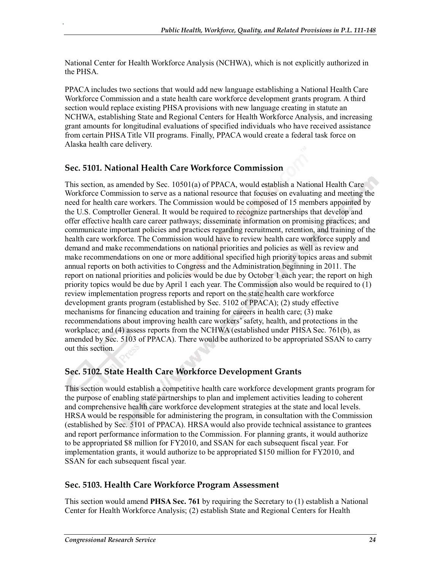National Center for Health Workforce Analysis (NCHWA), which is not explicitly authorized in the PHSA.

PPACA includes two sections that would add new language establishing a National Health Care Workforce Commission and a state health care workforce development grants program. A third section would replace existing PHSA provisions with new language creating in statute an NCHWA, establishing State and Regional Centers for Health Workforce Analysis, and increasing grant amounts for longitudinal evaluations of specified individuals who have received assistance from certain PHSA Title VII programs. Finally, PPACA would create a federal task force on Alaska health care delivery.

#### **Sec. 5101. National Health Care Workforce Commission**

.

This section, as amended by Sec. 10501(a) of PPACA, would establish a National Health Care Workforce Commission to serve as a national resource that focuses on evaluating and meeting the need for health care workers. The Commission would be composed of 15 members appointed by the U.S. Comptroller General. It would be required to recognize partnerships that develop and offer effective health care career pathways; disseminate information on promising practices; and communicate important policies and practices regarding recruitment, retention, and training of the health care workforce. The Commission would have to review health care workforce supply and demand and make recommendations on national priorities and policies as well as review and make recommendations on one or more additional specified high priority topics areas and submit annual reports on both activities to Congress and the Administration beginning in 2011. The report on national priorities and policies would be due by October 1 each year; the report on high priority topics would be due by April 1 each year. The Commission also would be required to (1) review implementation progress reports and report on the state health care workforce development grants program (established by Sec. 5102 of PPACA); (2) study effective mechanisms for financing education and training for careers in health care; (3) make recommendations about improving health care workers' safety, health, and protections in the workplace; and (4) assess reports from the NCHWA (established under PHSA Sec. 761(b), as amended by Sec. 5103 of PPACA). There would be authorized to be appropriated SSAN to carry out this section.

#### **Sec. 5102. State Health Care Workforce Development Grants**

This section would establish a competitive health care workforce development grants program for the purpose of enabling state partnerships to plan and implement activities leading to coherent and comprehensive health care workforce development strategies at the state and local levels. HRSA would be responsible for administering the program, in consultation with the Commission (established by Sec. 5101 of PPACA). HRSA would also provide technical assistance to grantees and report performance information to the Commission. For planning grants, it would authorize to be appropriated \$8 million for FY2010, and SSAN for each subsequent fiscal year. For implementation grants, it would authorize to be appropriated \$150 million for FY2010, and SSAN for each subsequent fiscal year.

#### **Sec. 5103. Health Care Workforce Program Assessment**

This section would amend **PHSA Sec. 761** by requiring the Secretary to (1) establish a National Center for Health Workforce Analysis; (2) establish State and Regional Centers for Health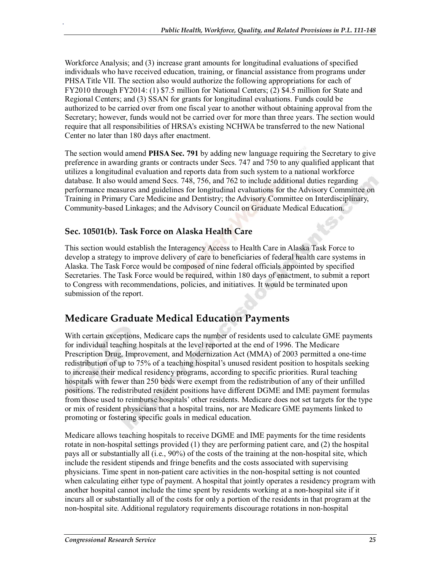Workforce Analysis; and (3) increase grant amounts for longitudinal evaluations of specified individuals who have received education, training, or financial assistance from programs under PHSA Title VII. The section also would authorize the following appropriations for each of FY2010 through FY2014: (1) \$7.5 million for National Centers; (2) \$4.5 million for State and Regional Centers; and (3) SSAN for grants for longitudinal evaluations. Funds could be authorized to be carried over from one fiscal year to another without obtaining approval from the Secretary; however, funds would not be carried over for more than three years. The section would require that all responsibilities of HRSA's existing NCHWA be transferred to the new National Center no later than 180 days after enactment.

The section would amend **PHSA Sec. 791** by adding new language requiring the Secretary to give preference in awarding grants or contracts under Secs. 747 and 750 to any qualified applicant that utilizes a longitudinal evaluation and reports data from such system to a national workforce database. It also would amend Secs. 748, 756, and 762 to include additional duties regarding performance measures and guidelines for longitudinal evaluations for the Advisory Committee on Training in Primary Care Medicine and Dentistry; the Advisory Committee on Interdisciplinary, Community-based Linkages; and the Advisory Council on Graduate Medical Education.

#### **Sec. 10501(b). Task Force on Alaska Health Care**

.

This section would establish the Interagency Access to Health Care in Alaska Task Force to develop a strategy to improve delivery of care to beneficiaries of federal health care systems in Alaska. The Task Force would be composed of nine federal officials appointed by specified Secretaries. The Task Force would be required, within 180 days of enactment, to submit a report to Congress with recommendations, policies, and initiatives. It would be terminated upon submission of the report.

## **Medicare Graduate Medical Education Payments**

With certain exceptions, Medicare caps the number of residents used to calculate GME payments for individual teaching hospitals at the level reported at the end of 1996. The Medicare Prescription Drug, Improvement, and Modernization Act (MMA) of 2003 permitted a one-time redistribution of up to 75% of a teaching hospital's unused resident position to hospitals seeking to increase their medical residency programs, according to specific priorities. Rural teaching hospitals with fewer than 250 beds were exempt from the redistribution of any of their unfilled positions. The redistributed resident positions have different DGME and IME payment formulas from those used to reimburse hospitals' other residents. Medicare does not set targets for the type or mix of resident physicians that a hospital trains, nor are Medicare GME payments linked to promoting or fostering specific goals in medical education.

Medicare allows teaching hospitals to receive DGME and IME payments for the time residents rotate in non-hospital settings provided (1) they are performing patient care, and (2) the hospital pays all or substantially all (i.e., 90%) of the costs of the training at the non-hospital site, which include the resident stipends and fringe benefits and the costs associated with supervising physicians. Time spent in non-patient care activities in the non-hospital setting is not counted when calculating either type of payment. A hospital that jointly operates a residency program with another hospital cannot include the time spent by residents working at a non-hospital site if it incurs all or substantially all of the costs for only a portion of the residents in that program at the non-hospital site. Additional regulatory requirements discourage rotations in non-hospital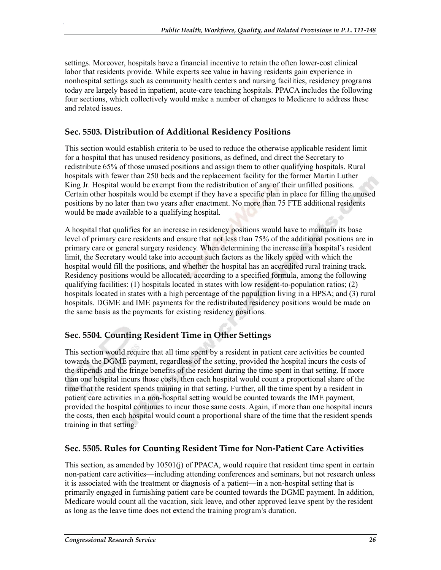settings. Moreover, hospitals have a financial incentive to retain the often lower-cost clinical labor that residents provide. While experts see value in having residents gain experience in nonhospital settings such as community health centers and nursing facilities, residency programs today are largely based in inpatient, acute-care teaching hospitals. PPACA includes the following four sections, which collectively would make a number of changes to Medicare to address these and related issues.

#### **Sec. 5503. Distribution of Additional Residency Positions**

.

This section would establish criteria to be used to reduce the otherwise applicable resident limit for a hospital that has unused residency positions, as defined, and direct the Secretary to redistribute 65% of those unused positions and assign them to other qualifying hospitals. Rural hospitals with fewer than 250 beds and the replacement facility for the former Martin Luther King Jr. Hospital would be exempt from the redistribution of any of their unfilled positions. Certain other hospitals would be exempt if they have a specific plan in place for filling the unused positions by no later than two years after enactment. No more than 75 FTE additional residents would be made available to a qualifying hospital.

A hospital that qualifies for an increase in residency positions would have to maintain its base level of primary care residents and ensure that not less than 75% of the additional positions are in primary care or general surgery residency. When determining the increase in a hospital's resident limit, the Secretary would take into account such factors as the likely speed with which the hospital would fill the positions, and whether the hospital has an accredited rural training track. Residency positions would be allocated, according to a specified formula, among the following qualifying facilities: (1) hospitals located in states with low resident-to-population ratios; (2) hospitals located in states with a high percentage of the population living in a HPSA; and (3) rural hospitals. DGME and IME payments for the redistributed residency positions would be made on the same basis as the payments for existing residency positions.

#### **Sec. 5504. Counting Resident Time in Other Settings**

This section would require that all time spent by a resident in patient care activities be counted towards the DGME payment, regardless of the setting, provided the hospital incurs the costs of the stipends and the fringe benefits of the resident during the time spent in that setting. If more than one hospital incurs those costs, then each hospital would count a proportional share of the time that the resident spends training in that setting. Further, all the time spent by a resident in patient care activities in a non-hospital setting would be counted towards the IME payment, provided the hospital continues to incur those same costs. Again, if more than one hospital incurs the costs, then each hospital would count a proportional share of the time that the resident spends training in that setting.

#### **Sec. 5505. Rules for Counting Resident Time for Non-Patient Care Activities**

This section, as amended by 10501(j) of PPACA, would require that resident time spent in certain non-patient care activities—including attending conferences and seminars, but not research unless it is associated with the treatment or diagnosis of a patient—in a non-hospital setting that is primarily engaged in furnishing patient care be counted towards the DGME payment. In addition, Medicare would count all the vacation, sick leave, and other approved leave spent by the resident as long as the leave time does not extend the training program's duration.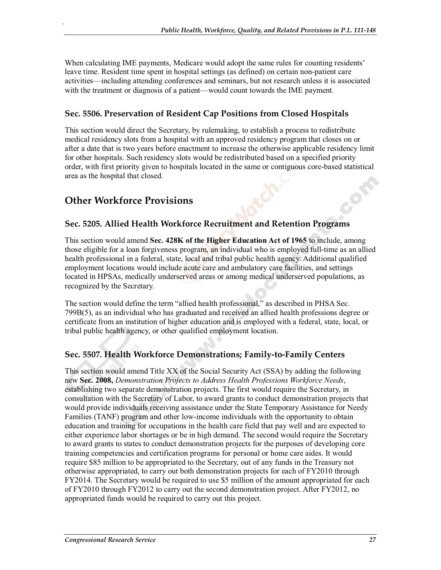When calculating IME payments, Medicare would adopt the same rules for counting residents' leave time. Resident time spent in hospital settings (as defined) on certain non-patient care activities—including attending conferences and seminars, but not research unless it is associated with the treatment or diagnosis of a patient—would count towards the IME payment.

#### **Sec. 5506. Preservation of Resident Cap Positions from Closed Hospitals**

This section would direct the Secretary, by rulemaking, to establish a process to redistribute medical residency slots from a hospital with an approved residency program that closes on or after a date that is two years before enactment to increase the otherwise applicable residency limit for other hospitals. Such residency slots would be redistributed based on a specified priority order, with first priority given to hospitals located in the same or contiguous core-based statistical area as the hospital that closed.

## **Other Workforce Provisions**

.

#### **Sec. 5205. Allied Health Workforce Recruitment and Retention Programs**

This section would amend **Sec. 428K of the Higher Education Act of 1965** to include, among those eligible for a loan forgiveness program, an individual who is employed full-time as an allied health professional in a federal, state, local and tribal public health agency. Additional qualified employment locations would include acute care and ambulatory care facilities, and settings located in HPSAs, medically underserved areas or among medical underserved populations, as recognized by the Secretary.

The section would define the term "allied health professional," as described in PHSA Sec. 799B(5), as an individual who has graduated and received an allied health professions degree or certificate from an institution of higher education and is employed with a federal, state, local, or tribal public health agency, or other qualified employment location.

#### **Sec. 5507. Health Workforce Demonstrations; Family-to-Family Centers**

This section would amend Title XX of the Social Security Act (SSA) by adding the following new **Sec. 2008,** *Demonstration Projects to Address Health Professions Workforce Needs*, establishing two separate demonstration projects. The first would require the Secretary, in consultation with the Secretary of Labor, to award grants to conduct demonstration projects that would provide individuals receiving assistance under the State Temporary Assistance for Needy Families (TANF) program and other low-income individuals with the opportunity to obtain education and training for occupations in the health care field that pay well and are expected to either experience labor shortages or be in high demand. The second would require the Secretary to award grants to states to conduct demonstration projects for the purposes of developing core training competencies and certification programs for personal or home care aides. It would require \$85 million to be appropriated to the Secretary, out of any funds in the Treasury not otherwise appropriated, to carry out both demonstration projects for each of FY2010 through FY2014. The Secretary would be required to use \$5 million of the amount appropriated for each of FY2010 through FY2012 to carry out the second demonstration project. After FY2012, no appropriated funds would be required to carry out this project.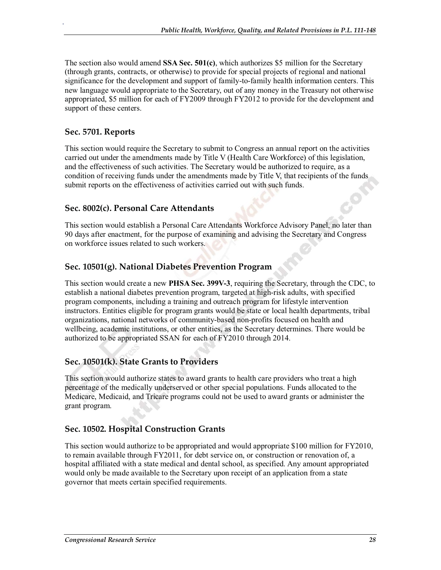The section also would amend **SSA Sec. 501(c)**, which authorizes \$5 million for the Secretary (through grants, contracts, or otherwise) to provide for special projects of regional and national significance for the development and support of family-to-family health information centers. This new language would appropriate to the Secretary, out of any money in the Treasury not otherwise appropriated, \$5 million for each of FY2009 through FY2012 to provide for the development and support of these centers.

#### **Sec. 5701. Reports**

.

This section would require the Secretary to submit to Congress an annual report on the activities carried out under the amendments made by Title V (Health Care Workforce) of this legislation, and the effectiveness of such activities. The Secretary would be authorized to require, as a condition of receiving funds under the amendments made by Title V, that recipients of the funds submit reports on the effectiveness of activities carried out with such funds.

#### **Sec. 8002(c). Personal Care Attendants**

This section would establish a Personal Care Attendants Workforce Advisory Panel, no later than 90 days after enactment, for the purpose of examining and advising the Secretary and Congress on workforce issues related to such workers.

#### **Sec. 10501(g). National Diabetes Prevention Program**

This section would create a new **PHSA Sec. 399V-3**, requiring the Secretary, through the CDC, to establish a national diabetes prevention program, targeted at high-risk adults, with specified program components, including a training and outreach program for lifestyle intervention instructors. Entities eligible for program grants would be state or local health departments, tribal organizations, national networks of community-based non-profits focused on health and wellbeing, academic institutions, or other entities, as the Secretary determines. There would be authorized to be appropriated SSAN for each of FY2010 through 2014.

#### **Sec. 10501(k). State Grants to Providers**

This section would authorize states to award grants to health care providers who treat a high percentage of the medically underserved or other special populations. Funds allocated to the Medicare, Medicaid, and Tricare programs could not be used to award grants or administer the grant program.

#### **Sec. 10502. Hospital Construction Grants**

This section would authorize to be appropriated and would appropriate \$100 million for FY2010, to remain available through FY2011, for debt service on, or construction or renovation of, a hospital affiliated with a state medical and dental school, as specified. Any amount appropriated would only be made available to the Secretary upon receipt of an application from a state governor that meets certain specified requirements.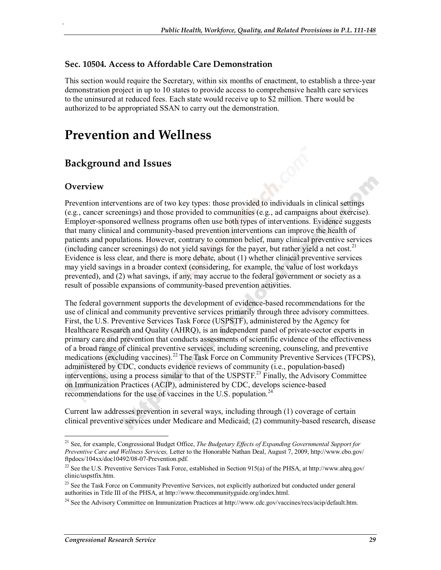#### **Sec. 10504. Access to Affordable Care Demonstration**

This section would require the Secretary, within six months of enactment, to establish a three-year demonstration project in up to 10 states to provide access to comprehensive health care services to the uninsured at reduced fees. Each state would receive up to \$2 million. There would be authorized to be appropriated SSAN to carry out the demonstration.

# **Prevention and Wellness**

## **Background and Issues**

#### **Overview**

.

Prevention interventions are of two key types: those provided to individuals in clinical settings (e.g., cancer screenings) and those provided to communities (e.g., ad campaigns about exercise). Employer-sponsored wellness programs often use both types of interventions. Evidence suggests that many clinical and community-based prevention interventions can improve the health of patients and populations. However, contrary to common belief, many clinical preventive services (including cancer screenings) do not yield savings for the payer, but rather yield a net cost.<sup>21</sup> Evidence is less clear, and there is more debate, about (1) whether clinical preventive services may yield savings in a broader context (considering, for example, the value of lost workdays prevented), and (2) what savings, if any, may accrue to the federal government or society as a result of possible expansions of community-based prevention activities.

The federal government supports the development of evidence-based recommendations for the use of clinical and community preventive services primarily through three advisory committees. First, the U.S. Preventive Services Task Force (USPSTF), administered by the Agency for Healthcare Research and Quality (AHRQ), is an independent panel of private-sector experts in primary care and prevention that conducts assessments of scientific evidence of the effectiveness of a broad range of clinical preventive services, including screening, counseling, and preventive medications (excluding vaccines).<sup>22</sup> The Task Force on Community Preventive Services (TFCPS), administered by CDC, conducts evidence reviews of community (i.e., population-based) interventions, using a process similar to that of the USPSTF.<sup>23</sup> Finally, the Advisory Committee on Immunization Practices (ACIP), administered by CDC, develops science-based recommendations for the use of vaccines in the U.S. population.<sup>24</sup>

Current law addresses prevention in several ways, including through (1) coverage of certain clinical preventive services under Medicare and Medicaid; (2) community-based research, disease

<sup>&</sup>lt;sup>21</sup> See, for example, Congressional Budget Office, *The Budgetary Effects of Expanding Governmental Support for Preventive Care and Wellness Servic*e*s,* Letter to the Honorable Nathan Deal, August 7, 2009, http://www.cbo.gov/ ftpdocs/104xx/doc10492/08-07-Prevention.pdf.

<sup>&</sup>lt;sup>22</sup> See the U.S. Preventive Services Task Force, established in Section 915(a) of the PHSA, at http://www.ahrq.gov/ clinic/uspstfix.htm.

<sup>&</sup>lt;sup>23</sup> See the Task Force on Community Preventive Services, not explicitly authorized but conducted under general authorities in Title III of the PHSA, at http://www.thecommunityguide.org/index.html.

<sup>&</sup>lt;sup>24</sup> See the Advisory Committee on Immunization Practices at http://www.cdc.gov/vaccines/recs/acip/default.htm.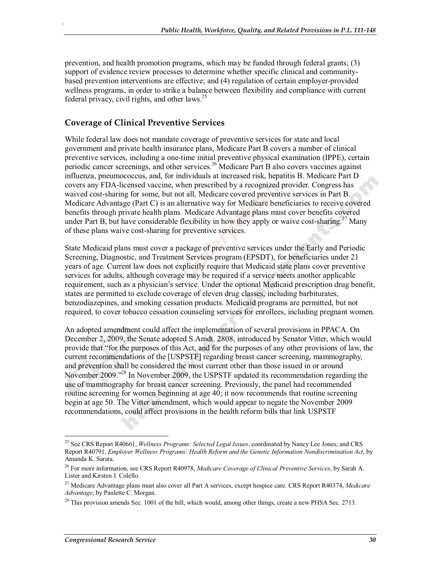prevention, and health promotion programs, which may be funded through federal grants; (3) support of evidence review processes to determine whether specific clinical and communitybased prevention interventions are effective; and (4) regulation of certain employer-provided wellness programs, in order to strike a balance between flexibility and compliance with current federal privacy, civil rights, and other laws.<sup>25</sup>

#### **Coverage of Clinical Preventive Services**

.

While federal law does not mandate coverage of preventive services for state and local government and private health insurance plans, Medicare Part B covers a number of clinical preventive services, including a one-time initial preventive physical examination (IPPE), certain periodic cancer screenings, and other services.<sup>26</sup> Medicare Part B also covers vaccines against influenza, pneumococcus, and, for individuals at increased risk, hepatitis B. Medicare Part D covers any FDA-licensed vaccine, when prescribed by a recognized provider. Congress has waived cost-sharing for some, but not all, Medicare covered preventive services in Part B. Medicare Advantage (Part C) is an alternative way for Medicare beneficiaries to receive covered benefits through private health plans. Medicare Advantage plans must cover benefits covered under Part B, but have considerable flexibility in how they apply or waive cost-sharing.<sup>27</sup> Many of these plans waive cost-sharing for preventive services.

State Medicaid plans must cover a package of preventive services under the Early and Periodic Screening, Diagnostic, and Treatment Services program (EPSDT), for beneficiaries under 21 years of age. Current law does not explicitly require that Medicaid state plans cover preventive services for adults, although coverage may be required if a service meets another applicable requirement, such as a physician's service. Under the optional Medicaid prescription drug benefit, states are permitted to exclude coverage of eleven drug classes, including barbiturates, benzodiazepines, and smoking cessation products. Medicaid programs are permitted, but not required, to cover tobacco cessation counseling services for enrollees, including pregnant women.

An adopted amendment could affect the implementation of several provisions in PPACA. On December 2, 2009, the Senate adopted S.Amdt. 2808, introduced by Senator Vitter, which would provide that "for the purposes of this Act, and for the purposes of any other provisions of law, the current recommendations of the [USPSTF] regarding breast cancer screening, mammography, and prevention shall be considered the most current other than those issued in or around November 2009.<sup>"28</sup> In November 2009, the USPSTF updated its recommendation regarding the use of mammography for breast cancer screening. Previously, the panel had recommended routine screening for women beginning at age 40; it now recommends that routine screening begin at age 50. The Vitter amendment, which would appear to negate the November 2009 recommendations, could affect provisions in the health reform bills that link USPSTF

<sup>25</sup> See CRS Report R40661, *Wellness Programs: Selected Legal Issues*, coordinated by Nancy Lee Jones; and CRS Report R40791, *Employer Wellness Programs: Health Reform and the Genetic Information Nondiscrimination Act*, by Amanda K. Sarata.

<sup>26</sup> For more information, see CRS Report R40978, *Medicare Coverage of Clinical Preventive Services*, by Sarah A. Lister and Kirsten J. Colello.

<sup>27</sup> Medicare Advantage plans must also cover all Part A services, except hospice care. CRS Report R40374, *Medicare Advantage*, by Paulette C. Morgan.

<sup>&</sup>lt;sup>28</sup> This provision amends Sec. 1001 of the bill, which would, among other things, create a new PHSA Sec. 2713.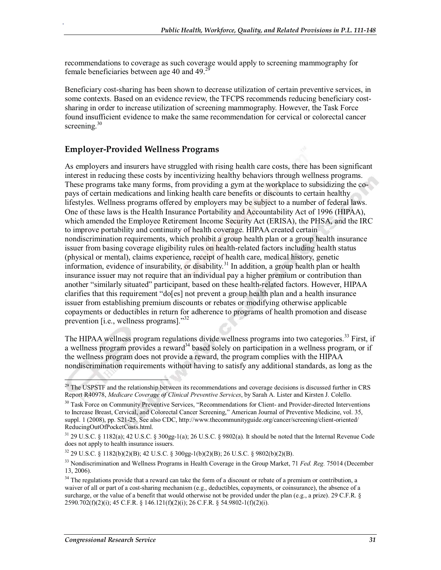recommendations to coverage as such coverage would apply to screening mammography for female beneficiaries between age 40 and 49. $^{29}$ 

Beneficiary cost-sharing has been shown to decrease utilization of certain preventive services, in some contexts. Based on an evidence review, the TFCPS recommends reducing beneficiary costsharing in order to increase utilization of screening mammography. However, the Task Force found insufficient evidence to make the same recommendation for cervical or colorectal cancer screening.<sup>30</sup>

#### **Employer-Provided Wellness Programs**

.

As employers and insurers have struggled with rising health care costs, there has been significant interest in reducing these costs by incentivizing healthy behaviors through wellness programs. These programs take many forms, from providing a gym at the workplace to subsidizing the copays of certain medications and linking health care benefits or discounts to certain healthy lifestyles. Wellness programs offered by employers may be subject to a number of federal laws. One of these laws is the Health Insurance Portability and Accountability Act of 1996 (HIPAA), which amended the Employee Retirement Income Security Act (ERISA), the PHSA, and the IRC to improve portability and continuity of health coverage. HIPAA created certain nondiscrimination requirements, which prohibit a group health plan or a group health insurance issuer from basing coverage eligibility rules on health-related factors including health status (physical or mental), claims experience, receipt of health care, medical history, genetic information, evidence of insurability, or disability.<sup>31</sup> In addition, a group health plan or health insurance issuer may not require that an individual pay a higher premium or contribution than another "similarly situated" participant, based on these health-related factors. However, HIPAA clarifies that this requirement "do[es] not prevent a group health plan and a health insurance issuer from establishing premium discounts or rebates or modifying otherwise applicable copayments or deductibles in return for adherence to programs of health promotion and disease prevention [i.e., wellness programs]."<sup>32</sup>

The HIPAA wellness program regulations divide wellness programs into two categories.<sup>33</sup> First, if a wellness program provides a reward<sup>34</sup> based solely on participation in a wellness program, or if the wellness program does not provide a reward, the program complies with the HIPAA nondiscrimination requirements without having to satisfy any additional standards, as long as the

<sup>&</sup>lt;sup>29</sup> The USPSTF and the relationship between its recommendations and coverage decisions is discussed further in CRS Report R40978, *Medicare Coverage of Clinical Preventive Services*, by Sarah A. Lister and Kirsten J. Colello.

<sup>&</sup>lt;sup>30</sup> Task Force on Community Preventive Services, "Recommendations for Client- and Provider-directed Interventions to Increase Breast, Cervical, and Colorectal Cancer Screening," American Journal of Preventive Medicine, vol. 35, suppl. 1 (2008), pp. S21-25. See also CDC, http://www.thecommunityguide.org/cancer/screening/client-oriented/ ReducingOutOfPocketCosts.html.

<sup>31 29</sup> U.S.C. § 1182(a); 42 U.S.C. § 300gg-1(a); 26 U.S.C. § 9802(a). It should be noted that the Internal Revenue Code does not apply to health insurance issuers.

 $32$  29 U.S.C. § 1182(b)(2)(B); 42 U.S.C. § 300gg-1(b)(2)(B); 26 U.S.C. § 9802(b)(2)(B).

<sup>&</sup>lt;sup>33</sup> Nondiscrimination and Wellness Programs in Health Coverage in the Group Market, 71 *Fed. Reg.* 75014 (December 13, 2006).

<sup>&</sup>lt;sup>34</sup> The regulations provide that a reward can take the form of a discount or rebate of a premium or contribution, a waiver of all or part of a cost-sharing mechanism (e.g., deductibles, copayments, or coinsurance), the absence of a surcharge, or the value of a benefit that would otherwise not be provided under the plan (e.g., a prize). 29 C.F.R. § 2590.702(f)(2)(i); 45 C.F.R. § 146.121(f)(2)(i); 26 C.F.R. § 54.9802-1(f)(2)(i).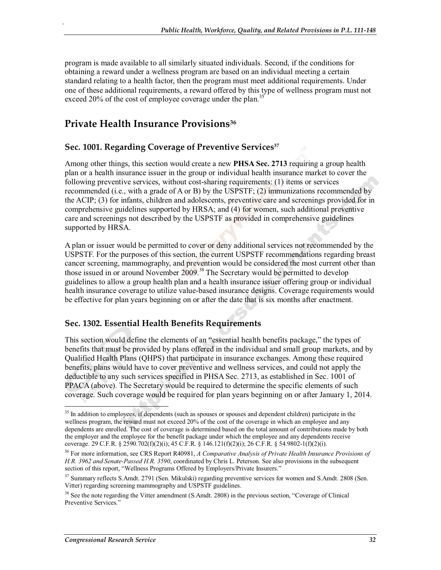program is made available to all similarly situated individuals. Second, if the conditions for obtaining a reward under a wellness program are based on an individual meeting a certain standard relating to a health factor, then the program must meet additional requirements. Under one of these additional requirements, a reward offered by this type of wellness program must not exceed 20% of the cost of employee coverage under the plan.<sup>3</sup>

## **Private Health Insurance Provisions36**

.

#### Sec. 1001. Regarding Coverage of Preventive Services<sup>37</sup>

Among other things, this section would create a new **PHSA Sec. 2713** requiring a group health plan or a health insurance issuer in the group or individual health insurance market to cover the following preventive services, without cost-sharing requirements: (1) items or services recommended (i.e., with a grade of A or B) by the USPSTF; (2) immunizations recommended by the ACIP; (3) for infants, children and adolescents, preventive care and screenings provided for in comprehensive guidelines supported by HRSA; and (4) for women, such additional preventive care and screenings not described by the USPSTF as provided in comprehensive guidelines supported by HRSA.

A plan or issuer would be permitted to cover or deny additional services not recommended by the USPSTF. For the purposes of this section, the current USPSTF recommendations regarding breast cancer screening, mammography, and prevention would be considered the most current other than those issued in or around November 2009.<sup>38</sup> The Secretary would be permitted to develop guidelines to allow a group health plan and a health insurance issuer offering group or individual health insurance coverage to utilize value-based insurance designs. Coverage requirements would be effective for plan years beginning on or after the date that is six months after enactment.

#### **Sec. 1302. Essential Health Benefits Requirements**

This section would define the elements of an "essential health benefits package," the types of benefits that must be provided by plans offered in the individual and small group markets, and by Qualified Health Plans (QHPS) that participate in insurance exchanges. Among these required benefits, plans would have to cover preventive and wellness services, and could not apply the deductible to any such services specified in PHSA Sec. 2713, as established in Sec. 1001 of PPACA (above). The Secretary would be required to determine the specific elements of such coverage. Such coverage would be required for plan years beginning on or after January 1, 2014.

<sup>&</sup>lt;sup>35</sup> In addition to employees, if dependents (such as spouses or spouses and dependent children) participate in the wellness program, the reward must not exceed 20% of the cost of the coverage in which an employee and any dependents are enrolled. The cost of coverage is determined based on the total amount of contributions made by both the employer and the employee for the benefit package under which the employee and any dependents receive coverage. 29 C.F.R. § 2590.702(f)(2)(i); 45 C.F.R. § 146.121(f)(2)(i); 26 C.F.R. § 54.9802-1(f)(2)(i).

<sup>36</sup> For more information, see CRS Report R40981, *A Comparative Analysis of Private Health Insurance Provisions of H.R. 3962 and Senate-Passed H.R. 3590*, coordinated by Chris L. Peterson. See also provisions in the subsequent section of this report, "Wellness Programs Offered by Employers/Private Insurers."

<sup>&</sup>lt;sup>37</sup> Summary reflects S.Amdt. 2791 (Sen. Mikulski) regarding preventive services for women and S.Amdt. 2808 (Sen. Vitter) regarding screening mammography and USPSTF guidelines.

<sup>&</sup>lt;sup>38</sup> See the note regarding the Vitter amendment (S.Amdt. 2808) in the previous section, "Coverage of Clinical Preventive Services."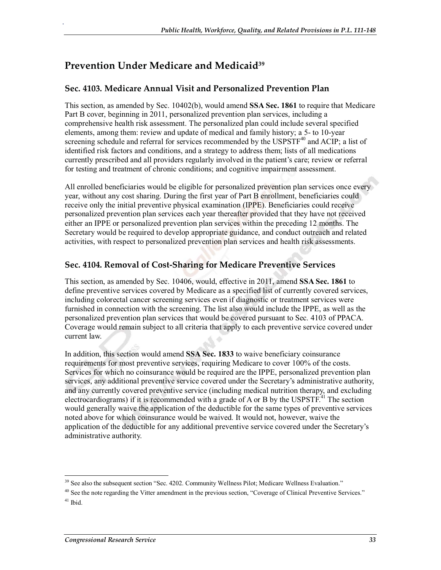# **Prevention Under Medicare and Medicaid39**

.

#### **Sec. 4103. Medicare Annual Visit and Personalized Prevention Plan**

This section, as amended by Sec. 10402(b), would amend **SSA Sec. 1861** to require that Medicare Part B cover, beginning in 2011, personalized prevention plan services, including a comprehensive health risk assessment. The personalized plan could include several specified elements, among them: review and update of medical and family history; a 5- to 10-year screening schedule and referral for services recommended by the USPSTF<sup>40</sup> and ACIP; a list of identified risk factors and conditions, and a strategy to address them; lists of all medications currently prescribed and all providers regularly involved in the patient's care; review or referral for testing and treatment of chronic conditions; and cognitive impairment assessment.

All enrolled beneficiaries would be eligible for personalized prevention plan services once every year, without any cost sharing. During the first year of Part B enrollment, beneficiaries could receive only the initial preventive physical examination (IPPE). Beneficiaries could receive personalized prevention plan services each year thereafter provided that they have not received either an IPPE or personalized prevention plan services within the preceding 12 months. The Secretary would be required to develop appropriate guidance, and conduct outreach and related activities, with respect to personalized prevention plan services and health risk assessments.

#### **Sec. 4104. Removal of Cost-Sharing for Medicare Preventive Services**

This section, as amended by Sec. 10406, would, effective in 2011, amend **SSA Sec. 1861** to define preventive services covered by Medicare as a specified list of currently covered services, including colorectal cancer screening services even if diagnostic or treatment services were furnished in connection with the screening. The list also would include the IPPE, as well as the personalized prevention plan services that would be covered pursuant to Sec. 4103 of PPACA. Coverage would remain subject to all criteria that apply to each preventive service covered under current law.

In addition, this section would amend **SSA Sec. 1833** to waive beneficiary coinsurance requirements for most preventive services, requiring Medicare to cover 100% of the costs. Services for which no coinsurance would be required are the IPPE, personalized prevention plan services, any additional preventive service covered under the Secretary's administrative authority, and any currently covered preventive service (including medical nutrition therapy, and excluding electrocardiograms) if it is recommended with a grade of A or B by the USPSTF.<sup>41</sup> The section would generally waive the application of the deductible for the same types of preventive services noted above for which coinsurance would be waived. It would not, however, waive the application of the deductible for any additional preventive service covered under the Secretary's administrative authority.

<sup>&</sup>lt;sup>39</sup> See also the subsequent section "Sec. 4202. Community Wellness Pilot; Medicare Wellness Evaluation."

 $40$  See the note regarding the Vitter amendment in the previous section, "Coverage of Clinical Preventive Services."  $41$  Ibid.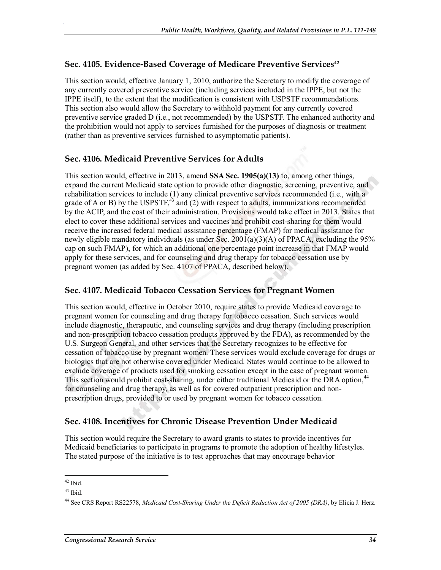#### Sec. 4105. Evidence-Based Coverage of Medicare Preventive Services<sup>42</sup>

This section would, effective January 1, 2010, authorize the Secretary to modify the coverage of any currently covered preventive service (including services included in the IPPE, but not the IPPE itself), to the extent that the modification is consistent with USPSTF recommendations. This section also would allow the Secretary to withhold payment for any currently covered preventive service graded D (i.e., not recommended) by the USPSTF. The enhanced authority and the prohibition would not apply to services furnished for the purposes of diagnosis or treatment (rather than as preventive services furnished to asymptomatic patients).

#### **Sec. 4106. Medicaid Preventive Services for Adults**

This section would, effective in 2013, amend **SSA Sec. 1905(a)(13)** to, among other things, expand the current Medicaid state option to provide other diagnostic, screening, preventive, and rehabilitation services to include (1) any clinical preventive services recommended (i.e., with a grade of A or B) by the USPSTF, $43$  and (2) with respect to adults, immunizations recommended by the ACIP, and the cost of their administration. Provisions would take effect in 2013. States that elect to cover these additional services and vaccines and prohibit cost-sharing for them would receive the increased federal medical assistance percentage (FMAP) for medical assistance for newly eligible mandatory individuals (as under Sec. 2001(a)(3)(A) of PPACA, excluding the 95% cap on such FMAP), for which an additional one percentage point increase in that FMAP would apply for these services, and for counseling and drug therapy for tobacco cessation use by pregnant women (as added by Sec. 4107 of PPACA, described below).

#### **Sec. 4107. Medicaid Tobacco Cessation Services for Pregnant Women**

This section would, effective in October 2010, require states to provide Medicaid coverage to pregnant women for counseling and drug therapy for tobacco cessation. Such services would include diagnostic, therapeutic, and counseling services and drug therapy (including prescription and non-prescription tobacco cessation products approved by the FDA), as recommended by the U.S. Surgeon General, and other services that the Secretary recognizes to be effective for cessation of tobacco use by pregnant women. These services would exclude coverage for drugs or biologics that are not otherwise covered under Medicaid. States would continue to be allowed to exclude coverage of products used for smoking cessation except in the case of pregnant women. This section would prohibit cost-sharing, under either traditional Medicaid or the DRA option,<sup>44</sup> for counseling and drug therapy, as well as for covered outpatient prescription and nonprescription drugs, provided to or used by pregnant women for tobacco cessation.

## **Sec. 4108. Incentives for Chronic Disease Prevention Under Medicaid**

This section would require the Secretary to award grants to states to provide incentives for Medicaid beneficiaries to participate in programs to promote the adoption of healthy lifestyles. The stated purpose of the initiative is to test approaches that may encourage behavior

 $42$  Ibid.

<sup>43</sup> Ibid.

<sup>44</sup> See CRS Report RS22578, *Medicaid Cost-Sharing Under the Deficit Reduction Act of 2005 (DRA)*, by Elicia J. Herz.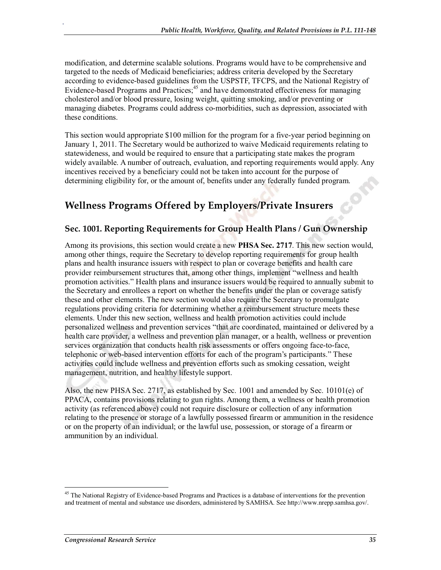modification, and determine scalable solutions. Programs would have to be comprehensive and targeted to the needs of Medicaid beneficiaries; address criteria developed by the Secretary according to evidence-based guidelines from the USPSTF, TFCPS, and the National Registry of Evidence-based Programs and Practices; $45$  and have demonstrated effectiveness for managing cholesterol and/or blood pressure, losing weight, quitting smoking, and/or preventing or managing diabetes. Programs could address co-morbidities, such as depression, associated with these conditions.

This section would appropriate \$100 million for the program for a five-year period beginning on January 1, 2011. The Secretary would be authorized to waive Medicaid requirements relating to statewideness, and would be required to ensure that a participating state makes the program widely available. A number of outreach, evaluation, and reporting requirements would apply. Any incentives received by a beneficiary could not be taken into account for the purpose of determining eligibility for, or the amount of, benefits under any federally funded program.

# **Wellness Programs Offered by Employers/Private Insurers**

## **Sec. 1001. Reporting Requirements for Group Health Plans / Gun Ownership**

Among its provisions, this section would create a new **PHSA Sec. 2717**. This new section would, among other things, require the Secretary to develop reporting requirements for group health plans and health insurance issuers with respect to plan or coverage benefits and health care provider reimbursement structures that, among other things, implement "wellness and health promotion activities." Health plans and insurance issuers would be required to annually submit to the Secretary and enrollees a report on whether the benefits under the plan or coverage satisfy these and other elements. The new section would also require the Secretary to promulgate regulations providing criteria for determining whether a reimbursement structure meets these elements. Under this new section, wellness and health promotion activities could include personalized wellness and prevention services "that are coordinated, maintained or delivered by a health care provider, a wellness and prevention plan manager, or a health, wellness or prevention services organization that conducts health risk assessments or offers ongoing face-to-face, telephonic or web-based intervention efforts for each of the program's participants." These activities could include wellness and prevention efforts such as smoking cessation, weight management, nutrition, and healthy lifestyle support.

Also, the new PHSA Sec. 2717, as established by Sec. 1001 and amended by Sec. 10101(e) of PPACA, contains provisions relating to gun rights. Among them, a wellness or health promotion activity (as referenced above) could not require disclosure or collection of any information relating to the presence or storage of a lawfully possessed firearm or ammunition in the residence or on the property of an individual; or the lawful use, possession, or storage of a firearm or ammunition by an individual.

<sup>&</sup>lt;sup>45</sup> The National Registry of Evidence-based Programs and Practices is a database of interventions for the prevention and treatment of mental and substance use disorders, administered by SAMHSA. See http://www.nrepp.samhsa.gov/.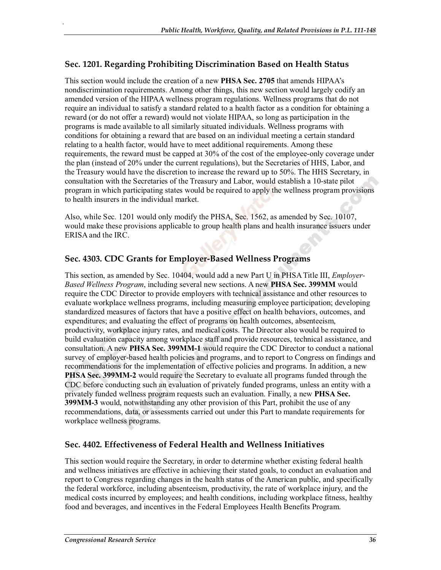## **Sec. 1201. Regarding Prohibiting Discrimination Based on Health Status**

This section would include the creation of a new **PHSA Sec. 2705** that amends HIPAA's nondiscrimination requirements. Among other things, this new section would largely codify an amended version of the HIPAA wellness program regulations. Wellness programs that do not require an individual to satisfy a standard related to a health factor as a condition for obtaining a reward (or do not offer a reward) would not violate HIPAA, so long as participation in the programs is made available to all similarly situated individuals. Wellness programs with conditions for obtaining a reward that are based on an individual meeting a certain standard relating to a health factor, would have to meet additional requirements. Among these requirements, the reward must be capped at 30% of the cost of the employee-only coverage under the plan (instead of 20% under the current regulations), but the Secretaries of HHS, Labor, and the Treasury would have the discretion to increase the reward up to 50%. The HHS Secretary, in consultation with the Secretaries of the Treasury and Labor, would establish a 10-state pilot program in which participating states would be required to apply the wellness program provisions to health insurers in the individual market.

Also, while Sec. 1201 would only modify the PHSA, Sec. 1562, as amended by Sec. 10107, would make these provisions applicable to group health plans and health insurance issuers under ERISA and the IRC.

#### **Sec. 4303. CDC Grants for Employer-Based Wellness Programs**

This section, as amended by Sec. 10404, would add a new Part U in PHSA Title III, *Employer-Based Wellness Program*, including several new sections. A new **PHSA Sec. 399MM** would require the CDC Director to provide employers with technical assistance and other resources to evaluate workplace wellness programs, including measuring employee participation; developing standardized measures of factors that have a positive effect on health behaviors, outcomes, and expenditures; and evaluating the effect of programs on health outcomes, absenteeism, productivity, workplace injury rates, and medical costs. The Director also would be required to build evaluation capacity among workplace staff and provide resources, technical assistance, and consultation. A new **PHSA Sec. 399MM-1** would require the CDC Director to conduct a national survey of employer-based health policies and programs, and to report to Congress on findings and recommendations for the implementation of effective policies and programs. In addition, a new **PHSA Sec. 399MM-2** would require the Secretary to evaluate all programs funded through the CDC before conducting such an evaluation of privately funded programs, unless an entity with a privately funded wellness program requests such an evaluation. Finally, a new **PHSA Sec. 399MM-3** would, notwithstanding any other provision of this Part, prohibit the use of any recommendations, data, or assessments carried out under this Part to mandate requirements for workplace wellness programs.

#### **Sec. 4402. Effectiveness of Federal Health and Wellness Initiatives**

This section would require the Secretary, in order to determine whether existing federal health and wellness initiatives are effective in achieving their stated goals, to conduct an evaluation and report to Congress regarding changes in the health status of the American public, and specifically the federal workforce, including absenteeism, productivity, the rate of workplace injury, and the medical costs incurred by employees; and health conditions, including workplace fitness, healthy food and beverages, and incentives in the Federal Employees Health Benefits Program.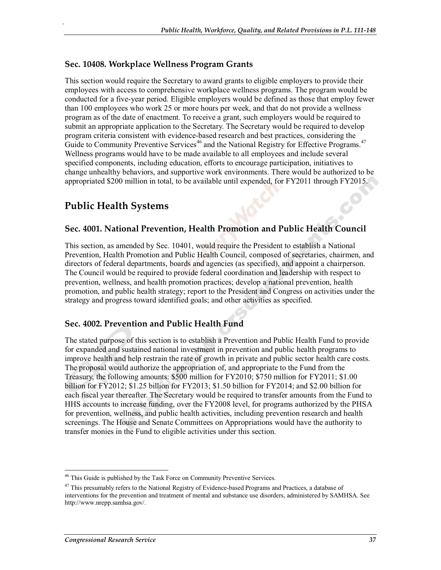#### **Sec. 10408. Workplace Wellness Program Grants**

This section would require the Secretary to award grants to eligible employers to provide their employees with access to comprehensive workplace wellness programs. The program would be conducted for a five-year period. Eligible employers would be defined as those that employ fewer than 100 employees who work 25 or more hours per week, and that do not provide a wellness program as of the date of enactment. To receive a grant, such employers would be required to submit an appropriate application to the Secretary. The Secretary would be required to develop program criteria consistent with evidence-based research and best practices, considering the Guide to Community Preventive Services<sup>46</sup> and the National Registry for Effective Programs.<sup>47</sup> Wellness programs would have to be made available to all employees and include several specified components, including education, efforts to encourage participation, initiatives to change unhealthy behaviors, and supportive work environments. There would be authorized to be appropriated \$200 million in total, to be available until expended, for FY2011 through FY2015.

## **Public Health Systems**

.

#### **Sec. 4001. National Prevention, Health Promotion and Public Health Council**

This section, as amended by Sec. 10401, would require the President to establish a National Prevention, Health Promotion and Public Health Council, composed of secretaries, chairmen, and directors of federal departments, boards and agencies (as specified), and appoint a chairperson. The Council would be required to provide federal coordination and leadership with respect to prevention, wellness, and health promotion practices; develop a national prevention, health promotion, and public health strategy; report to the President and Congress on activities under the strategy and progress toward identified goals; and other activities as specified.

#### **Sec. 4002. Prevention and Public Health Fund**

The stated purpose of this section is to establish a Prevention and Public Health Fund to provide for expanded and sustained national investment in prevention and public health programs to improve health and help restrain the rate of growth in private and public sector health care costs. The proposal would authorize the appropriation of, and appropriate to the Fund from the Treasury, the following amounts: \$500 million for FY2010; \$750 million for FY2011; \$1.00 billion for FY2012; \$1.25 billion for FY2013; \$1.50 billion for FY2014; and \$2.00 billion for each fiscal year thereafter. The Secretary would be required to transfer amounts from the Fund to HHS accounts to increase funding, over the FY2008 level, for programs authorized by the PHSA for prevention, wellness, and public health activities, including prevention research and health screenings. The House and Senate Committees on Appropriations would have the authority to transfer monies in the Fund to eligible activities under this section.

 $46$  This Guide is published by the Task Force on Community Preventive Services.

<sup>&</sup>lt;sup>47</sup> This presumably refers to the National Registry of Evidence-based Programs and Practices, a database of interventions for the prevention and treatment of mental and substance use disorders, administered by SAMHSA. See http://www.nrepp.samhsa.gov/.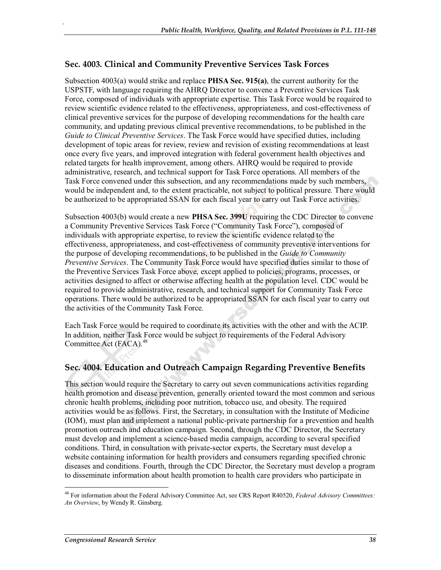#### **Sec. 4003. Clinical and Community Preventive Services Task Forces**

.

Subsection 4003(a) would strike and replace **PHSA Sec. 915(a)**, the current authority for the USPSTF, with language requiring the AHRQ Director to convene a Preventive Services Task Force, composed of individuals with appropriate expertise. This Task Force would be required to review scientific evidence related to the effectiveness, appropriateness, and cost-effectiveness of clinical preventive services for the purpose of developing recommendations for the health care community, and updating previous clinical preventive recommendations, to be published in the *Guide to Clinical Preventive Services*. The Task Force would have specified duties, including development of topic areas for review, review and revision of existing recommendations at least once every five years, and improved integration with federal government health objectives and related targets for health improvement, among others. AHRQ would be required to provide administrative, research, and technical support for Task Force operations. All members of the Task Force convened under this subsection, and any recommendations made by such members, would be independent and, to the extent practicable, not subject to political pressure. There would be authorized to be appropriated SSAN for each fiscal year to carry out Task Force activities.

Subsection 4003(b) would create a new **PHSA Sec. 399U** requiring the CDC Director to convene a Community Preventive Services Task Force ("Community Task Force"), composed of individuals with appropriate expertise, to review the scientific evidence related to the effectiveness, appropriateness, and cost-effectiveness of community preventive interventions for the purpose of developing recommendations, to be published in the *Guide to Community Preventive Services*. The Community Task Force would have specified duties similar to those of the Preventive Services Task Force above, except applied to policies, programs, processes, or activities designed to affect or otherwise affecting health at the population level. CDC would be required to provide administrative, research, and technical support for Community Task Force operations. There would be authorized to be appropriated SSAN for each fiscal year to carry out the activities of the Community Task Force.

Each Task Force would be required to coordinate its activities with the other and with the ACIP. In addition, neither Task Force would be subject to requirements of the Federal Advisory Committee Act (FACA).<sup>48</sup>

#### **Sec. 4004. Education and Outreach Campaign Regarding Preventive Benefits**

This section would require the Secretary to carry out seven communications activities regarding health promotion and disease prevention, generally oriented toward the most common and serious chronic health problems, including poor nutrition, tobacco use, and obesity. The required activities would be as follows. First, the Secretary, in consultation with the Institute of Medicine (IOM), must plan and implement a national public-private partnership for a prevention and health promotion outreach and education campaign. Second, through the CDC Director, the Secretary must develop and implement a science-based media campaign, according to several specified conditions. Third, in consultation with private-sector experts, the Secretary must develop a website containing information for health providers and consumers regarding specified chronic diseases and conditions. Fourth, through the CDC Director, the Secretary must develop a program to disseminate information about health promotion to health care providers who participate in

<sup>48</sup> For information about the Federal Advisory Committee Act, see CRS Report R40520, *Federal Advisory Committees: An Overview*, by Wendy R. Ginsberg.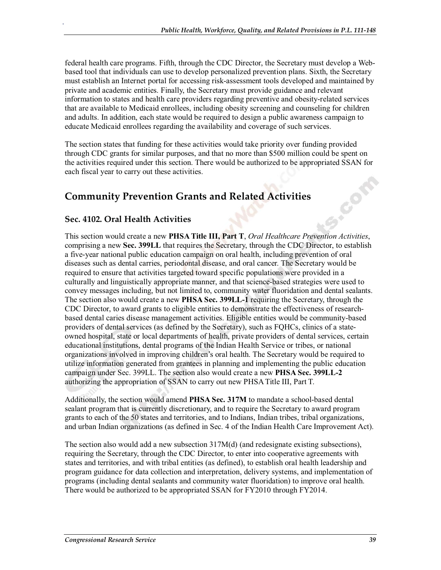federal health care programs. Fifth, through the CDC Director, the Secretary must develop a Webbased tool that individuals can use to develop personalized prevention plans. Sixth, the Secretary must establish an Internet portal for accessing risk-assessment tools developed and maintained by private and academic entities. Finally, the Secretary must provide guidance and relevant information to states and health care providers regarding preventive and obesity-related services that are available to Medicaid enrollees, including obesity screening and counseling for children and adults. In addition, each state would be required to design a public awareness campaign to educate Medicaid enrollees regarding the availability and coverage of such services.

The section states that funding for these activities would take priority over funding provided through CDC grants for similar purposes, and that no more than \$500 million could be spent on the activities required under this section. There would be authorized to be appropriated SSAN for each fiscal year to carry out these activities.

# **Community Prevention Grants and Related Activities**

## **Sec. 4102. Oral Health Activities**

.

This section would create a new **PHSA Title III, Part T**, *Oral Healthcare Prevention Activities*, comprising a new **Sec. 399LL** that requires the Secretary, through the CDC Director, to establish a five-year national public education campaign on oral health, including prevention of oral diseases such as dental carries, periodontal disease, and oral cancer. The Secretary would be required to ensure that activities targeted toward specific populations were provided in a culturally and linguistically appropriate manner, and that science-based strategies were used to convey messages including, but not limited to, community water fluoridation and dental sealants. The section also would create a new **PHSA Sec. 399LL-1** requiring the Secretary, through the CDC Director, to award grants to eligible entities to demonstrate the effectiveness of researchbased dental caries disease management activities. Eligible entities would be community-based providers of dental services (as defined by the Secretary), such as FQHCs, clinics of a stateowned hospital, state or local departments of health, private providers of dental services, certain educational institutions, dental programs of the Indian Health Service or tribes, or national organizations involved in improving children's oral health. The Secretary would be required to utilize information generated from grantees in planning and implementing the public education campaign under Sec. 399LL. The section also would create a new **PHSA Sec. 399LL-2**  authorizing the appropriation of SSAN to carry out new PHSA Title III, Part T.

Additionally, the section would amend **PHSA Sec. 317M** to mandate a school-based dental sealant program that is currently discretionary, and to require the Secretary to award program grants to each of the 50 states and territories, and to Indians, Indian tribes, tribal organizations, and urban Indian organizations (as defined in Sec. 4 of the Indian Health Care Improvement Act).

The section also would add a new subsection 317M(d) (and redesignate existing subsections), requiring the Secretary, through the CDC Director, to enter into cooperative agreements with states and territories, and with tribal entities (as defined), to establish oral health leadership and program guidance for data collection and interpretation, delivery systems, and implementation of programs (including dental sealants and community water fluoridation) to improve oral health. There would be authorized to be appropriated SSAN for FY2010 through FY2014.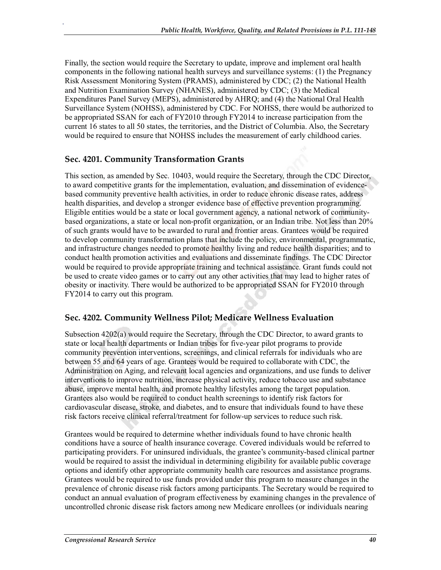Finally, the section would require the Secretary to update, improve and implement oral health components in the following national health surveys and surveillance systems: (1) the Pregnancy Risk Assessment Monitoring System (PRAMS), administered by CDC; (2) the National Health and Nutrition Examination Survey (NHANES), administered by CDC; (3) the Medical Expenditures Panel Survey (MEPS), administered by AHRQ; and (4) the National Oral Health Surveillance System (NOHSS), administered by CDC. For NOHSS, there would be authorized to be appropriated SSAN for each of FY2010 through FY2014 to increase participation from the current 16 states to all 50 states, the territories, and the District of Columbia. Also, the Secretary would be required to ensure that NOHSS includes the measurement of early childhood caries.

#### **Sec. 4201. Community Transformation Grants**

.

This section, as amended by Sec. 10403, would require the Secretary, through the CDC Director, to award competitive grants for the implementation, evaluation, and dissemination of evidencebased community preventive health activities, in order to reduce chronic disease rates, address health disparities, and develop a stronger evidence base of effective prevention programming. Eligible entities would be a state or local government agency, a national network of communitybased organizations, a state or local non-profit organization, or an Indian tribe. Not less than 20% of such grants would have to be awarded to rural and frontier areas. Grantees would be required to develop community transformation plans that include the policy, environmental, programmatic, and infrastructure changes needed to promote healthy living and reduce health disparities; and to conduct health promotion activities and evaluations and disseminate findings. The CDC Director would be required to provide appropriate training and technical assistance. Grant funds could not be used to create video games or to carry out any other activities that may lead to higher rates of obesity or inactivity. There would be authorized to be appropriated SSAN for FY2010 through FY2014 to carry out this program.

#### **Sec. 4202. Community Wellness Pilot; Medicare Wellness Evaluation**

Subsection 4202(a) would require the Secretary, through the CDC Director, to award grants to state or local health departments or Indian tribes for five-year pilot programs to provide community prevention interventions, screenings, and clinical referrals for individuals who are between 55 and 64 years of age. Grantees would be required to collaborate with CDC, the Administration on Aging, and relevant local agencies and organizations, and use funds to deliver interventions to improve nutrition, increase physical activity, reduce tobacco use and substance abuse, improve mental health, and promote healthy lifestyles among the target population. Grantees also would be required to conduct health screenings to identify risk factors for cardiovascular disease, stroke, and diabetes, and to ensure that individuals found to have these risk factors receive clinical referral/treatment for follow-up services to reduce such risk.

Grantees would be required to determine whether individuals found to have chronic health conditions have a source of health insurance coverage. Covered individuals would be referred to participating providers. For uninsured individuals, the grantee's community-based clinical partner would be required to assist the individual in determining eligibility for available public coverage options and identify other appropriate community health care resources and assistance programs. Grantees would be required to use funds provided under this program to measure changes in the prevalence of chronic disease risk factors among participants. The Secretary would be required to conduct an annual evaluation of program effectiveness by examining changes in the prevalence of uncontrolled chronic disease risk factors among new Medicare enrollees (or individuals nearing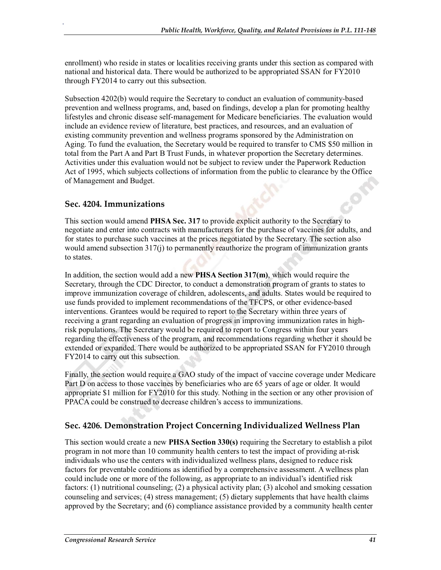enrollment) who reside in states or localities receiving grants under this section as compared with national and historical data. There would be authorized to be appropriated SSAN for FY2010 through FY2014 to carry out this subsection.

Subsection 4202(b) would require the Secretary to conduct an evaluation of community-based prevention and wellness programs, and, based on findings, develop a plan for promoting healthy lifestyles and chronic disease self-management for Medicare beneficiaries. The evaluation would include an evidence review of literature, best practices, and resources, and an evaluation of existing community prevention and wellness programs sponsored by the Administration on Aging. To fund the evaluation, the Secretary would be required to transfer to CMS \$50 million in total from the Part A and Part B Trust Funds, in whatever proportion the Secretary determines. Activities under this evaluation would not be subject to review under the Paperwork Reduction Act of 1995, which subjects collections of information from the public to clearance by the Office of Management and Budget.

#### **Sec. 4204. Immunizations**

.

This section would amend **PHSA Sec. 317** to provide explicit authority to the Secretary to negotiate and enter into contracts with manufacturers for the purchase of vaccines for adults, and for states to purchase such vaccines at the prices negotiated by the Secretary. The section also would amend subsection 317(j) to permanently reauthorize the program of immunization grants to states.

In addition, the section would add a new **PHSA Section 317(m)**, which would require the Secretary, through the CDC Director, to conduct a demonstration program of grants to states to improve immunization coverage of children, adolescents, and adults. States would be required to use funds provided to implement recommendations of the TFCPS, or other evidence-based interventions. Grantees would be required to report to the Secretary within three years of receiving a grant regarding an evaluation of progress in improving immunization rates in highrisk populations. The Secretary would be required to report to Congress within four years regarding the effectiveness of the program, and recommendations regarding whether it should be extended or expanded. There would be authorized to be appropriated SSAN for FY2010 through FY2014 to carry out this subsection.

Finally, the section would require a GAO study of the impact of vaccine coverage under Medicare Part D on access to those vaccines by beneficiaries who are 65 years of age or older. It would appropriate \$1 million for FY2010 for this study. Nothing in the section or any other provision of PPACA could be construed to decrease children's access to immunizations.

#### **Sec. 4206. Demonstration Project Concerning Individualized Wellness Plan**

This section would create a new **PHSA Section 330(s)** requiring the Secretary to establish a pilot program in not more than 10 community health centers to test the impact of providing at-risk individuals who use the centers with individualized wellness plans, designed to reduce risk factors for preventable conditions as identified by a comprehensive assessment. A wellness plan could include one or more of the following, as appropriate to an individual's identified risk factors: (1) nutritional counseling; (2) a physical activity plan; (3) alcohol and smoking cessation counseling and services; (4) stress management; (5) dietary supplements that have health claims approved by the Secretary; and (6) compliance assistance provided by a community health center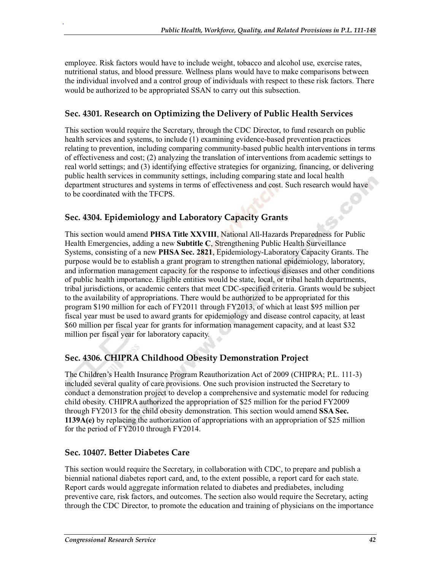employee. Risk factors would have to include weight, tobacco and alcohol use, exercise rates, nutritional status, and blood pressure. Wellness plans would have to make comparisons between the individual involved and a control group of individuals with respect to these risk factors. There would be authorized to be appropriated SSAN to carry out this subsection.

## **Sec. 4301. Research on Optimizing the Delivery of Public Health Services**

This section would require the Secretary, through the CDC Director, to fund research on public health services and systems, to include (1) examining evidence-based prevention practices relating to prevention, including comparing community-based public health interventions in terms of effectiveness and cost; (2) analyzing the translation of interventions from academic settings to real world settings; and (3) identifying effective strategies for organizing, financing, or delivering public health services in community settings, including comparing state and local health department structures and systems in terms of effectiveness and cost. Such research would have to be coordinated with the TFCPS.

## **Sec. 4304. Epidemiology and Laboratory Capacity Grants**

This section would amend **PHSA Title XXVIII**, National All-Hazards Preparedness for Public Health Emergencies, adding a new **Subtitle C**, Strengthening Public Health Surveillance Systems, consisting of a new **PHSA Sec. 2821**, Epidemiology-Laboratory Capacity Grants. The purpose would be to establish a grant program to strengthen national epidemiology, laboratory, and information management capacity for the response to infectious diseases and other conditions of public health importance. Eligible entities would be state, local, or tribal health departments, tribal jurisdictions, or academic centers that meet CDC-specified criteria. Grants would be subject to the availability of appropriations. There would be authorized to be appropriated for this program \$190 million for each of FY2011 through FY2013, of which at least \$95 million per fiscal year must be used to award grants for epidemiology and disease control capacity, at least \$60 million per fiscal year for grants for information management capacity, and at least \$32 million per fiscal year for laboratory capacity.

## **Sec. 4306. CHIPRA Childhood Obesity Demonstration Project**

The Children's Health Insurance Program Reauthorization Act of 2009 (CHIPRA; P.L. 111-3) included several quality of care provisions. One such provision instructed the Secretary to conduct a demonstration project to develop a comprehensive and systematic model for reducing child obesity. CHIPRA authorized the appropriation of \$25 million for the period FY2009 through FY2013 for the child obesity demonstration. This section would amend **SSA Sec. 1139A(e)** by replacing the authorization of appropriations with an appropriation of \$25 million for the period of FY2010 through FY2014.

## **Sec. 10407. Better Diabetes Care**

.

This section would require the Secretary, in collaboration with CDC, to prepare and publish a biennial national diabetes report card, and, to the extent possible, a report card for each state. Report cards would aggregate information related to diabetes and prediabetes, including preventive care, risk factors, and outcomes. The section also would require the Secretary, acting through the CDC Director, to promote the education and training of physicians on the importance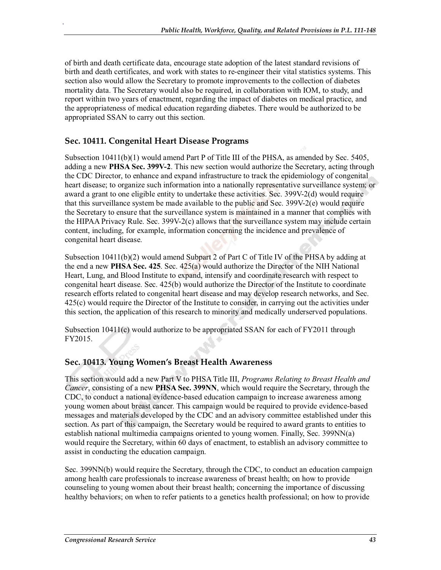of birth and death certificate data, encourage state adoption of the latest standard revisions of birth and death certificates, and work with states to re-engineer their vital statistics systems. This section also would allow the Secretary to promote improvements to the collection of diabetes mortality data. The Secretary would also be required, in collaboration with IOM, to study, and report within two years of enactment, regarding the impact of diabetes on medical practice, and the appropriateness of medical education regarding diabetes. There would be authorized to be appropriated SSAN to carry out this section.

#### **Sec. 10411. Congenital Heart Disease Programs**

.

Subsection 10411(b)(1) would amend Part P of Title III of the PHSA, as amended by Sec. 5405, adding a new **PHSA Sec. 399V-2**. This new section would authorize the Secretary, acting through the CDC Director, to enhance and expand infrastructure to track the epidemiology of congenital heart disease; to organize such information into a nationally representative surveillance system; or award a grant to one eligible entity to undertake these activities. Sec. 399V-2(d) would require that this surveillance system be made available to the public and Sec. 399V-2(e) would require the Secretary to ensure that the surveillance system is maintained in a manner that complies with the HIPAA Privacy Rule. Sec. 399V-2(c) allows that the surveillance system may include certain content, including, for example, information concerning the incidence and prevalence of congenital heart disease.

Subsection 10411(b)(2) would amend Subpart 2 of Part C of Title IV of the PHSA by adding at the end a new **PHSA Sec. 425**. Sec. 425(a) would authorize the Director of the NIH National Heart, Lung, and Blood Institute to expand, intensify and coordinate research with respect to congenital heart disease. Sec. 425(b) would authorize the Director of the Institute to coordinate research efforts related to congenital heart disease and may develop research networks, and Sec. 425(c) would require the Director of the Institute to consider, in carrying out the activities under this section, the application of this research to minority and medically underserved populations.

Subsection 10411(c) would authorize to be appropriated SSAN for each of FY2011 through FY2015.

#### **Sec. 10413. Young Women's Breast Health Awareness**

This section would add a new Part V to PHSA Title III, *Programs Relating to Breast Health and Cancer*, consisting of a new **PHSA Sec. 399NN**, which would require the Secretary, through the CDC, to conduct a national evidence-based education campaign to increase awareness among young women about breast cancer. This campaign would be required to provide evidence-based messages and materials developed by the CDC and an advisory committee established under this section. As part of this campaign, the Secretary would be required to award grants to entities to establish national multimedia campaigns oriented to young women. Finally, Sec. 399NN(a) would require the Secretary, within 60 days of enactment, to establish an advisory committee to assist in conducting the education campaign.

Sec. 399NN(b) would require the Secretary, through the CDC, to conduct an education campaign among health care professionals to increase awareness of breast health; on how to provide counseling to young women about their breast health; concerning the importance of discussing healthy behaviors; on when to refer patients to a genetics health professional; on how to provide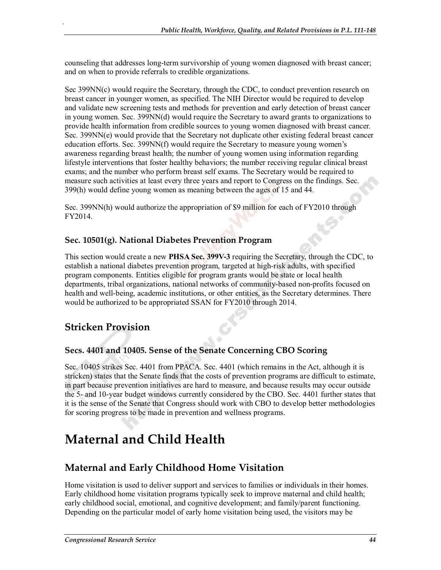counseling that addresses long-term survivorship of young women diagnosed with breast cancer; and on when to provide referrals to credible organizations.

Sec 399NN(c) would require the Secretary, through the CDC, to conduct prevention research on breast cancer in younger women, as specified. The NIH Director would be required to develop and validate new screening tests and methods for prevention and early detection of breast cancer in young women. Sec. 399NN(d) would require the Secretary to award grants to organizations to provide health information from credible sources to young women diagnosed with breast cancer. Sec. 399NN(e) would provide that the Secretary not duplicate other existing federal breast cancer education efforts. Sec. 399NN(f) would require the Secretary to measure young women's awareness regarding breast health; the number of young women using information regarding lifestyle interventions that foster healthy behaviors; the number receiving regular clinical breast exams; and the number who perform breast self exams. The Secretary would be required to measure such activities at least every three years and report to Congress on the findings. Sec. 399(h) would define young women as meaning between the ages of 15 and 44.

Sec. 399NN(h) would authorize the appropriation of \$9 million for each of FY2010 through FY2014.

#### **Sec. 10501(g). National Diabetes Prevention Program**

This section would create a new **PHSA Sec. 399V-3** requiring the Secretary, through the CDC, to establish a national diabetes prevention program, targeted at high-risk adults, with specified program components. Entities eligible for program grants would be state or local health departments, tribal organizations, national networks of community-based non-profits focused on health and well-being, academic institutions, or other entities, as the Secretary determines. There would be authorized to be appropriated SSAN for FY2010 through 2014.

## **Stricken Provision**

.

#### **Secs. 4401 and 10405. Sense of the Senate Concerning CBO Scoring**

Sec. 10405 strikes Sec. 4401 from PPACA. Sec. 4401 (which remains in the Act, although it is stricken) states that the Senate finds that the costs of prevention programs are difficult to estimate, in part because prevention initiatives are hard to measure, and because results may occur outside the 5- and 10-year budget windows currently considered by the CBO. Sec. 4401 further states that it is the sense of the Senate that Congress should work with CBO to develop better methodologies for scoring progress to be made in prevention and wellness programs.

# **Maternal and Child Health**

## **Maternal and Early Childhood Home Visitation**

Home visitation is used to deliver support and services to families or individuals in their homes. Early childhood home visitation programs typically seek to improve maternal and child health; early childhood social, emotional, and cognitive development; and family/parent functioning. Depending on the particular model of early home visitation being used, the visitors may be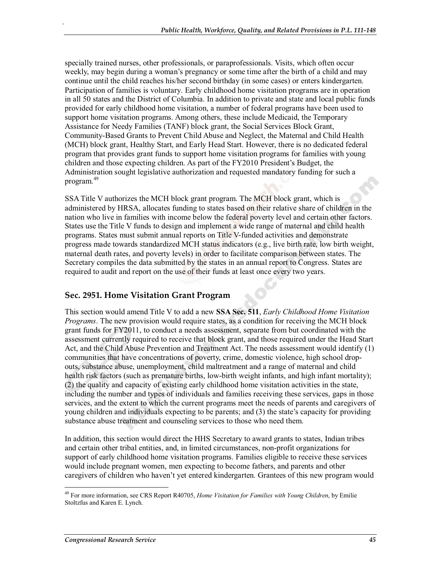specially trained nurses, other professionals, or paraprofessionals. Visits, which often occur weekly, may begin during a woman's pregnancy or some time after the birth of a child and may continue until the child reaches his/her second birthday (in some cases) or enters kindergarten. Participation of families is voluntary. Early childhood home visitation programs are in operation in all 50 states and the District of Columbia. In addition to private and state and local public funds provided for early childhood home visitation, a number of federal programs have been used to support home visitation programs. Among others, these include Medicaid, the Temporary Assistance for Needy Families (TANF) block grant, the Social Services Block Grant, Community-Based Grants to Prevent Child Abuse and Neglect, the Maternal and Child Health (MCH) block grant, Healthy Start, and Early Head Start. However, there is no dedicated federal program that provides grant funds to support home visitation programs for families with young children and those expecting children. As part of the FY2010 President's Budget, the Administration sought legislative authorization and requested mandatory funding for such a program.<sup>49</sup>

SSA Title V authorizes the MCH block grant program. The MCH block grant, which is administered by HRSA, allocates funding to states based on their relative share of children in the nation who live in families with income below the federal poverty level and certain other factors. States use the Title V funds to design and implement a wide range of maternal and child health programs. States must submit annual reports on Title V-funded activities and demonstrate progress made towards standardized MCH status indicators (e.g., live birth rate, low birth weight, maternal death rates, and poverty levels) in order to facilitate comparison between states. The Secretary compiles the data submitted by the states in an annual report to Congress. States are required to audit and report on the use of their funds at least once every two years.

#### **Sec. 2951. Home Visitation Grant Program**

.

This section would amend Title V to add a new **SSA Sec. 511**, *Early Childhood Home Visitation Programs*. The new provision would require states, as a condition for receiving the MCH block grant funds for FY2011, to conduct a needs assessment, separate from but coordinated with the assessment currently required to receive that block grant, and those required under the Head Start Act, and the Child Abuse Prevention and Treatment Act. The needs assessment would identify (1) communities that have concentrations of poverty, crime, domestic violence, high school dropouts, substance abuse, unemployment, child maltreatment and a range of maternal and child health risk factors (such as premature births, low-birth weight infants, and high infant mortality); (2) the quality and capacity of existing early childhood home visitation activities in the state, including the number and types of individuals and families receiving these services, gaps in those services, and the extent to which the current programs meet the needs of parents and caregivers of young children and individuals expecting to be parents; and (3) the state's capacity for providing substance abuse treatment and counseling services to those who need them.

In addition, this section would direct the HHS Secretary to award grants to states, Indian tribes and certain other tribal entities, and, in limited circumstances, non-profit organizations for support of early childhood home visitation programs. Families eligible to receive these services would include pregnant women, men expecting to become fathers, and parents and other caregivers of children who haven't yet entered kindergarten. Grantees of this new program would

<sup>49</sup> For more information, see CRS Report R40705, *Home Visitation for Families with Young Children*, by Emilie Stoltzfus and Karen E. Lynch.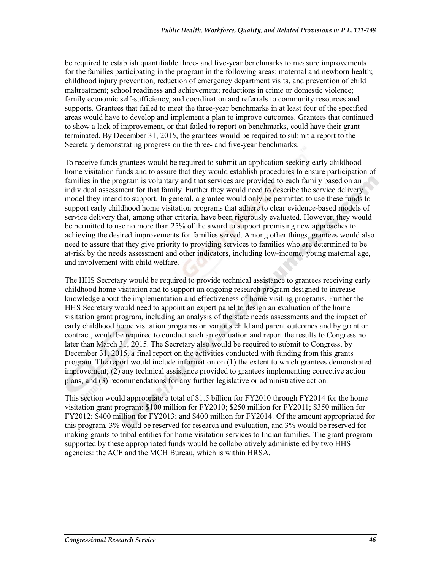be required to establish quantifiable three- and five-year benchmarks to measure improvements for the families participating in the program in the following areas: maternal and newborn health; childhood injury prevention, reduction of emergency department visits, and prevention of child maltreatment; school readiness and achievement; reductions in crime or domestic violence; family economic self-sufficiency, and coordination and referrals to community resources and supports. Grantees that failed to meet the three-year benchmarks in at least four of the specified areas would have to develop and implement a plan to improve outcomes. Grantees that continued to show a lack of improvement, or that failed to report on benchmarks, could have their grant terminated. By December 31, 2015, the grantees would be required to submit a report to the Secretary demonstrating progress on the three- and five-year benchmarks.

To receive funds grantees would be required to submit an application seeking early childhood home visitation funds and to assure that they would establish procedures to ensure participation of families in the program is voluntary and that services are provided to each family based on an individual assessment for that family. Further they would need to describe the service delivery model they intend to support. In general, a grantee would only be permitted to use these funds to support early childhood home visitation programs that adhere to clear evidence-based models of service delivery that, among other criteria, have been rigorously evaluated. However, they would be permitted to use no more than 25% of the award to support promising new approaches to achieving the desired improvements for families served. Among other things, grantees would also need to assure that they give priority to providing services to families who are determined to be at-risk by the needs assessment and other indicators, including low-income, young maternal age, and involvement with child welfare.

The HHS Secretary would be required to provide technical assistance to grantees receiving early childhood home visitation and to support an ongoing research program designed to increase knowledge about the implementation and effectiveness of home visiting programs. Further the HHS Secretary would need to appoint an expert panel to design an evaluation of the home visitation grant program, including an analysis of the state needs assessments and the impact of early childhood home visitation programs on various child and parent outcomes and by grant or contract, would be required to conduct such an evaluation and report the results to Congress no later than March 31, 2015. The Secretary also would be required to submit to Congress, by December 31, 2015, a final report on the activities conducted with funding from this grants program. The report would include information on (1) the extent to which grantees demonstrated improvement, (2) any technical assistance provided to grantees implementing corrective action plans, and (3) recommendations for any further legislative or administrative action.

This section would appropriate a total of \$1.5 billion for FY2010 through FY2014 for the home visitation grant program: \$100 million for FY2010; \$250 million for FY2011; \$350 million for FY2012; \$400 million for FY2013; and \$400 million for FY2014. Of the amount appropriated for this program, 3% would be reserved for research and evaluation, and 3% would be reserved for making grants to tribal entities for home visitation services to Indian families. The grant program supported by these appropriated funds would be collaboratively administered by two HHS agencies: the ACF and the MCH Bureau, which is within HRSA.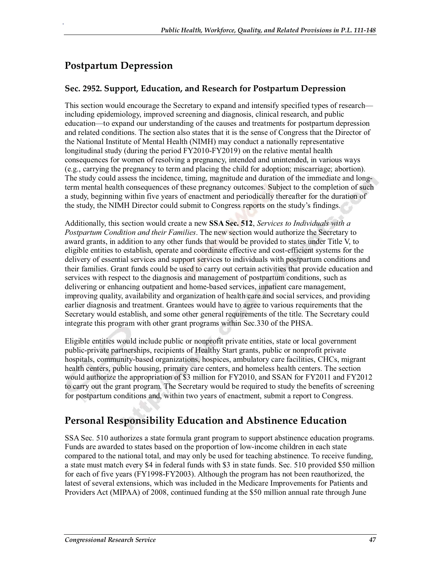# **Postpartum Depression**

.

#### **Sec. 2952. Support, Education, and Research for Postpartum Depression**

This section would encourage the Secretary to expand and intensify specified types of research including epidemiology, improved screening and diagnosis, clinical research, and public education—to expand our understanding of the causes and treatments for postpartum depression and related conditions. The section also states that it is the sense of Congress that the Director of the National Institute of Mental Health (NIMH) may conduct a nationally representative longitudinal study (during the period FY2010-FY2019) on the relative mental health consequences for women of resolving a pregnancy, intended and unintended, in various ways (e.g., carrying the pregnancy to term and placing the child for adoption; miscarriage; abortion). The study could assess the incidence, timing, magnitude and duration of the immediate and longterm mental health consequences of these pregnancy outcomes. Subject to the completion of such a study, beginning within five years of enactment and periodically thereafter for the duration of the study, the NIMH Director could submit to Congress reports on the study's findings.

Additionally, this section would create a new **SSA Sec. 512**, *Services to Individuals with a Postpartum Condition and their Families*. The new section would authorize the Secretary to award grants, in addition to any other funds that would be provided to states under Title V, to eligible entities to establish, operate and coordinate effective and cost-efficient systems for the delivery of essential services and support services to individuals with postpartum conditions and their families. Grant funds could be used to carry out certain activities that provide education and services with respect to the diagnosis and management of postpartum conditions, such as delivering or enhancing outpatient and home-based services, inpatient care management, improving quality, availability and organization of health care and social services, and providing earlier diagnosis and treatment. Grantees would have to agree to various requirements that the Secretary would establish, and some other general requirements of the title. The Secretary could integrate this program with other grant programs within Sec.330 of the PHSA.

Eligible entities would include public or nonprofit private entities, state or local government public-private partnerships, recipients of Healthy Start grants, public or nonprofit private hospitals, community-based organizations, hospices, ambulatory care facilities, CHCs, migrant health centers, public housing, primary care centers, and homeless health centers. The section would authorize the appropriation of \$3 million for FY2010, and SSAN for FY2011 and FY2012 to carry out the grant program. The Secretary would be required to study the benefits of screening for postpartum conditions and, within two years of enactment, submit a report to Congress.

# **Personal Responsibility Education and Abstinence Education**

SSA Sec. 510 authorizes a state formula grant program to support abstinence education programs. Funds are awarded to states based on the proportion of low-income children in each state compared to the national total, and may only be used for teaching abstinence. To receive funding, a state must match every \$4 in federal funds with \$3 in state funds. Sec. 510 provided \$50 million for each of five years (FY1998-FY2003). Although the program has not been reauthorized, the latest of several extensions, which was included in the Medicare Improvements for Patients and Providers Act (MIPAA) of 2008, continued funding at the \$50 million annual rate through June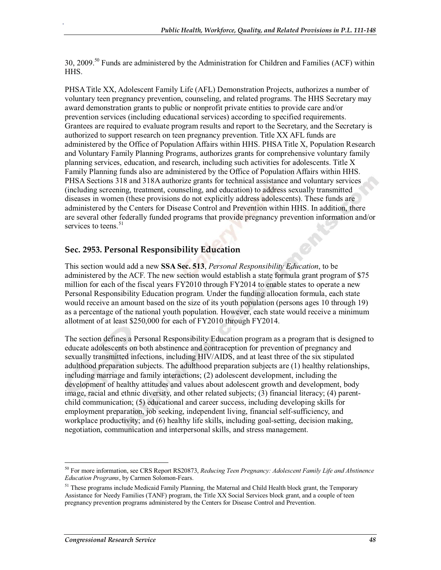30, 2009.<sup>50</sup> Funds are administered by the Administration for Children and Families (ACF) within HHS.

PHSA Title XX, Adolescent Family Life (AFL) Demonstration Projects, authorizes a number of voluntary teen pregnancy prevention, counseling, and related programs. The HHS Secretary may award demonstration grants to public or nonprofit private entities to provide care and/or prevention services (including educational services) according to specified requirements. Grantees are required to evaluate program results and report to the Secretary, and the Secretary is authorized to support research on teen pregnancy prevention. Title XX AFL funds are administered by the Office of Population Affairs within HHS. PHSA Title X, Population Research and Voluntary Family Planning Programs, authorizes grants for comprehensive voluntary family planning services, education, and research, including such activities for adolescents. Title X Family Planning funds also are administered by the Office of Population Affairs within HHS. PHSA Sections 318 and 318A authorize grants for technical assistance and voluntary services (including screening, treatment, counseling, and education) to address sexually transmitted diseases in women (these provisions do not explicitly address adolescents). These funds are administered by the Centers for Disease Control and Prevention within HHS. In addition, there are several other federally funded programs that provide pregnancy prevention information and/or services to teens.<sup>51</sup>

#### **Sec. 2953. Personal Responsibility Education**

.

This section would add a new **SSA Sec. 513**, *Personal Responsibility Education*, to be administered by the ACF. The new section would establish a state formula grant program of \$75 million for each of the fiscal years FY2010 through FY2014 to enable states to operate a new Personal Responsibility Education program. Under the funding allocation formula, each state would receive an amount based on the size of its youth population (persons ages 10 through 19) as a percentage of the national youth population. However, each state would receive a minimum allotment of at least \$250,000 for each of FY2010 through FY2014.

The section defines a Personal Responsibility Education program as a program that is designed to educate adolescents on both abstinence and contraception for prevention of pregnancy and sexually transmitted infections, including HIV/AIDS, and at least three of the six stipulated adulthood preparation subjects. The adulthood preparation subjects are (1) healthy relationships, including marriage and family interactions; (2) adolescent development, including the development of healthy attitudes and values about adolescent growth and development, body image, racial and ethnic diversity, and other related subjects; (3) financial literacy; (4) parentchild communication; (5) educational and career success, including developing skills for employment preparation, job seeking, independent living, financial self-sufficiency, and workplace productivity; and (6) healthy life skills, including goal-setting, decision making, negotiation, communication and interpersonal skills, and stress management.

<sup>50</sup> For more information, see CRS Report RS20873, *Reducing Teen Pregnancy: Adolescent Family Life and Abstinence Education Programs*, by Carmen Solomon-Fears.

<sup>&</sup>lt;sup>51</sup> These programs include Medicaid Family Planning, the Maternal and Child Health block grant, the Temporary Assistance for Needy Families (TANF) program, the Title XX Social Services block grant, and a couple of teen pregnancy prevention programs administered by the Centers for Disease Control and Prevention.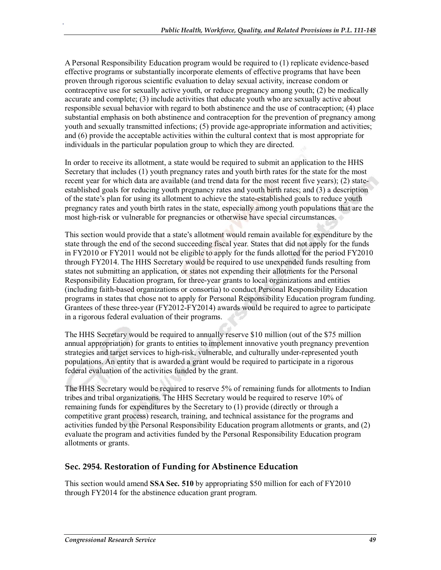A Personal Responsibility Education program would be required to (1) replicate evidence-based effective programs or substantially incorporate elements of effective programs that have been proven through rigorous scientific evaluation to delay sexual activity, increase condom or contraceptive use for sexually active youth, or reduce pregnancy among youth; (2) be medically accurate and complete; (3) include activities that educate youth who are sexually active about responsible sexual behavior with regard to both abstinence and the use of contraception; (4) place substantial emphasis on both abstinence and contraception for the prevention of pregnancy among youth and sexually transmitted infections; (5) provide age-appropriate information and activities; and (6) provide the acceptable activities within the cultural context that is most appropriate for individuals in the particular population group to which they are directed.

In order to receive its allotment, a state would be required to submit an application to the HHS Secretary that includes (1) youth pregnancy rates and youth birth rates for the state for the most recent year for which data are available (and trend data for the most recent five years); (2) stateestablished goals for reducing youth pregnancy rates and youth birth rates; and (3) a description of the state's plan for using its allotment to achieve the state-established goals to reduce youth pregnancy rates and youth birth rates in the state, especially among youth populations that are the most high-risk or vulnerable for pregnancies or otherwise have special circumstances.

This section would provide that a state's allotment would remain available for expenditure by the state through the end of the second succeeding fiscal year. States that did not apply for the funds in FY2010 or FY2011 would not be eligible to apply for the funds allotted for the period FY2010 through FY2014. The HHS Secretary would be required to use unexpended funds resulting from states not submitting an application, or states not expending their allotments for the Personal Responsibility Education program, for three-year grants to local organizations and entities (including faith-based organizations or consortia) to conduct Personal Responsibility Education programs in states that chose not to apply for Personal Responsibility Education program funding. Grantees of these three-year (FY2012-FY2014) awards would be required to agree to participate in a rigorous federal evaluation of their programs.

The HHS Secretary would be required to annually reserve \$10 million (out of the \$75 million annual appropriation) for grants to entities to implement innovative youth pregnancy prevention strategies and target services to high-risk, vulnerable, and culturally under-represented youth populations. An entity that is awarded a grant would be required to participate in a rigorous federal evaluation of the activities funded by the grant.

The HHS Secretary would be required to reserve 5% of remaining funds for allotments to Indian tribes and tribal organizations. The HHS Secretary would be required to reserve 10% of remaining funds for expenditures by the Secretary to (1) provide (directly or through a competitive grant process) research, training, and technical assistance for the programs and activities funded by the Personal Responsibility Education program allotments or grants, and (2) evaluate the program and activities funded by the Personal Responsibility Education program allotments or grants.

#### **Sec. 2954. Restoration of Funding for Abstinence Education**

This section would amend **SSA Sec. 510** by appropriating \$50 million for each of FY2010 through FY2014 for the abstinence education grant program.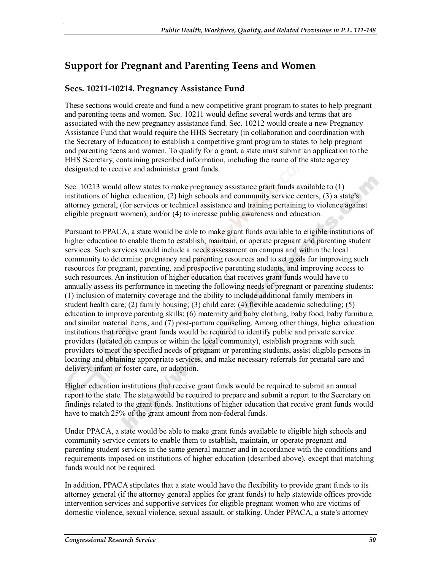# **Support for Pregnant and Parenting Teens and Women**

#### **Secs. 10211-10214. Pregnancy Assistance Fund**

.

These sections would create and fund a new competitive grant program to states to help pregnant and parenting teens and women. Sec. 10211 would define several words and terms that are associated with the new pregnancy assistance fund. Sec. 10212 would create a new Pregnancy Assistance Fund that would require the HHS Secretary (in collaboration and coordination with the Secretary of Education) to establish a competitive grant program to states to help pregnant and parenting teens and women. To qualify for a grant, a state must submit an application to the HHS Secretary, containing prescribed information, including the name of the state agency designated to receive and administer grant funds.

Sec. 10213 would allow states to make pregnancy assistance grant funds available to (1) institutions of higher education, (2) high schools and community service centers, (3) a state's attorney general, (for services or technical assistance and training pertaining to violence against eligible pregnant women), and/or (4) to increase public awareness and education.

Pursuant to PPACA, a state would be able to make grant funds available to eligible institutions of higher education to enable them to establish, maintain, or operate pregnant and parenting student services. Such services would include a needs assessment on campus and within the local community to determine pregnancy and parenting resources and to set goals for improving such resources for pregnant, parenting, and prospective parenting students, and improving access to such resources. An institution of higher education that receives grant funds would have to annually assess its performance in meeting the following needs of pregnant or parenting students: (1) inclusion of maternity coverage and the ability to include additional family members in student health care; (2) family housing; (3) child care; (4) flexible academic scheduling; (5) education to improve parenting skills; (6) maternity and baby clothing, baby food, baby furniture, and similar material items; and (7) post-partum counseling. Among other things, higher education institutions that receive grant funds would be required to identify public and private service providers (located on campus or within the local community), establish programs with such providers to meet the specified needs of pregnant or parenting students, assist eligible persons in locating and obtaining appropriate services, and make necessary referrals for prenatal care and delivery, infant or foster care, or adoption.

Higher education institutions that receive grant funds would be required to submit an annual report to the state. The state would be required to prepare and submit a report to the Secretary on findings related to the grant funds. Institutions of higher education that receive grant funds would have to match 25% of the grant amount from non-federal funds.

Under PPACA, a state would be able to make grant funds available to eligible high schools and community service centers to enable them to establish, maintain, or operate pregnant and parenting student services in the same general manner and in accordance with the conditions and requirements imposed on institutions of higher education (described above), except that matching funds would not be required.

In addition, PPACA stipulates that a state would have the flexibility to provide grant funds to its attorney general (if the attorney general applies for grant funds) to help statewide offices provide intervention services and supportive services for eligible pregnant women who are victims of domestic violence, sexual violence, sexual assault, or stalking. Under PPACA, a state's attorney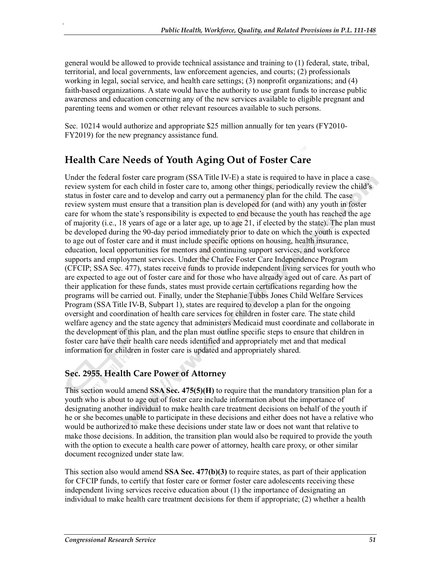general would be allowed to provide technical assistance and training to (1) federal, state, tribal, territorial, and local governments, law enforcement agencies, and courts; (2) professionals working in legal, social service, and health care settings; (3) nonprofit organizations; and (4) faith-based organizations. A state would have the authority to use grant funds to increase public awareness and education concerning any of the new services available to eligible pregnant and parenting teens and women or other relevant resources available to such persons.

Sec. 10214 would authorize and appropriate \$25 million annually for ten years (FY2010- FY2019) for the new pregnancy assistance fund.

# **Health Care Needs of Youth Aging Out of Foster Care**

Under the federal foster care program (SSA Title IV-E) a state is required to have in place a case review system for each child in foster care to, among other things, periodically review the child's status in foster care and to develop and carry out a permanency plan for the child. The case review system must ensure that a transition plan is developed for (and with) any youth in foster care for whom the state's responsibility is expected to end because the youth has reached the age of majority (i.e., 18 years of age or a later age, up to age 21, if elected by the state). The plan must be developed during the 90-day period immediately prior to date on which the youth is expected to age out of foster care and it must include specific options on housing, health insurance, education, local opportunities for mentors and continuing support services, and workforce supports and employment services. Under the Chafee Foster Care Independence Program (CFCIP; SSA Sec. 477), states receive funds to provide independent living services for youth who are expected to age out of foster care and for those who have already aged out of care. As part of their application for these funds, states must provide certain certifications regarding how the programs will be carried out. Finally, under the Stephanie Tubbs Jones Child Welfare Services Program (SSA Title IV-B, Subpart 1), states are required to develop a plan for the ongoing oversight and coordination of health care services for children in foster care. The state child welfare agency and the state agency that administers Medicaid must coordinate and collaborate in the development of this plan, and the plan must outline specific steps to ensure that children in foster care have their health care needs identified and appropriately met and that medical information for children in foster care is updated and appropriately shared.

## **Sec. 2955. Health Care Power of Attorney**

This section would amend **SSA Sec. 475(5)(H)** to require that the mandatory transition plan for a youth who is about to age out of foster care include information about the importance of designating another individual to make health care treatment decisions on behalf of the youth if he or she becomes unable to participate in these decisions and either does not have a relative who would be authorized to make these decisions under state law or does not want that relative to make those decisions. In addition, the transition plan would also be required to provide the youth with the option to execute a health care power of attorney, health care proxy, or other similar document recognized under state law.

This section also would amend **SSA Sec. 477(b)(3)** to require states, as part of their application for CFCIP funds, to certify that foster care or former foster care adolescents receiving these independent living services receive education about (1) the importance of designating an individual to make health care treatment decisions for them if appropriate; (2) whether a health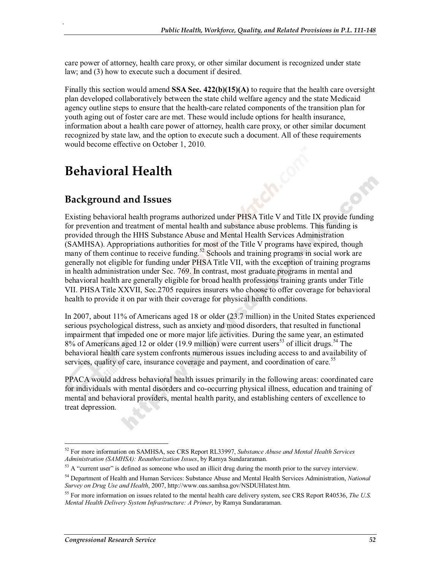care power of attorney, health care proxy, or other similar document is recognized under state law; and (3) how to execute such a document if desired.

Finally this section would amend **SSA Sec. 422(b)(15)(A)** to require that the health care oversight plan developed collaboratively between the state child welfare agency and the state Medicaid agency outline steps to ensure that the health-care related components of the transition plan for youth aging out of foster care are met. These would include options for health insurance, information about a health care power of attorney, health care proxy, or other similar document recognized by state law, and the option to execute such a document. All of these requirements would become effective on October 1, 2010.

# **Behavioral Health**

.

## **Background and Issues**

Existing behavioral health programs authorized under PHSA Title V and Title IX provide funding for prevention and treatment of mental health and substance abuse problems. This funding is provided through the HHS Substance Abuse and Mental Health Services Administration (SAMHSA). Appropriations authorities for most of the Title V programs have expired, though many of them continue to receive funding.<sup>52</sup> Schools and training programs in social work are generally not eligible for funding under PHSA Title VII, with the exception of training programs in health administration under Sec. 769. In contrast, most graduate programs in mental and behavioral health are generally eligible for broad health professions training grants under Title VII. PHSA Title XXVII, Sec.2705 requires insurers who choose to offer coverage for behavioral health to provide it on par with their coverage for physical health conditions.

In 2007, about 11% of Americans aged 18 or older (23.7 million) in the United States experienced serious psychological distress, such as anxiety and mood disorders, that resulted in functional impairment that impeded one or more major life activities. During the same year, an estimated  $8\%$  of Americans aged 12 or older (19.9 million) were current users<sup>53</sup> of illicit drugs.<sup>54</sup> The behavioral health care system confronts numerous issues including access to and availability of services, quality of care, insurance coverage and payment, and coordination of care.<sup>55</sup>

PPACA would address behavioral health issues primarily in the following areas: coordinated care for individuals with mental disorders and co-occurring physical illness, education and training of mental and behavioral providers, mental health parity, and establishing centers of excellence to treat depression.

<sup>52</sup> For more information on SAMHSA, see CRS Report RL33997, *Substance Abuse and Mental Health Services Administration (SAMHSA): Reauthorization Issues*, by Ramya Sundararaman.

<sup>&</sup>lt;sup>53</sup> A "current user" is defined as someone who used an illicit drug during the month prior to the survey interview.

<sup>54</sup> Department of Health and Human Services: Substance Abuse and Mental Health Services Administration, *National Survey on Drug Use and Health*, 2007, http://www.oas.samhsa.gov/NSDUHlatest.htm.

<sup>55</sup> For more information on issues related to the mental health care delivery system, see CRS Report R40536, *The U.S. Mental Health Delivery System Infrastructure: A Primer*, by Ramya Sundararaman.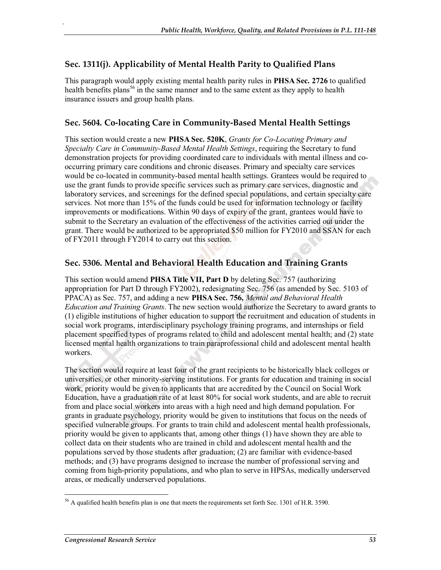#### **Sec. 1311(j). Applicability of Mental Health Parity to Qualified Plans**

.

This paragraph would apply existing mental health parity rules in **PHSA Sec. 2726** to qualified health benefits plans<sup>56</sup> in the same manner and to the same extent as they apply to health insurance issuers and group health plans.

#### **Sec. 5604. Co-locating Care in Community-Based Mental Health Settings**

This section would create a new **PHSA Sec. 520K**, *Grants for Co-Locating Primary and Specialty Care in Community-Based Mental Health Settings*, requiring the Secretary to fund demonstration projects for providing coordinated care to individuals with mental illness and cooccurring primary care conditions and chronic diseases. Primary and specialty care services would be co-located in community-based mental health settings. Grantees would be required to use the grant funds to provide specific services such as primary care services, diagnostic and laboratory services, and screenings for the defined special populations, and certain specialty care services. Not more than 15% of the funds could be used for information technology or facility improvements or modifications. Within 90 days of expiry of the grant, grantees would have to submit to the Secretary an evaluation of the effectiveness of the activities carried out under the grant. There would be authorized to be appropriated \$50 million for FY2010 and SSAN for each of FY2011 through FY2014 to carry out this section.

#### **Sec. 5306. Mental and Behavioral Health Education and Training Grants**

This section would amend **PHSA Title VII, Part D** by deleting Sec. 757 (authorizing appropriation for Part D through FY2002), redesignating Sec. 756 (as amended by Sec. 5103 of PPACA) as Sec. 757, and adding a new **PHSA Sec. 756,** *Mental and Behavioral Health Education and Training Grants*. The new section would authorize the Secretary to award grants to (1) eligible institutions of higher education to support the recruitment and education of students in social work programs, interdisciplinary psychology training programs, and internships or field placement specified types of programs related to child and adolescent mental health; and (2) state licensed mental health organizations to train paraprofessional child and adolescent mental health workers.

The section would require at least four of the grant recipients to be historically black colleges or universities, or other minority-serving institutions. For grants for education and training in social work, priority would be given to applicants that are accredited by the Council on Social Work Education, have a graduation rate of at least 80% for social work students, and are able to recruit from and place social workers into areas with a high need and high demand population. For grants in graduate psychology, priority would be given to institutions that focus on the needs of specified vulnerable groups. For grants to train child and adolescent mental health professionals, priority would be given to applicants that, among other things (1) have shown they are able to collect data on their students who are trained in child and adolescent mental health and the populations served by those students after graduation; (2) are familiar with evidence-based methods; and (3) have programs designed to increase the number of professional serving and coming from high-priority populations, and who plan to serve in HPSAs, medically underserved areas, or medically underserved populations.

<sup>&</sup>lt;sup>56</sup> A qualified health benefits plan is one that meets the requirements set forth Sec. 1301 of H.R. 3590.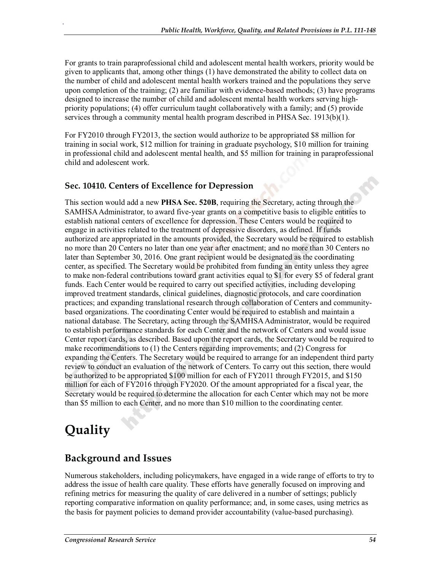For grants to train paraprofessional child and adolescent mental health workers, priority would be given to applicants that, among other things (1) have demonstrated the ability to collect data on the number of child and adolescent mental health workers trained and the populations they serve upon completion of the training; (2) are familiar with evidence-based methods; (3) have programs designed to increase the number of child and adolescent mental health workers serving highpriority populations; (4) offer curriculum taught collaboratively with a family; and (5) provide services through a community mental health program described in PHSA Sec. 1913(b)(1).

For FY2010 through FY2013, the section would authorize to be appropriated \$8 million for training in social work, \$12 million for training in graduate psychology, \$10 million for training in professional child and adolescent mental health, and \$5 million for training in paraprofessional child and adolescent work.

## **Sec. 10410. Centers of Excellence for Depression**

This section would add a new **PHSA Sec. 520B**, requiring the Secretary, acting through the SAMHSA Administrator, to award five-year grants on a competitive basis to eligible entities to establish national centers of excellence for depression. These Centers would be required to engage in activities related to the treatment of depressive disorders, as defined. If funds authorized are appropriated in the amounts provided, the Secretary would be required to establish no more than 20 Centers no later than one year after enactment; and no more than 30 Centers no later than September 30, 2016. One grant recipient would be designated as the coordinating center, as specified. The Secretary would be prohibited from funding an entity unless they agree to make non-federal contributions toward grant activities equal to \$1 for every \$5 of federal grant funds. Each Center would be required to carry out specified activities, including developing improved treatment standards, clinical guidelines, diagnostic protocols, and care coordination practices; and expanding translational research through collaboration of Centers and communitybased organizations. The coordinating Center would be required to establish and maintain a national database. The Secretary, acting through the SAMHSA Administrator, would be required to establish performance standards for each Center and the network of Centers and would issue Center report cards, as described. Based upon the report cards, the Secretary would be required to make recommendations to (1) the Centers regarding improvements; and (2) Congress for expanding the Centers. The Secretary would be required to arrange for an independent third party review to conduct an evaluation of the network of Centers. To carry out this section, there would be authorized to be appropriated \$100 million for each of FY2011 through FY2015, and \$150 million for each of FY2016 through FY2020. Of the amount appropriated for a fiscal year, the Secretary would be required to determine the allocation for each Center which may not be more than \$5 million to each Center, and no more than \$10 million to the coordinating center.

# **Quality**

.

# **Background and Issues**

Numerous stakeholders, including policymakers, have engaged in a wide range of efforts to try to address the issue of health care quality. These efforts have generally focused on improving and refining metrics for measuring the quality of care delivered in a number of settings; publicly reporting comparative information on quality performance; and, in some cases, using metrics as the basis for payment policies to demand provider accountability (value-based purchasing).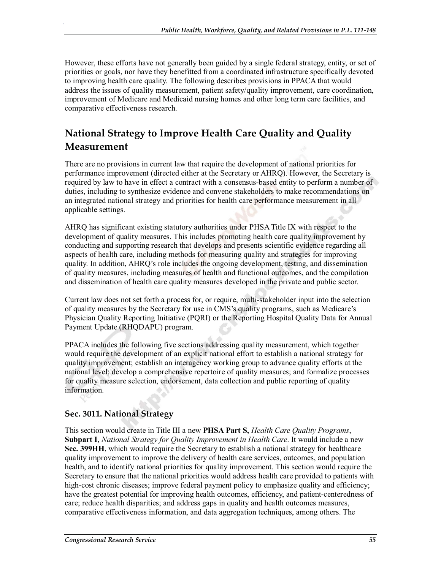However, these efforts have not generally been guided by a single federal strategy, entity, or set of priorities or goals, nor have they benefitted from a coordinated infrastructure specifically devoted to improving health care quality. The following describes provisions in PPACA that would address the issues of quality measurement, patient safety/quality improvement, care coordination, improvement of Medicare and Medicaid nursing homes and other long term care facilities, and comparative effectiveness research.

# **National Strategy to Improve Health Care Quality and Quality Measurement**

There are no provisions in current law that require the development of national priorities for performance improvement (directed either at the Secretary or AHRQ). However, the Secretary is required by law to have in effect a contract with a consensus-based entity to perform a number of duties, including to synthesize evidence and convene stakeholders to make recommendations on an integrated national strategy and priorities for health care performance measurement in all applicable settings.

AHRQ has significant existing statutory authorities under PHSA Title IX with respect to the development of quality measures. This includes promoting health care quality improvement by conducting and supporting research that develops and presents scientific evidence regarding all aspects of health care, including methods for measuring quality and strategies for improving quality. In addition, AHRQ's role includes the ongoing development, testing, and dissemination of quality measures, including measures of health and functional outcomes, and the compilation and dissemination of health care quality measures developed in the private and public sector.

Current law does not set forth a process for, or require, multi-stakeholder input into the selection of quality measures by the Secretary for use in CMS's quality programs, such as Medicare's Physician Quality Reporting Initiative (PQRI) or the Reporting Hospital Quality Data for Annual Payment Update (RHQDAPU) program.

PPACA includes the following five sections addressing quality measurement, which together would require the development of an explicit national effort to establish a national strategy for quality improvement; establish an interagency working group to advance quality efforts at the national level; develop a comprehensive repertoire of quality measures; and formalize processes for quality measure selection, endorsement, data collection and public reporting of quality information.

## **Sec. 3011. National Strategy**

.

This section would create in Title III a new **PHSA Part S,** *Health Care Quality Programs*, **Subpart I**, *National Strategy for Quality Improvement in Health Care*. It would include a new **Sec. 399HH**, which would require the Secretary to establish a national strategy for healthcare quality improvement to improve the delivery of health care services, outcomes, and population health, and to identify national priorities for quality improvement. This section would require the Secretary to ensure that the national priorities would address health care provided to patients with high-cost chronic diseases; improve federal payment policy to emphasize quality and efficiency; have the greatest potential for improving health outcomes, efficiency, and patient-centeredness of care; reduce health disparities; and address gaps in quality and health outcomes measures, comparative effectiveness information, and data aggregation techniques, among others. The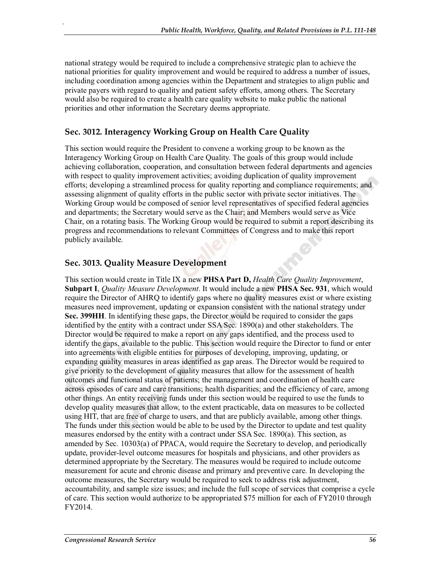national strategy would be required to include a comprehensive strategic plan to achieve the national priorities for quality improvement and would be required to address a number of issues, including coordination among agencies within the Department and strategies to align public and private payers with regard to quality and patient safety efforts, among others. The Secretary would also be required to create a health care quality website to make public the national priorities and other information the Secretary deems appropriate.

## **Sec. 3012. Interagency Working Group on Health Care Quality**

This section would require the President to convene a working group to be known as the Interagency Working Group on Health Care Quality. The goals of this group would include achieving collaboration, cooperation, and consultation between federal departments and agencies with respect to quality improvement activities; avoiding duplication of quality improvement efforts; developing a streamlined process for quality reporting and compliance requirements; and assessing alignment of quality efforts in the public sector with private sector initiatives. The Working Group would be composed of senior level representatives of specified federal agencies and departments; the Secretary would serve as the Chair; and Members would serve as Vice Chair, on a rotating basis. The Working Group would be required to submit a report describing its progress and recommendations to relevant Committees of Congress and to make this report publicly available.

#### **Sec. 3013. Quality Measure Development**

.

This section would create in Title IX a new **PHSA Part D,** *Health Care Quality Improvement*, **Subpart I**, *Quality Measure Development*. It would include a new **PHSA Sec. 931**, which would require the Director of AHRO to identify gaps where no quality measures exist or where existing measures need improvement, updating or expansion consistent with the national strategy under **Sec. 399HH**. In identifying these gaps, the Director would be required to consider the gaps identified by the entity with a contract under SSA Sec. 1890(a) and other stakeholders. The Director would be required to make a report on any gaps identified, and the process used to identify the gaps, available to the public. This section would require the Director to fund or enter into agreements with eligible entities for purposes of developing, improving, updating, or expanding quality measures in areas identified as gap areas. The Director would be required to give priority to the development of quality measures that allow for the assessment of health outcomes and functional status of patients; the management and coordination of health care across episodes of care and care transitions; health disparities; and the efficiency of care, among other things. An entity receiving funds under this section would be required to use the funds to develop quality measures that allow, to the extent practicable, data on measures to be collected using HIT, that are free of charge to users, and that are publicly available, among other things. The funds under this section would be able to be used by the Director to update and test quality measures endorsed by the entity with a contract under SSA Sec. 1890(a). This section, as amended by Sec. 10303(a) of PPACA, would require the Secretary to develop, and periodically update, provider-level outcome measures for hospitals and physicians, and other providers as determined appropriate by the Secretary. The measures would be required to include outcome measurement for acute and chronic disease and primary and preventive care. In developing the outcome measures, the Secretary would be required to seek to address risk adjustment, accountability, and sample size issues; and include the full scope of services that comprise a cycle of care. This section would authorize to be appropriated \$75 million for each of FY2010 through FY2014.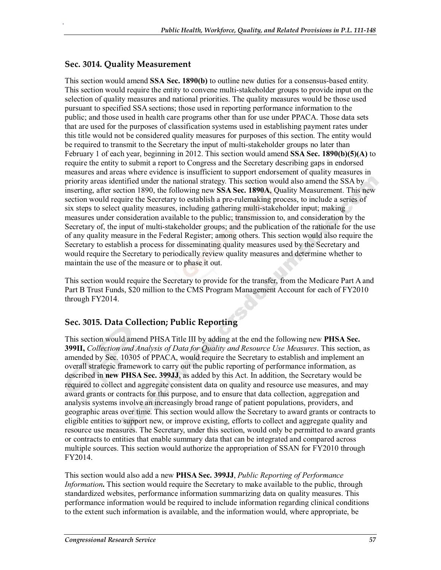#### **Sec. 3014. Quality Measurement**

.

This section would amend **SSA Sec. 1890(b)** to outline new duties for a consensus-based entity. This section would require the entity to convene multi-stakeholder groups to provide input on the selection of quality measures and national priorities. The quality measures would be those used pursuant to specified SSA sections; those used in reporting performance information to the public; and those used in health care programs other than for use under PPACA. Those data sets that are used for the purposes of classification systems used in establishing payment rates under this title would not be considered quality measures for purposes of this section. The entity would be required to transmit to the Secretary the input of multi-stakeholder groups no later than February 1 of each year, beginning in 2012. This section would amend **SSA Sec. 1890(b)(5)(A)** to require the entity to submit a report to Congress and the Secretary describing gaps in endorsed measures and areas where evidence is insufficient to support endorsement of quality measures in priority areas identified under the national strategy. This section would also amend the SSA by inserting, after section 1890, the following new **SSA Sec. 1890A**, Quality Measurement. This new section would require the Secretary to establish a pre-rulemaking process, to include a series of six steps to select quality measures, including gathering multi-stakeholder input; making measures under consideration available to the public; transmission to, and consideration by the Secretary of, the input of multi-stakeholder groups; and the publication of the rationale for the use of any quality measure in the Federal Register; among others. This section would also require the Secretary to establish a process for disseminating quality measures used by the Secretary and would require the Secretary to periodically review quality measures and determine whether to maintain the use of the measure or to phase it out.

This section would require the Secretary to provide for the transfer, from the Medicare Part A and Part B Trust Funds, \$20 million to the CMS Program Management Account for each of FY2010 through FY2014.

#### **Sec. 3015. Data Collection; Public Reporting**

This section would amend PHSA Title III by adding at the end the following new **PHSA Sec. 399II,** *Collection and Analysis of Data for Quality and Resource Use Measures*. This section, as amended by Sec. 10305 of PPACA, would require the Secretary to establish and implement an overall strategic framework to carry out the public reporting of performance information, as described in **new PHSA Sec. 399JJ**, as added by this Act. In addition, the Secretary would be required to collect and aggregate consistent data on quality and resource use measures, and may award grants or contracts for this purpose, and to ensure that data collection, aggregation and analysis systems involve an increasingly broad range of patient populations, providers, and geographic areas over time. This section would allow the Secretary to award grants or contracts to eligible entities to support new, or improve existing, efforts to collect and aggregate quality and resource use measures. The Secretary, under this section, would only be permitted to award grants or contracts to entities that enable summary data that can be integrated and compared across multiple sources. This section would authorize the appropriation of SSAN for FY2010 through FY2014.

This section would also add a new **PHSA Sec. 399JJ**, *Public Reporting of Performance Information***.** This section would require the Secretary to make available to the public, through standardized websites, performance information summarizing data on quality measures. This performance information would be required to include information regarding clinical conditions to the extent such information is available, and the information would, where appropriate, be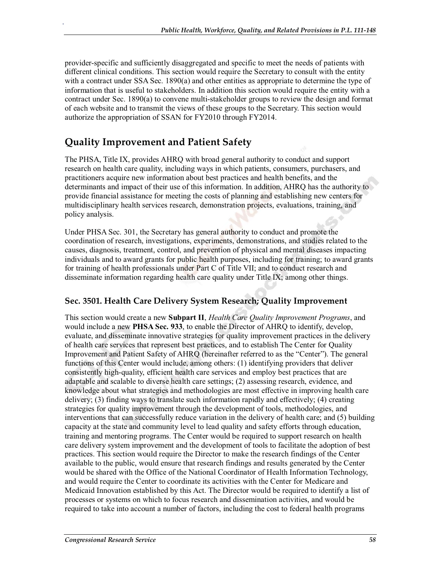provider-specific and sufficiently disaggregated and specific to meet the needs of patients with different clinical conditions. This section would require the Secretary to consult with the entity with a contract under SSA Sec. 1890(a) and other entities as appropriate to determine the type of information that is useful to stakeholders. In addition this section would require the entity with a contract under Sec. 1890(a) to convene multi-stakeholder groups to review the design and format of each website and to transmit the views of these groups to the Secretary. This section would authorize the appropriation of SSAN for FY2010 through FY2014.

# **Quality Improvement and Patient Safety**

.

The PHSA, Title IX, provides AHRQ with broad general authority to conduct and support research on health care quality, including ways in which patients, consumers, purchasers, and practitioners acquire new information about best practices and health benefits, and the determinants and impact of their use of this information. In addition, AHRQ has the authority to provide financial assistance for meeting the costs of planning and establishing new centers for multidisciplinary health services research, demonstration projects, evaluations, training, and policy analysis.

Under PHSA Sec. 301, the Secretary has general authority to conduct and promote the coordination of research, investigations, experiments, demonstrations, and studies related to the causes, diagnosis, treatment, control, and prevention of physical and mental diseases impacting individuals and to award grants for public health purposes, including for training; to award grants for training of health professionals under Part C of Title VII; and to conduct research and disseminate information regarding health care quality under Title IX; among other things.

## **Sec. 3501. Health Care Delivery System Research; Quality Improvement**

This section would create a new **Subpart II**, *Health Care Quality Improvement Programs*, and would include a new **PHSA Sec. 933**, to enable the Director of AHRQ to identify, develop, evaluate, and disseminate innovative strategies for quality improvement practices in the delivery of health care services that represent best practices, and to establish The Center for Quality Improvement and Patient Safety of AHRQ (hereinafter referred to as the "Center"). The general functions of this Center would include, among others: (1) identifying providers that deliver consistently high-quality, efficient health care services and employ best practices that are adaptable and scalable to diverse health care settings; (2) assessing research, evidence, and knowledge about what strategies and methodologies are most effective in improving health care delivery; (3) finding ways to translate such information rapidly and effectively; (4) creating strategies for quality improvement through the development of tools, methodologies, and interventions that can successfully reduce variation in the delivery of health care; and (5) building capacity at the state and community level to lead quality and safety efforts through education, training and mentoring programs. The Center would be required to support research on health care delivery system improvement and the development of tools to facilitate the adoption of best practices. This section would require the Director to make the research findings of the Center available to the public, would ensure that research findings and results generated by the Center would be shared with the Office of the National Coordinator of Health Information Technology, and would require the Center to coordinate its activities with the Center for Medicare and Medicaid Innovation established by this Act. The Director would be required to identify a list of processes or systems on which to focus research and dissemination activities, and would be required to take into account a number of factors, including the cost to federal health programs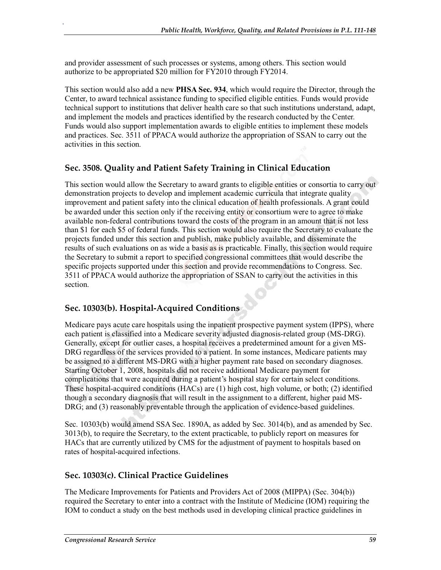and provider assessment of such processes or systems, among others. This section would authorize to be appropriated \$20 million for FY2010 through FY2014.

This section would also add a new **PHSA Sec. 934**, which would require the Director, through the Center, to award technical assistance funding to specified eligible entities. Funds would provide technical support to institutions that deliver health care so that such institutions understand, adapt, and implement the models and practices identified by the research conducted by the Center. Funds would also support implementation awards to eligible entities to implement these models and practices. Sec. 3511 of PPACA would authorize the appropriation of SSAN to carry out the activities in this section.

## **Sec. 3508. Quality and Patient Safety Training in Clinical Education**

This section would allow the Secretary to award grants to eligible entities or consortia to carry out demonstration projects to develop and implement academic curricula that integrate quality improvement and patient safety into the clinical education of health professionals. A grant could be awarded under this section only if the receiving entity or consortium were to agree to make available non-federal contributions toward the costs of the program in an amount that is not less than \$1 for each \$5 of federal funds. This section would also require the Secretary to evaluate the projects funded under this section and publish, make publicly available, and disseminate the results of such evaluations on as wide a basis as is practicable. Finally, this section would require the Secretary to submit a report to specified congressional committees that would describe the specific projects supported under this section and provide recommendations to Congress. Sec. 3511 of PPACA would authorize the appropriation of SSAN to carry out the activities in this section.

## **Sec. 10303(b). Hospital-Acquired Conditions**

.

Medicare pays acute care hospitals using the inpatient prospective payment system (IPPS), where each patient is classified into a Medicare severity adjusted diagnosis-related group (MS-DRG). Generally, except for outlier cases, a hospital receives a predetermined amount for a given MS-DRG regardless of the services provided to a patient. In some instances, Medicare patients may be assigned to a different MS-DRG with a higher payment rate based on secondary diagnoses. Starting October 1, 2008, hospitals did not receive additional Medicare payment for complications that were acquired during a patient's hospital stay for certain select conditions. These hospital-acquired conditions (HACs) are (1) high cost, high volume, or both; (2) identified though a secondary diagnosis that will result in the assignment to a different, higher paid MS-DRG; and (3) reasonably preventable through the application of evidence-based guidelines.

Sec. 10303(b) would amend SSA Sec. 1890A, as added by Sec. 3014(b), and as amended by Sec. 3013(b), to require the Secretary, to the extent practicable, to publicly report on measures for HACs that are currently utilized by CMS for the adjustment of payment to hospitals based on rates of hospital-acquired infections.

## **Sec. 10303(c). Clinical Practice Guidelines**

The Medicare Improvements for Patients and Providers Act of 2008 (MIPPA) (Sec. 304(b)) required the Secretary to enter into a contract with the Institute of Medicine (IOM) requiring the IOM to conduct a study on the best methods used in developing clinical practice guidelines in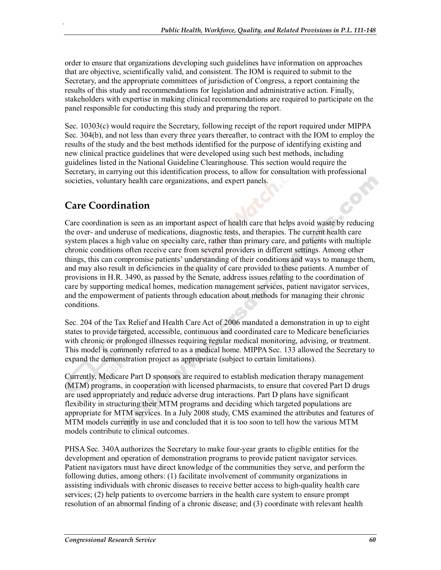order to ensure that organizations developing such guidelines have information on approaches that are objective, scientifically valid, and consistent. The IOM is required to submit to the Secretary, and the appropriate committees of jurisdiction of Congress, a report containing the results of this study and recommendations for legislation and administrative action. Finally, stakeholders with expertise in making clinical recommendations are required to participate on the panel responsible for conducting this study and preparing the report.

Sec. 10303(c) would require the Secretary, following receipt of the report required under MIPPA Sec. 304(b), and not less than every three years thereafter, to contract with the IOM to employ the results of the study and the best methods identified for the purpose of identifying existing and new clinical practice guidelines that were developed using such best methods, including guidelines listed in the National Guideline Clearinghouse. This section would require the Secretary, in carrying out this identification process, to allow for consultation with professional societies, voluntary health care organizations, and expert panels.

# **Care Coordination**

.

Care coordination is seen as an important aspect of health care that helps avoid waste by reducing the over- and underuse of medications, diagnostic tests, and therapies. The current health care system places a high value on specialty care, rather than primary care, and patients with multiple chronic conditions often receive care from several providers in different settings. Among other things, this can compromise patients' understanding of their conditions and ways to manage them, and may also result in deficiencies in the quality of care provided to these patients. A number of provisions in H.R. 3490, as passed by the Senate, address issues relating to the coordination of care by supporting medical homes, medication management services, patient navigator services, and the empowerment of patients through education about methods for managing their chronic conditions.

Sec. 204 of the Tax Relief and Health Care Act of 2006 mandated a demonstration in up to eight states to provide targeted, accessible, continuous and coordinated care to Medicare beneficiaries with chronic or prolonged illnesses requiring regular medical monitoring, advising, or treatment. This model is commonly referred to as a medical home. MIPPA Sec. 133 allowed the Secretary to expand the demonstration project as appropriate (subject to certain limitations).

Currently, Medicare Part D sponsors are required to establish medication therapy management (MTM) programs, in cooperation with licensed pharmacists, to ensure that covered Part D drugs are used appropriately and reduce adverse drug interactions. Part D plans have significant flexibility in structuring their MTM programs and deciding which targeted populations are appropriate for MTM services. In a July 2008 study, CMS examined the attributes and features of MTM models currently in use and concluded that it is too soon to tell how the various MTM models contribute to clinical outcomes.

PHSA Sec. 340A authorizes the Secretary to make four-year grants to eligible entities for the development and operation of demonstration programs to provide patient navigator services. Patient navigators must have direct knowledge of the communities they serve, and perform the following duties, among others: (1) facilitate involvement of community organizations in assisting individuals with chronic diseases to receive better access to high-quality health care services; (2) help patients to overcome barriers in the health care system to ensure prompt resolution of an abnormal finding of a chronic disease; and (3) coordinate with relevant health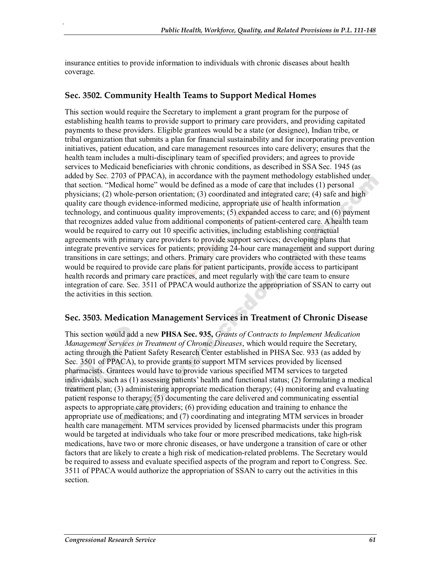insurance entities to provide information to individuals with chronic diseases about health coverage.

#### **Sec. 3502. Community Health Teams to Support Medical Homes**

.

This section would require the Secretary to implement a grant program for the purpose of establishing health teams to provide support to primary care providers, and providing capitated payments to these providers. Eligible grantees would be a state (or designee), Indian tribe, or tribal organization that submits a plan for financial sustainability and for incorporating prevention initiatives, patient education, and care management resources into care delivery; ensures that the health team includes a multi-disciplinary team of specified providers; and agrees to provide services to Medicaid beneficiaries with chronic conditions, as described in SSA Sec. 1945 (as added by Sec. 2703 of PPACA), in accordance with the payment methodology established under that section. "Medical home" would be defined as a mode of care that includes (1) personal physicians; (2) whole-person orientation; (3) coordinated and integrated care; (4) safe and high quality care though evidence-informed medicine, appropriate use of health information technology, and continuous quality improvements; (5) expanded access to care; and (6) payment that recognizes added value from additional components of patient-centered care. A health team would be required to carry out 10 specific activities, including establishing contractual agreements with primary care providers to provide support services; developing plans that integrate preventive services for patients; providing 24-hour care management and support during transitions in care settings; and others. Primary care providers who contracted with these teams would be required to provide care plans for patient participants, provide access to participant health records and primary care practices, and meet regularly with the care team to ensure integration of care. Sec. 3511 of PPACA would authorize the appropriation of SSAN to carry out the activities in this section.

#### **Sec. 3503. Medication Management Services in Treatment of Chronic Disease**

This section would add a new **PHSA Sec. 935,** *Grants of Contracts to Implement Medication Management Services in Treatment of Chronic Diseases*, which would require the Secretary, acting through the Patient Safety Research Center established in PHSA Sec. 933 (as added by Sec. 3501 of PPACA), to provide grants to support MTM services provided by licensed pharmacists. Grantees would have to provide various specified MTM services to targeted individuals, such as (1) assessing patients' health and functional status; (2) formulating a medical treatment plan; (3) administering appropriate medication therapy; (4) monitoring and evaluating patient response to therapy; (5) documenting the care delivered and communicating essential aspects to appropriate care providers; (6) providing education and training to enhance the appropriate use of medications; and (7) coordinating and integrating MTM services in broader health care management. MTM services provided by licensed pharmacists under this program would be targeted at individuals who take four or more prescribed medications, take high-risk medications, have two or more chronic diseases, or have undergone a transition of care or other factors that are likely to create a high risk of medication-related problems. The Secretary would be required to assess and evaluate specified aspects of the program and report to Congress. Sec. 3511 of PPACA would authorize the appropriation of SSAN to carry out the activities in this section.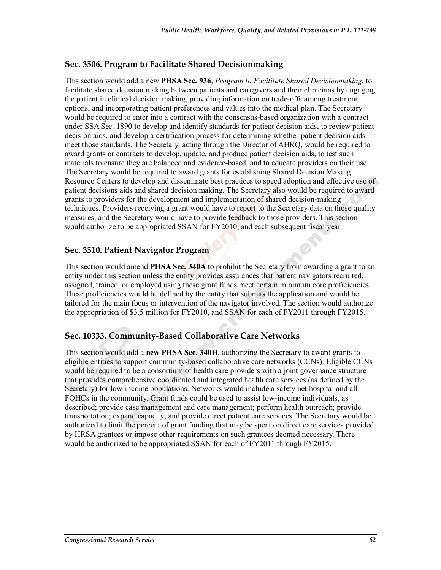#### **Sec. 3506. Program to Facilitate Shared Decisionmaking**

.

This section would add a new **PHSA Sec. 936**, *Program to Facilitate Shared Decisionmaking*, to facilitate shared decision making between patients and caregivers and their clinicians by engaging the patient in clinical decision making, providing information on trade-offs among treatment options, and incorporating patient preferences and values into the medical plan. The Secretary would be required to enter into a contract with the consensus-based organization with a contract under SSA Sec. 1890 to develop and identify standards for patient decision aids, to review patient decision aids, and develop a certification process for determining whether patient decision aids meet those standards. The Secretary, acting through the Director of AHRQ, would be required to award grants or contracts to develop, update, and produce patient decision aids, to test such materials to ensure they are balanced and evidence-based, and to educate providers on their use. The Secretary would be required to award grants for establishing Shared Decision Making Resource Centers to develop and disseminate best practices to speed adoption and effective use of patient decisions aids and shared decision making. The Secretary also would be required to award grants to providers for the development and implementation of shared decision-making techniques. Providers receiving a grant would have to report to the Secretary data on those quality measures, and the Secretary would have to provide feedback to those providers. This section would authorize to be appropriated SSAN for FY2010, and each subsequent fiscal year.

#### **Sec. 3510. Patient Navigator Program**

This section would amend **PHSA Sec. 340A** to prohibit the Secretary from awarding a grant to an entity under this section unless the entity provides assurances that patient navigators recruited, assigned, trained, or employed using these grant funds meet certain minimum core proficiencies. These proficiencies would be defined by the entity that submits the application and would be tailored for the main focus or intervention of the navigator involved. The section would authorize the appropriation of \$3.5 million for FY2010, and SSAN for each of FY2011 through FY2015.

#### **Sec. 10333. Community-Based Collaborative Care Networks**

This section would add a **new PHSA Sec. 340H**, authorizing the Secretary to award grants to eligible entities to support community-based collaborative care networks (CCNs). Eligible CCNs would be required to be a consortium of health care providers with a joint governance structure that provides comprehensive coordinated and integrated health care services (as defined by the Secretary) for low-income populations. Networks would include a safety net hospital and all FQHCs in the community. Grant funds could be used to assist low-income individuals, as described; provide case management and care management; perform health outreach; provide transportation; expand capacity; and provide direct patient care services. The Secretary would be authorized to limit the percent of grant funding that may be spent on direct care services provided by HRSA grantees or impose other requirements on such grantees deemed necessary. There would be authorized to be appropriated SSAN for each of FY2011 through FY2015.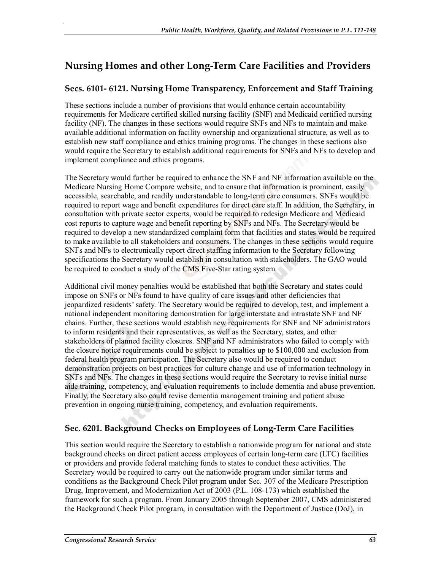# **Nursing Homes and other Long-Term Care Facilities and Providers**

## **Secs. 6101- 6121. Nursing Home Transparency, Enforcement and Staff Training**

These sections include a number of provisions that would enhance certain accountability requirements for Medicare certified skilled nursing facility (SNF) and Medicaid certified nursing facility (NF). The changes in these sections would require SNFs and NFs to maintain and make available additional information on facility ownership and organizational structure, as well as to establish new staff compliance and ethics training programs. The changes in these sections also would require the Secretary to establish additional requirements for SNFs and NFs to develop and implement compliance and ethics programs.

The Secretary would further be required to enhance the SNF and NF information available on the Medicare Nursing Home Compare website, and to ensure that information is prominent, easily accessible, searchable, and readily understandable to long-term care consumers. SNFs would be required to report wage and benefit expenditures for direct care staff. In addition, the Secretary, in consultation with private sector experts, would be required to redesign Medicare and Medicaid cost reports to capture wage and benefit reporting by SNFs and NFs. The Secretary would be required to develop a new standardized complaint form that facilities and states would be required to make available to all stakeholders and consumers. The changes in these sections would require SNFs and NFs to electronically report direct staffing information to the Secretary following specifications the Secretary would establish in consultation with stakeholders. The GAO would be required to conduct a study of the CMS Five-Star rating system.

Additional civil money penalties would be established that both the Secretary and states could impose on SNFs or NFs found to have quality of care issues and other deficiencies that jeopardized residents' safety. The Secretary would be required to develop, test, and implement a national independent monitoring demonstration for large interstate and intrastate SNF and NF chains. Further, these sections would establish new requirements for SNF and NF administrators to inform residents and their representatives, as well as the Secretary, states, and other stakeholders of planned facility closures. SNF and NF administrators who failed to comply with the closure notice requirements could be subject to penalties up to \$100,000 and exclusion from federal health program participation. The Secretary also would be required to conduct demonstration projects on best practices for culture change and use of information technology in SNFs and NFs. The changes in these sections would require the Secretary to revise initial nurse aide training, competency, and evaluation requirements to include dementia and abuse prevention. Finally, the Secretary also could revise dementia management training and patient abuse prevention in ongoing nurse training, competency, and evaluation requirements.

## **Sec. 6201. Background Checks on Employees of Long-Term Care Facilities**

This section would require the Secretary to establish a nationwide program for national and state background checks on direct patient access employees of certain long-term care (LTC) facilities or providers and provide federal matching funds to states to conduct these activities. The Secretary would be required to carry out the nationwide program under similar terms and conditions as the Background Check Pilot program under Sec. 307 of the Medicare Prescription Drug, Improvement, and Modernization Act of 2003 (P.L. 108-173) which established the framework for such a program. From January 2005 through September 2007, CMS administered the Background Check Pilot program, in consultation with the Department of Justice (DoJ), in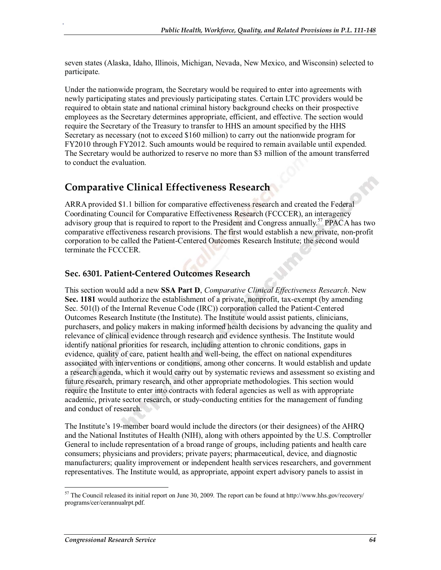seven states (Alaska, Idaho, Illinois, Michigan, Nevada, New Mexico, and Wisconsin) selected to participate.

Under the nationwide program, the Secretary would be required to enter into agreements with newly participating states and previously participating states. Certain LTC providers would be required to obtain state and national criminal history background checks on their prospective employees as the Secretary determines appropriate, efficient, and effective. The section would require the Secretary of the Treasury to transfer to HHS an amount specified by the HHS Secretary as necessary (not to exceed \$160 million) to carry out the nationwide program for FY2010 through FY2012. Such amounts would be required to remain available until expended. The Secretary would be authorized to reserve no more than \$3 million of the amount transferred to conduct the evaluation.

## **Comparative Clinical Effectiveness Research**

.

ARRA provided \$1.1 billion for comparative effectiveness research and created the Federal Coordinating Council for Comparative Effectiveness Research (FCCCER), an interagency advisory group that is required to report to the President and Congress annually.<sup>57</sup> PPACA has two comparative effectiveness research provisions. The first would establish a new private, non-profit corporation to be called the Patient-Centered Outcomes Research Institute; the second would terminate the FCCCER.

#### **Sec. 6301. Patient-Centered Outcomes Research**

This section would add a new **SSA Part D**, *Comparative Clinical Effectiveness Research*. New **Sec. 1181** would authorize the establishment of a private, nonprofit, tax-exempt (by amending Sec. 501(l) of the Internal Revenue Code (IRC)) corporation called the Patient-Centered Outcomes Research Institute (the Institute). The Institute would assist patients, clinicians, purchasers, and policy makers in making informed health decisions by advancing the quality and relevance of clinical evidence through research and evidence synthesis. The Institute would identify national priorities for research, including attention to chronic conditions, gaps in evidence, quality of care, patient health and well-being, the effect on national expenditures associated with interventions or conditions, among other concerns. It would establish and update a research agenda, which it would carry out by systematic reviews and assessment so existing and future research, primary research, and other appropriate methodologies. This section would require the Institute to enter into contracts with federal agencies as well as with appropriate academic, private sector research, or study-conducting entities for the management of funding and conduct of research.

The Institute's 19-member board would include the directors (or their designees) of the AHRQ and the National Institutes of Health (NIH), along with others appointed by the U.S. Comptroller General to include representation of a broad range of groups, including patients and health care consumers; physicians and providers; private payers; pharmaceutical, device, and diagnostic manufacturers; quality improvement or independent health services researchers, and government representatives. The Institute would, as appropriate, appoint expert advisory panels to assist in

<sup>57</sup> The Council released its initial report on June 30, 2009. The report can be found at http://www.hhs.gov/recovery/ programs/cer/cerannualrpt.pdf.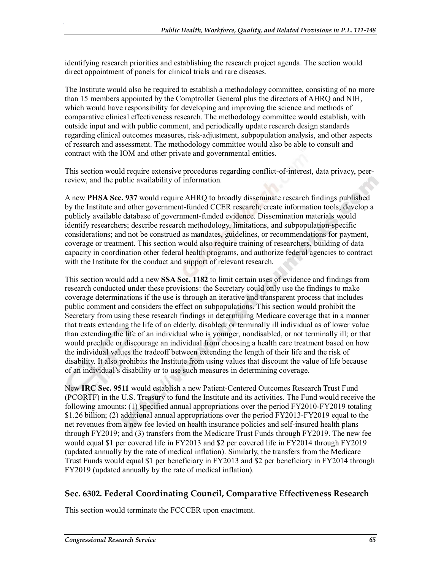identifying research priorities and establishing the research project agenda. The section would direct appointment of panels for clinical trials and rare diseases.

The Institute would also be required to establish a methodology committee, consisting of no more than 15 members appointed by the Comptroller General plus the directors of AHRQ and NIH, which would have responsibility for developing and improving the science and methods of comparative clinical effectiveness research. The methodology committee would establish, with outside input and with public comment, and periodically update research design standards regarding clinical outcomes measures, risk-adjustment, subpopulation analysis, and other aspects of research and assessment. The methodology committee would also be able to consult and contract with the IOM and other private and governmental entities.

This section would require extensive procedures regarding conflict-of-interest, data privacy, peerreview, and the public availability of information.

A new **PHSA Sec. 937** would require AHRQ to broadly disseminate research findings published by the Institute and other government-funded CCER research; create information tools; develop a publicly available database of government-funded evidence. Dissemination materials would identify researchers; describe research methodology, limitations, and subpopulation-specific considerations; and not be construed as mandates, guidelines, or recommendations for payment, coverage or treatment. This section would also require training of researchers, building of data capacity in coordination other federal health programs, and authorize federal agencies to contract with the Institute for the conduct and support of relevant research.

This section would add a new **SSA Sec. 1182** to limit certain uses of evidence and findings from research conducted under these provisions: the Secretary could only use the findings to make coverage determinations if the use is through an iterative and transparent process that includes public comment and considers the effect on subpopulations. This section would prohibit the Secretary from using these research findings in determining Medicare coverage that in a manner that treats extending the life of an elderly, disabled, or terminally ill individual as of lower value than extending the life of an individual who is younger, nondisabled, or not terminally ill; or that would preclude or discourage an individual from choosing a health care treatment based on how the individual values the tradeoff between extending the length of their life and the risk of disability. It also prohibits the Institute from using values that discount the value of life because of an individual's disability or to use such measures in determining coverage.

New **IRC Sec. 9511** would establish a new Patient-Centered Outcomes Research Trust Fund (PCORTF) in the U.S. Treasury to fund the Institute and its activities. The Fund would receive the following amounts: (1) specified annual appropriations over the period FY2010-FY2019 totaling \$1.26 billion; (2) additional annual appropriations over the period FY2013-FY2019 equal to the net revenues from a new fee levied on health insurance policies and self-insured health plans through FY2019; and (3) transfers from the Medicare Trust Funds through FY2019. The new fee would equal \$1 per covered life in FY2013 and \$2 per covered life in FY2014 through FY2019 (updated annually by the rate of medical inflation). Similarly, the transfers from the Medicare Trust Funds would equal \$1 per beneficiary in FY2013 and \$2 per beneficiary in FY2014 through FY2019 (updated annually by the rate of medical inflation).

#### **Sec. 6302. Federal Coordinating Council, Comparative Effectiveness Research**

This section would terminate the FCCCER upon enactment.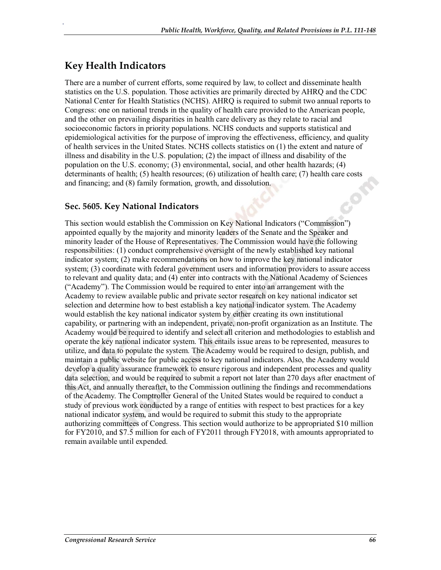## **Key Health Indicators**

.

There are a number of current efforts, some required by law, to collect and disseminate health statistics on the U.S. population. Those activities are primarily directed by AHRQ and the CDC National Center for Health Statistics (NCHS). AHRQ is required to submit two annual reports to Congress: one on national trends in the quality of health care provided to the American people, and the other on prevailing disparities in health care delivery as they relate to racial and socioeconomic factors in priority populations. NCHS conducts and supports statistical and epidemiological activities for the purpose of improving the effectiveness, efficiency, and quality of health services in the United States. NCHS collects statistics on (1) the extent and nature of illness and disability in the U.S. population; (2) the impact of illness and disability of the population on the U.S. economy; (3) environmental, social, and other health hazards; (4) determinants of health; (5) health resources; (6) utilization of health care; (7) health care costs and financing; and (8) family formation, growth, and dissolution.

#### **Sec. 5605. Key National Indicators**

This section would establish the Commission on Key National Indicators ("Commission") appointed equally by the majority and minority leaders of the Senate and the Speaker and minority leader of the House of Representatives. The Commission would have the following responsibilities: (1) conduct comprehensive oversight of the newly established key national indicator system; (2) make recommendations on how to improve the key national indicator system; (3) coordinate with federal government users and information providers to assure access to relevant and quality data; and (4) enter into contracts with the National Academy of Sciences ("Academy"). The Commission would be required to enter into an arrangement with the Academy to review available public and private sector research on key national indicator set selection and determine how to best establish a key national indicator system. The Academy would establish the key national indicator system by either creating its own institutional capability, or partnering with an independent, private, non-profit organization as an Institute. The Academy would be required to identify and select all criterion and methodologies to establish and operate the key national indicator system. This entails issue areas to be represented, measures to utilize, and data to populate the system. The Academy would be required to design, publish, and maintain a public website for public access to key national indicators. Also, the Academy would develop a quality assurance framework to ensure rigorous and independent processes and quality data selection, and would be required to submit a report not later than 270 days after enactment of this Act, and annually thereafter, to the Commission outlining the findings and recommendations of the Academy. The Comptroller General of the United States would be required to conduct a study of previous work conducted by a range of entities with respect to best practices for a key national indicator system, and would be required to submit this study to the appropriate authorizing committees of Congress. This section would authorize to be appropriated \$10 million for FY2010, and \$7.5 million for each of FY2011 through FY2018, with amounts appropriated to remain available until expended.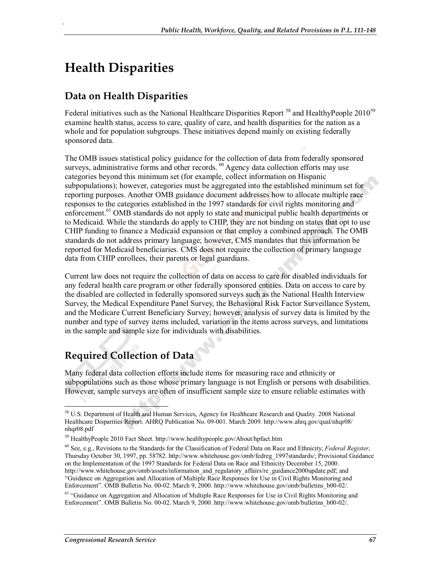# **Health Disparities**

.

## **Data on Health Disparities**

Federal initiatives such as the National Healthcare Disparities Report<sup>58</sup> and HealthyPeople 2010<sup>59</sup> examine health status, access to care, quality of care, and health disparities for the nation as a whole and for population subgroups. These initiatives depend mainly on existing federally sponsored data.

The OMB issues statistical policy guidance for the collection of data from federally sponsored surveys, administrative forms and other records.  $^{60}$  Agency data collection efforts may use categories beyond this minimum set (for example, collect information on Hispanic subpopulations); however, categories must be aggregated into the established minimum set for reporting purposes. Another OMB guidance document addresses how to allocate multiple race responses to the categories established in the 1997 standards for civil rights monitoring and enforcement.<sup>61</sup> OMB standards do not apply to state and municipal public health departments or to Medicaid. While the standards do apply to CHIP, they are not binding on states that opt to use CHIP funding to finance a Medicaid expansion or that employ a combined approach. The OMB standards do not address primary language; however, CMS mandates that this information be reported for Medicaid beneficiaries. CMS does not require the collection of primary language data from CHIP enrollees, their parents or legal guardians.

Current law does not require the collection of data on access to care for disabled individuals for any federal health care program or other federally sponsored entities. Data on access to care by the disabled are collected in federally sponsored surveys such as the National Health Interview Survey, the Medical Expenditure Panel Survey, the Behavioral Risk Factor Surveillance System, and the Medicare Current Beneficiary Survey; however, analysis of survey data is limited by the number and type of survey items included, variation in the items across surveys, and limitations in the sample and sample size for individuals with disabilities.

# **Required Collection of Data**

Many federal data collection efforts include items for measuring race and ethnicity or subpopulations such as those whose primary language is not English or persons with disabilities. However, sample surveys are often of insufficient sample size to ensure reliable estimates with

<sup>58</sup> U.S. Department of Health and Human Services, Agency for Healthcare Research and Quality. 2008 National Healthcare Disparities Report. AHRQ Publication No. 09-001. March 2009. http://www.ahrq.gov/qual/nhqr08/ nhqr08.pdf

<sup>59</sup> HealthyPeople 2010 Fact Sheet. http://www.healthypeople.gov/About/hpfact.htm

<sup>60</sup> See, e.g., Revisions to the Standards for the Classification of Federal Data on Race and Ethnicity; *Federal Register*, Thursday October 30, 1997, pp. 58782. http://www.whitehouse.gov/omb/fedreg\_1997standards/; Provisional Guidance on the Implementation of the 1997 Standards for Federal Data on Race and Ethnicity December 15, 2000. http://www.whitehouse.gov/omb/assets/information\_and\_regulatory\_affairs/re\_guidance2000update.pdf; and "Guidance on Aggregation and Allocation of Multiple Race Responses for Use in Civil Rights Monitoring and Enforcement". OMB Bulletin No. 00-02. March 9, 2000. http://www.whitehouse.gov/omb/bulletins\_b00-02/.

<sup>&</sup>lt;sup>61</sup> "Guidance on Aggregation and Allocation of Multiple Race Responses for Use in Civil Rights Monitoring and Enforcement". OMB Bulletin No. 00-02. March 9, 2000. http://www.whitehouse.gov/omb/bulletins\_b00-02/.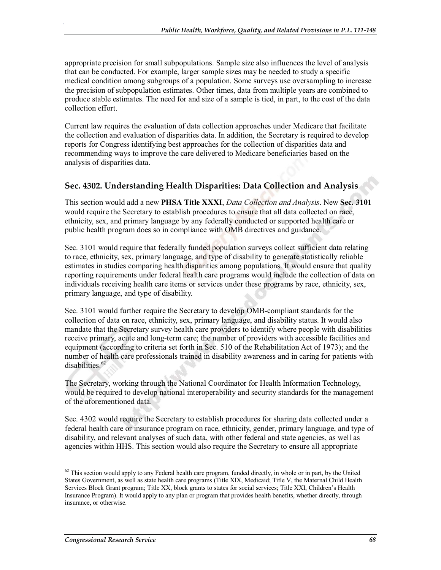appropriate precision for small subpopulations. Sample size also influences the level of analysis that can be conducted. For example, larger sample sizes may be needed to study a specific medical condition among subgroups of a population. Some surveys use oversampling to increase the precision of subpopulation estimates. Other times, data from multiple years are combined to produce stable estimates. The need for and size of a sample is tied, in part, to the cost of the data collection effort.

Current law requires the evaluation of data collection approaches under Medicare that facilitate the collection and evaluation of disparities data. In addition, the Secretary is required to develop reports for Congress identifying best approaches for the collection of disparities data and recommending ways to improve the care delivered to Medicare beneficiaries based on the analysis of disparities data.

### **Sec. 4302. Understanding Health Disparities: Data Collection and Analysis**

This section would add a new **PHSA Title XXXI**, *Data Collection and Analysis*. New **Sec. 3101** would require the Secretary to establish procedures to ensure that all data collected on race, ethnicity, sex, and primary language by any federally conducted or supported health care or public health program does so in compliance with OMB directives and guidance.

Sec. 3101 would require that federally funded population surveys collect sufficient data relating to race, ethnicity, sex, primary language, and type of disability to generate statistically reliable estimates in studies comparing health disparities among populations. It would ensure that quality reporting requirements under federal health care programs would include the collection of data on individuals receiving health care items or services under these programs by race, ethnicity, sex, primary language, and type of disability.

Sec. 3101 would further require the Secretary to develop OMB-compliant standards for the collection of data on race, ethnicity, sex, primary language, and disability status. It would also mandate that the Secretary survey health care providers to identify where people with disabilities receive primary, acute and long-term care; the number of providers with accessible facilities and equipment (according to criteria set forth in Sec. 510 of the Rehabilitation Act of 1973); and the number of health care professionals trained in disability awareness and in caring for patients with disabilities.<sup>62</sup>

The Secretary, working through the National Coordinator for Health Information Technology, would be required to develop national interoperability and security standards for the management of the aforementioned data.

Sec. 4302 would require the Secretary to establish procedures for sharing data collected under a federal health care or insurance program on race, ethnicity, gender, primary language, and type of disability, and relevant analyses of such data, with other federal and state agencies, as well as agencies within HHS. This section would also require the Secretary to ensure all appropriate

 $62$  This section would apply to any Federal health care program, funded directly, in whole or in part, by the United States Government, as well as state health care programs (Title XIX, Medicaid; Title V, the Maternal Child Health Services Block Grant program; Title XX, block grants to states for social services; Title XXI, Children's Health Insurance Program). It would apply to any plan or program that provides health benefits, whether directly, through insurance, or otherwise.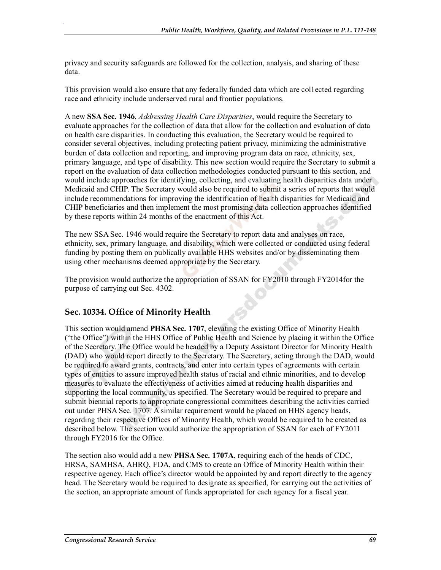privacy and security safeguards are followed for the collection, analysis, and sharing of these data.

This provision would also ensure that any federally funded data which are col1ected regarding race and ethnicity include underserved rural and frontier populations.

A new **SSA Sec. 1946**, *Addressing Health Care Disparities*, would require the Secretary to evaluate approaches for the collection of data that allow for the collection and evaluation of data on health care disparities. In conducting this evaluation, the Secretary would be required to consider several objectives, including protecting patient privacy, minimizing the administrative burden of data collection and reporting, and improving program data on race, ethnicity, sex, primary language, and type of disability. This new section would require the Secretary to submit a report on the evaluation of data collection methodologies conducted pursuant to this section, and would include approaches for identifying, collecting, and evaluating health disparities data under Medicaid and CHIP. The Secretary would also be required to submit a series of reports that would include recommendations for improving the identification of health disparities for Medicaid and CHIP beneficiaries and then implement the most promising data collection approaches identified by these reports within 24 months of the enactment of this Act.

The new SSA Sec. 1946 would require the Secretary to report data and analyses on race, ethnicity, sex, primary language, and disability, which were collected or conducted using federal funding by posting them on publically available HHS websites and/or by disseminating them using other mechanisms deemed appropriate by the Secretary.

The provision would authorize the appropriation of SSAN for FY2010 through FY2014for the purpose of carrying out Sec. 4302.

## **Sec. 10334. Office of Minority Health**

.

This section would amend **PHSA Sec. 1707**, elevating the existing Office of Minority Health ("the Office") within the HHS Office of Public Health and Science by placing it within the Office of the Secretary. The Office would be headed by a Deputy Assistant Director for Minority Health (DAD) who would report directly to the Secretary. The Secretary, acting through the DAD, would be required to award grants, contracts, and enter into certain types of agreements with certain types of entities to assure improved health status of racial and ethnic minorities, and to develop measures to evaluate the effectiveness of activities aimed at reducing health disparities and supporting the local community, as specified. The Secretary would be required to prepare and submit biennial reports to appropriate congressional committees describing the activities carried out under PHSA Sec. 1707. A similar requirement would be placed on HHS agency heads, regarding their respective Offices of Minority Health, which would be required to be created as described below. The section would authorize the appropriation of SSAN for each of FY2011 through FY2016 for the Office.

The section also would add a new **PHSA Sec. 1707A**, requiring each of the heads of CDC, HRSA, SAMHSA, AHRQ, FDA, and CMS to create an Office of Minority Health within their respective agency. Each office's director would be appointed by and report directly to the agency head. The Secretary would be required to designate as specified, for carrying out the activities of the section, an appropriate amount of funds appropriated for each agency for a fiscal year.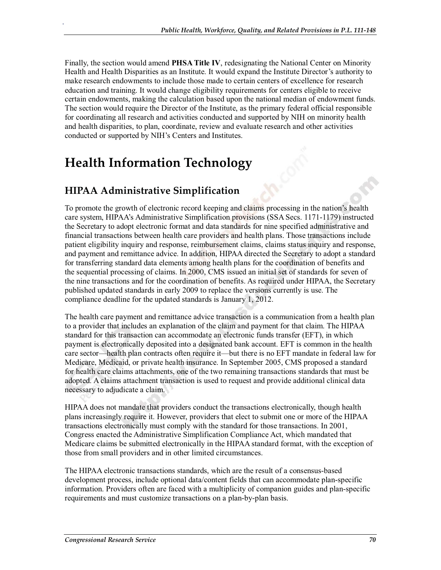Finally, the section would amend **PHSA Title IV**, redesignating the National Center on Minority Health and Health Disparities as an Institute. It would expand the Institute Director's authority to make research endowments to include those made to certain centers of excellence for research education and training. It would change eligibility requirements for centers eligible to receive certain endowments, making the calculation based upon the national median of endowment funds. The section would require the Director of the Institute, as the primary federal official responsible for coordinating all research and activities conducted and supported by NIH on minority health and health disparities, to plan, coordinate, review and evaluate research and other activities conducted or supported by NIH's Centers and Institutes.

# **Health Information Technology**

# **HIPAA Administrative Simplification**

.

To promote the growth of electronic record keeping and claims processing in the nation's health care system, HIPAA's Administrative Simplification provisions (SSA Secs. 1171-1179) instructed the Secretary to adopt electronic format and data standards for nine specified administrative and financial transactions between health care providers and health plans. Those transactions include patient eligibility inquiry and response, reimbursement claims, claims status inquiry and response, and payment and remittance advice. In addition, HIPAA directed the Secretary to adopt a standard for transferring standard data elements among health plans for the coordination of benefits and the sequential processing of claims. In 2000, CMS issued an initial set of standards for seven of the nine transactions and for the coordination of benefits. As required under HIPAA, the Secretary published updated standards in early 2009 to replace the versions currently is use. The compliance deadline for the updated standards is January 1, 2012.

The health care payment and remittance advice transaction is a communication from a health plan to a provider that includes an explanation of the claim and payment for that claim. The HIPAA standard for this transaction can accommodate an electronic funds transfer (EFT), in which payment is electronically deposited into a designated bank account. EFT is common in the health care sector—health plan contracts often require it—but there is no EFT mandate in federal law for Medicare, Medicaid, or private health insurance. In September 2005, CMS proposed a standard for health care claims attachments, one of the two remaining transactions standards that must be adopted. A claims attachment transaction is used to request and provide additional clinical data necessary to adjudicate a claim.

HIPAA does not mandate that providers conduct the transactions electronically, though health plans increasingly require it. However, providers that elect to submit one or more of the HIPAA transactions electronically must comply with the standard for those transactions. In 2001, Congress enacted the Administrative Simplification Compliance Act, which mandated that Medicare claims be submitted electronically in the HIPAA standard format, with the exception of those from small providers and in other limited circumstances.

The HIPAA electronic transactions standards, which are the result of a consensus-based development process, include optional data/content fields that can accommodate plan-specific information. Providers often are faced with a multiplicity of companion guides and plan-specific requirements and must customize transactions on a plan-by-plan basis.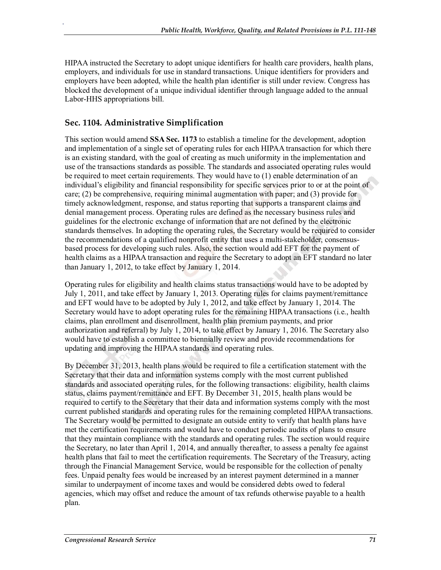HIPAA instructed the Secretary to adopt unique identifiers for health care providers, health plans, employers, and individuals for use in standard transactions. Unique identifiers for providers and employers have been adopted, while the health plan identifier is still under review. Congress has blocked the development of a unique individual identifier through language added to the annual Labor-HHS appropriations bill.

## **Sec. 1104. Administrative Simplification**

.

This section would amend **SSA Sec. 1173** to establish a timeline for the development, adoption and implementation of a single set of operating rules for each HIPAA transaction for which there is an existing standard, with the goal of creating as much uniformity in the implementation and use of the transactions standards as possible. The standards and associated operating rules would be required to meet certain requirements. They would have to (1) enable determination of an individual's eligibility and financial responsibility for specific services prior to or at the point of care; (2) be comprehensive, requiring minimal augmentation with paper; and (3) provide for timely acknowledgment, response, and status reporting that supports a transparent claims and denial management process. Operating rules are defined as the necessary business rules and guidelines for the electronic exchange of information that are not defined by the electronic standards themselves. In adopting the operating rules, the Secretary would be required to consider the recommendations of a qualified nonprofit entity that uses a multi-stakeholder, consensusbased process for developing such rules. Also, the section would add EFT for the payment of health claims as a HIPAA transaction and require the Secretary to adopt an EFT standard no later than January 1, 2012, to take effect by January 1, 2014.

Operating rules for eligibility and health claims status transactions would have to be adopted by July 1, 2011, and take effect by January 1, 2013. Operating rules for claims payment/remittance and EFT would have to be adopted by July 1, 2012, and take effect by January 1, 2014. The Secretary would have to adopt operating rules for the remaining HIPAA transactions (i.e., health claims, plan enrollment and disenrollment, health plan premium payments, and prior authorization and referral) by July 1, 2014, to take effect by January 1, 2016. The Secretary also would have to establish a committee to biennially review and provide recommendations for updating and improving the HIPAA standards and operating rules.

By December 31, 2013, health plans would be required to file a certification statement with the Secretary that their data and information systems comply with the most current published standards and associated operating rules, for the following transactions: eligibility, health claims status, claims payment/remittance and EFT. By December 31, 2015, health plans would be required to certify to the Secretary that their data and information systems comply with the most current published standards and operating rules for the remaining completed HIPAA transactions. The Secretary would be permitted to designate an outside entity to verify that health plans have met the certification requirements and would have to conduct periodic audits of plans to ensure that they maintain compliance with the standards and operating rules. The section would require the Secretary, no later than April 1, 2014, and annually thereafter, to assess a penalty fee against health plans that fail to meet the certification requirements. The Secretary of the Treasury, acting through the Financial Management Service, would be responsible for the collection of penalty fees. Unpaid penalty fees would be increased by an interest payment determined in a manner similar to underpayment of income taxes and would be considered debts owed to federal agencies, which may offset and reduce the amount of tax refunds otherwise payable to a health plan.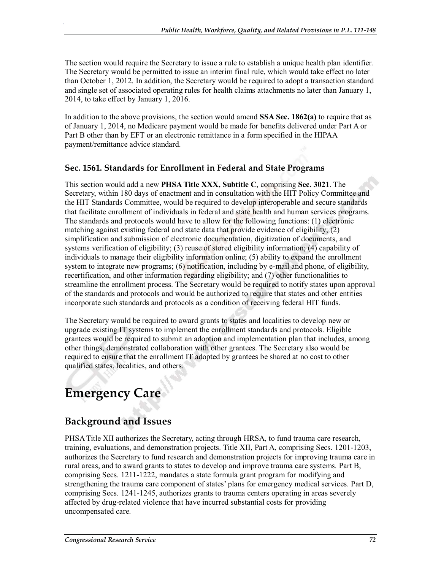The section would require the Secretary to issue a rule to establish a unique health plan identifier. The Secretary would be permitted to issue an interim final rule, which would take effect no later than October 1, 2012. In addition, the Secretary would be required to adopt a transaction standard and single set of associated operating rules for health claims attachments no later than January 1, 2014, to take effect by January 1, 2016.

In addition to the above provisions, the section would amend **SSA Sec. 1862(a)** to require that as of January 1, 2014, no Medicare payment would be made for benefits delivered under Part A or Part B other than by EFT or an electronic remittance in a form specified in the HIPAA payment/remittance advice standard.

### **Sec. 1561. Standards for Enrollment in Federal and State Programs**

This section would add a new **PHSA Title XXX, Subtitle C**, comprising **Sec. 3021**. The Secretary, within 180 days of enactment and in consultation with the HIT Policy Committee and the HIT Standards Committee, would be required to develop interoperable and secure standards that facilitate enrollment of individuals in federal and state health and human services programs. The standards and protocols would have to allow for the following functions: (1) electronic matching against existing federal and state data that provide evidence of eligibility; (2) simplification and submission of electronic documentation, digitization of documents, and systems verification of eligibility; (3) reuse of stored eligibility information; (4) capability of individuals to manage their eligibility information online; (5) ability to expand the enrollment system to integrate new programs; (6) notification, including by e-mail and phone, of eligibility, recertification, and other information regarding eligibility; and (7) other functionalities to streamline the enrollment process. The Secretary would be required to notify states upon approval of the standards and protocols and would be authorized to require that states and other entities incorporate such standards and protocols as a condition of receiving federal HIT funds.

The Secretary would be required to award grants to states and localities to develop new or upgrade existing IT systems to implement the enrollment standards and protocols. Eligible grantees would be required to submit an adoption and implementation plan that includes, among other things, demonstrated collaboration with other grantees. The Secretary also would be required to ensure that the enrollment IT adopted by grantees be shared at no cost to other qualified states, localities, and others.

# **Emergency Care**

.

## **Background and Issues**

PHSA Title XII authorizes the Secretary, acting through HRSA, to fund trauma care research, training, evaluations, and demonstration projects. Title XII, Part A, comprising Secs. 1201-1203, authorizes the Secretary to fund research and demonstration projects for improving trauma care in rural areas, and to award grants to states to develop and improve trauma care systems. Part B, comprising Secs. 1211-1222, mandates a state formula grant program for modifying and strengthening the trauma care component of states' plans for emergency medical services. Part D, comprising Secs. 1241-1245, authorizes grants to trauma centers operating in areas severely affected by drug-related violence that have incurred substantial costs for providing uncompensated care.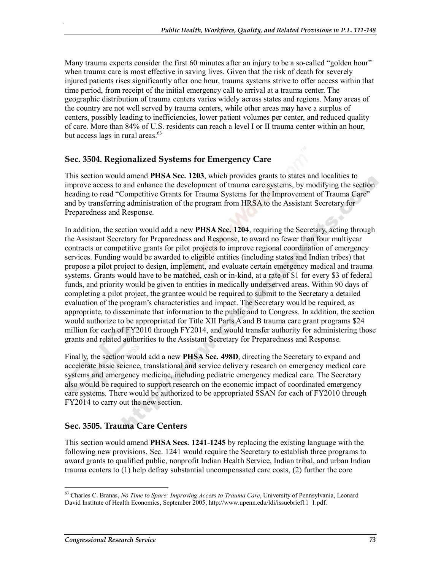Many trauma experts consider the first 60 minutes after an injury to be a so-called "golden hour" when trauma care is most effective in saving lives. Given that the risk of death for severely injured patients rises significantly after one hour, trauma systems strive to offer access within that time period, from receipt of the initial emergency call to arrival at a trauma center. The geographic distribution of trauma centers varies widely across states and regions. Many areas of the country are not well served by trauma centers, while other areas may have a surplus of centers, possibly leading to inefficiencies, lower patient volumes per center, and reduced quality of care. More than 84% of U.S. residents can reach a level I or II trauma center within an hour, but access lags in rural areas. $^{63}$ 

#### **Sec. 3504. Regionalized Systems for Emergency Care**

.

This section would amend **PHSA Sec. 1203**, which provides grants to states and localities to improve access to and enhance the development of trauma care systems, by modifying the section heading to read "Competitive Grants for Trauma Systems for the Improvement of Trauma Care" and by transferring administration of the program from HRSA to the Assistant Secretary for Preparedness and Response.

In addition, the section would add a new **PHSA Sec. 1204**, requiring the Secretary, acting through the Assistant Secretary for Preparedness and Response, to award no fewer than four multiyear contracts or competitive grants for pilot projects to improve regional coordination of emergency services. Funding would be awarded to eligible entities (including states and Indian tribes) that propose a pilot project to design, implement, and evaluate certain emergency medical and trauma systems. Grants would have to be matched, cash or in-kind, at a rate of \$1 for every \$3 of federal funds, and priority would be given to entities in medically underserved areas. Within 90 days of completing a pilot project, the grantee would be required to submit to the Secretary a detailed evaluation of the program's characteristics and impact. The Secretary would be required, as appropriate, to disseminate that information to the public and to Congress. In addition, the section would authorize to be appropriated for Title XII Parts A and B trauma care grant programs \$24 million for each of FY2010 through FY2014, and would transfer authority for administering those grants and related authorities to the Assistant Secretary for Preparedness and Response.

Finally, the section would add a new **PHSA Sec. 498D**, directing the Secretary to expand and accelerate basic science, translational and service delivery research on emergency medical care systems and emergency medicine, including pediatric emergency medical care. The Secretary also would be required to support research on the economic impact of coordinated emergency care systems. There would be authorized to be appropriated SSAN for each of FY2010 through FY2014 to carry out the new section.

#### **Sec. 3505. Trauma Care Centers**

This section would amend **PHSA Secs. 1241-1245** by replacing the existing language with the following new provisions. Sec. 1241 would require the Secretary to establish three programs to award grants to qualified public, nonprofit Indian Health Service, Indian tribal, and urban Indian trauma centers to (1) help defray substantial uncompensated care costs, (2) further the core

<sup>63</sup> Charles C. Branas, *No Time to Spare: Improving Access to Trauma Care*, University of Pennsylvania, Leonard David Institute of Health Economics, September 2005, http://www.upenn.edu/ldi/issuebrief11\_1.pdf.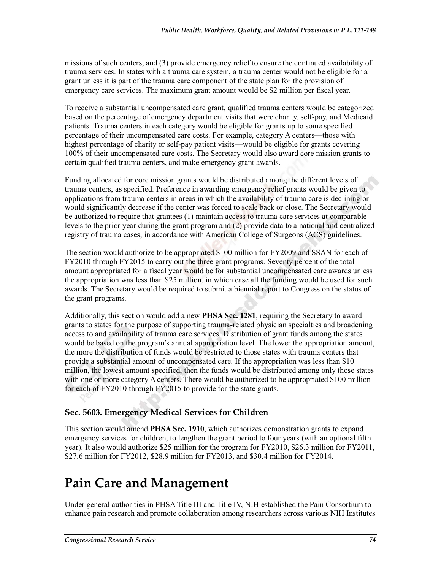missions of such centers, and (3) provide emergency relief to ensure the continued availability of trauma services. In states with a trauma care system, a trauma center would not be eligible for a grant unless it is part of the trauma care component of the state plan for the provision of emergency care services. The maximum grant amount would be \$2 million per fiscal year.

To receive a substantial uncompensated care grant, qualified trauma centers would be categorized based on the percentage of emergency department visits that were charity, self-pay, and Medicaid patients. Trauma centers in each category would be eligible for grants up to some specified percentage of their uncompensated care costs. For example, category A centers—those with highest percentage of charity or self-pay patient visits—would be eligible for grants covering 100% of their uncompensated care costs. The Secretary would also award core mission grants to certain qualified trauma centers, and make emergency grant awards.

Funding allocated for core mission grants would be distributed among the different levels of trauma centers, as specified. Preference in awarding emergency relief grants would be given to applications from trauma centers in areas in which the availability of trauma care is declining or would significantly decrease if the center was forced to scale back or close. The Secretary would be authorized to require that grantees (1) maintain access to trauma care services at comparable levels to the prior year during the grant program and (2) provide data to a national and centralized registry of trauma cases, in accordance with American College of Surgeons (ACS) guidelines.

The section would authorize to be appropriated \$100 million for FY2009 and SSAN for each of FY2010 through FY2015 to carry out the three grant programs. Seventy percent of the total amount appropriated for a fiscal year would be for substantial uncompensated care awards unless the appropriation was less than \$25 million, in which case all the funding would be used for such awards. The Secretary would be required to submit a biennial report to Congress on the status of the grant programs.

Additionally, this section would add a new **PHSA Sec. 1281**, requiring the Secretary to award grants to states for the purpose of supporting trauma-related physician specialties and broadening access to and availability of trauma care services. Distribution of grant funds among the states would be based on the program's annual appropriation level. The lower the appropriation amount, the more the distribution of funds would be restricted to those states with trauma centers that provide a substantial amount of uncompensated care. If the appropriation was less than \$10 million, the lowest amount specified, then the funds would be distributed among only those states with one or more category A centers. There would be authorized to be appropriated \$100 million for each of FY2010 through FY2015 to provide for the state grants.

## **Sec. 5603. Emergency Medical Services for Children**

This section would amend **PHSA Sec. 1910**, which authorizes demonstration grants to expand emergency services for children, to lengthen the grant period to four years (with an optional fifth year). It also would authorize \$25 million for the program for FY2010, \$26.3 million for FY2011, \$27.6 million for FY2012, \$28.9 million for FY2013, and \$30.4 million for FY2014.

# **Pain Care and Management**

Under general authorities in PHSA Title III and Title IV, NIH established the Pain Consortium to enhance pain research and promote collaboration among researchers across various NIH Institutes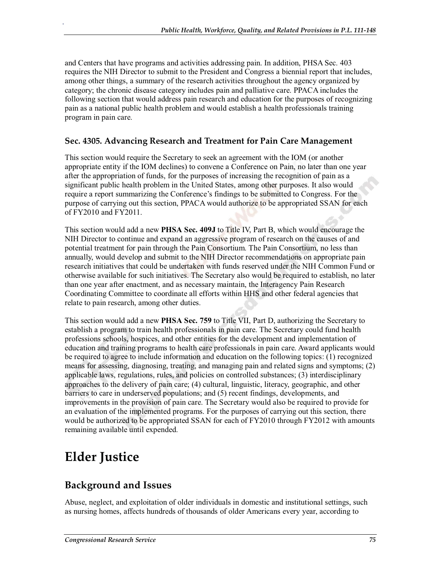and Centers that have programs and activities addressing pain. In addition, PHSA Sec. 403 requires the NIH Director to submit to the President and Congress a biennial report that includes, among other things, a summary of the research activities throughout the agency organized by category; the chronic disease category includes pain and palliative care. PPACA includes the following section that would address pain research and education for the purposes of recognizing pain as a national public health problem and would establish a health professionals training program in pain care.

#### **Sec. 4305. Advancing Research and Treatment for Pain Care Management**

This section would require the Secretary to seek an agreement with the IOM (or another appropriate entity if the IOM declines) to convene a Conference on Pain, no later than one year after the appropriation of funds, for the purposes of increasing the recognition of pain as a significant public health problem in the United States, among other purposes. It also would require a report summarizing the Conference's findings to be submitted to Congress. For the purpose of carrying out this section, PPACA would authorize to be appropriated SSAN for each of FY2010 and FY2011.

This section would add a new **PHSA Sec. 409J** to Title IV, Part B, which would encourage the NIH Director to continue and expand an aggressive program of research on the causes of and potential treatment for pain through the Pain Consortium. The Pain Consortium, no less than annually, would develop and submit to the NIH Director recommendations on appropriate pain research initiatives that could be undertaken with funds reserved under the NIH Common Fund or otherwise available for such initiatives. The Secretary also would be required to establish, no later than one year after enactment, and as necessary maintain, the Interagency Pain Research Coordinating Committee to coordinate all efforts within HHS and other federal agencies that relate to pain research, among other duties.

This section would add a new **PHSA Sec. 759** to Title VII, Part D, authorizing the Secretary to establish a program to train health professionals in pain care. The Secretary could fund health professions schools, hospices, and other entities for the development and implementation of education and training programs to health care professionals in pain care. Award applicants would be required to agree to include information and education on the following topics: (1) recognized means for assessing, diagnosing, treating, and managing pain and related signs and symptoms; (2) applicable laws, regulations, rules, and policies on controlled substances; (3) interdisciplinary approaches to the delivery of pain care; (4) cultural, linguistic, literacy, geographic, and other barriers to care in underserved populations; and (5) recent findings, developments, and improvements in the provision of pain care. The Secretary would also be required to provide for an evaluation of the implemented programs. For the purposes of carrying out this section, there would be authorized to be appropriated SSAN for each of FY2010 through FY2012 with amounts remaining available until expended.

# **Elder Justice**

.

# **Background and Issues**

Abuse, neglect, and exploitation of older individuals in domestic and institutional settings, such as nursing homes, affects hundreds of thousands of older Americans every year, according to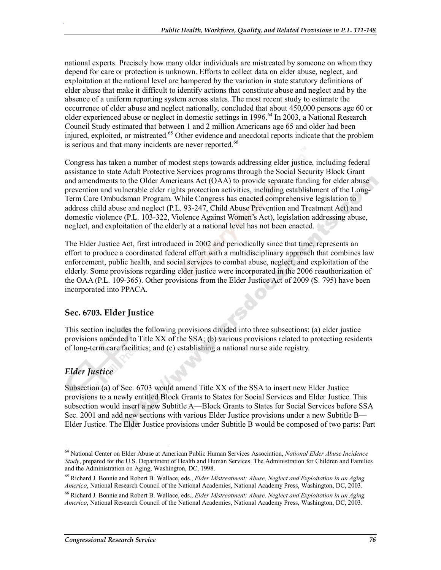national experts. Precisely how many older individuals are mistreated by someone on whom they depend for care or protection is unknown. Efforts to collect data on elder abuse, neglect, and exploitation at the national level are hampered by the variation in state statutory definitions of elder abuse that make it difficult to identify actions that constitute abuse and neglect and by the absence of a uniform reporting system across states. The most recent study to estimate the occurrence of elder abuse and neglect nationally, concluded that about 450,000 persons age 60 or older experienced abuse or neglect in domestic settings in 1996.<sup>64</sup> In 2003, a National Research Council Study estimated that between 1 and 2 million Americans age 65 and older had been injured, exploited, or mistreated.<sup>65</sup> Other evidence and anecdotal reports indicate that the problem is serious and that many incidents are never reported.<sup>66</sup>

Congress has taken a number of modest steps towards addressing elder justice, including federal assistance to state Adult Protective Services programs through the Social Security Block Grant and amendments to the Older Americans Act (OAA) to provide separate funding for elder abuse prevention and vulnerable elder rights protection activities, including establishment of the Long-Term Care Ombudsman Program. While Congress has enacted comprehensive legislation to address child abuse and neglect (P.L. 93-247, Child Abuse Prevention and Treatment Act) and domestic violence (P.L. 103-322, Violence Against Women's Act), legislation addressing abuse, neglect, and exploitation of the elderly at a national level has not been enacted.

The Elder Justice Act, first introduced in 2002 and periodically since that time, represents an effort to produce a coordinated federal effort with a multidisciplinary approach that combines law enforcement, public health, and social services to combat abuse, neglect, and exploitation of the elderly. Some provisions regarding elder justice were incorporated in the 2006 reauthorization of the OAA (P.L. 109-365). Other provisions from the Elder Justice Act of 2009 (S. 795) have been incorporated into PPACA.

## **Sec. 6703. Elder Justice**

This section includes the following provisions divided into three subsections: (a) elder justice provisions amended to Title XX of the SSA; (b) various provisions related to protecting residents of long-term care facilities; and (c) establishing a national nurse aide registry.

## *Elder Justice*

.

Subsection (a) of Sec. 6703 would amend Title XX of the SSA to insert new Elder Justice provisions to a newly entitled Block Grants to States for Social Services and Elder Justice. This subsection would insert a new Subtitle A—Block Grants to States for Social Services before SSA Sec. 2001 and add new sections with various Elder Justice provisions under a new Subtitle B— Elder Justice. The Elder Justice provisions under Subtitle B would be composed of two parts: Part

<sup>64</sup> National Center on Elder Abuse at American Public Human Services Association, *National Elder Abuse Incidence Study*, prepared for the U.S. Department of Health and Human Services. The Administration for Children and Families and the Administration on Aging, Washington, DC, 1998.

<sup>65</sup> Richard J. Bonnie and Robert B. Wallace, eds., *Elder Mistreatment: Abuse, Neglect and Exploitation in an Aging America*, National Research Council of the National Academies, National Academy Press, Washington, DC, 2003.

<sup>66</sup> Richard J. Bonnie and Robert B. Wallace, eds., *Elder Mistreatment: Abuse, Neglect and Exploitation in an Aging America*, National Research Council of the National Academies, National Academy Press, Washington, DC, 2003.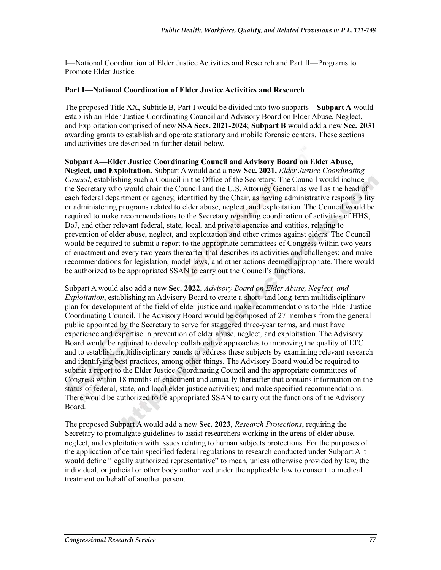I—National Coordination of Elder Justice Activities and Research and Part II—Programs to Promote Elder Justice.

#### **Part I—National Coordination of Elder Justice Activities and Research**

.

The proposed Title XX, Subtitle B, Part I would be divided into two subparts—**Subpart A** would establish an Elder Justice Coordinating Council and Advisory Board on Elder Abuse, Neglect, and Exploitation comprised of new **SSA Secs. 2021-2024**; **Subpart B** would add a new **Sec. 2031** awarding grants to establish and operate stationary and mobile forensic centers. These sections and activities are described in further detail below.

**Subpart A—Elder Justice Coordinating Council and Advisory Board on Elder Abuse, Neglect, and Exploitation.** Subpart A would add a new **Sec. 2021,** *Elder Justice Coordinating Council*, establishing such a Council in the Office of the Secretary. The Council would include the Secretary who would chair the Council and the U.S. Attorney General as well as the head of each federal department or agency, identified by the Chair, as having administrative responsibility or administering programs related to elder abuse, neglect, and exploitation. The Council would be required to make recommendations to the Secretary regarding coordination of activities of HHS, DoJ, and other relevant federal, state, local, and private agencies and entities, relating to prevention of elder abuse, neglect, and exploitation and other crimes against elders. The Council would be required to submit a report to the appropriate committees of Congress within two years of enactment and every two years thereafter that describes its activities and challenges; and make recommendations for legislation, model laws, and other actions deemed appropriate. There would be authorized to be appropriated SSAN to carry out the Council's functions.

Subpart A would also add a new **Sec. 2022**, *Advisory Board on Elder Abuse, Neglect, and Exploitation*, establishing an Advisory Board to create a short- and long-term multidisciplinary plan for development of the field of elder justice and make recommendations to the Elder Justice Coordinating Council. The Advisory Board would be composed of 27 members from the general public appointed by the Secretary to serve for staggered three-year terms, and must have experience and expertise in prevention of elder abuse, neglect, and exploitation. The Advisory Board would be required to develop collaborative approaches to improving the quality of LTC and to establish multidisciplinary panels to address these subjects by examining relevant research and identifying best practices, among other things. The Advisory Board would be required to submit a report to the Elder Justice Coordinating Council and the appropriate committees of Congress within 18 months of enactment and annually thereafter that contains information on the status of federal, state, and local elder justice activities; and make specified recommendations. There would be authorized to be appropriated SSAN to carry out the functions of the Advisory Board.

The proposed Subpart A would add a new **Sec. 2023**, *Research Protections*, requiring the Secretary to promulgate guidelines to assist researchers working in the areas of elder abuse, neglect, and exploitation with issues relating to human subjects protections. For the purposes of the application of certain specified federal regulations to research conducted under Subpart A it would define "legally authorized representative" to mean, unless otherwise provided by law, the individual, or judicial or other body authorized under the applicable law to consent to medical treatment on behalf of another person.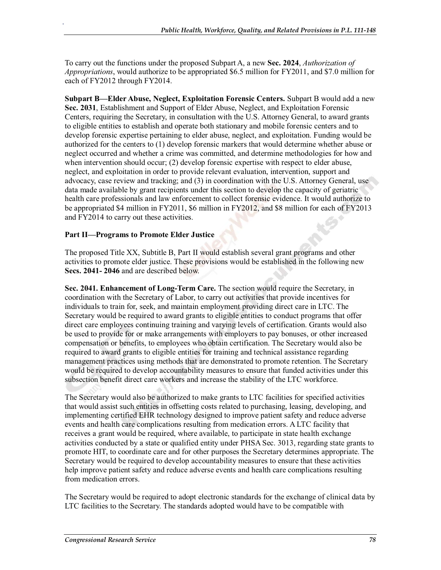To carry out the functions under the proposed Subpart A, a new **Sec. 2024**, *Authorization of Appropriations*, would authorize to be appropriated \$6.5 million for FY2011, and \$7.0 million for each of FY2012 through FY2014.

**Subpart B—Elder Abuse, Neglect, Exploitation Forensic Centers.** Subpart B would add a new **Sec. 2031**, Establishment and Support of Elder Abuse, Neglect, and Exploitation Forensic Centers, requiring the Secretary, in consultation with the U.S. Attorney General, to award grants to eligible entities to establish and operate both stationary and mobile forensic centers and to develop forensic expertise pertaining to elder abuse, neglect, and exploitation. Funding would be authorized for the centers to (1) develop forensic markers that would determine whether abuse or neglect occurred and whether a crime was committed, and determine methodologies for how and when intervention should occur; (2) develop forensic expertise with respect to elder abuse, neglect, and exploitation in order to provide relevant evaluation, intervention, support and advocacy, case review and tracking; and (3) in coordination with the U.S. Attorney General, use data made available by grant recipients under this section to develop the capacity of geriatric health care professionals and law enforcement to collect forensic evidence. It would authorize to be appropriated \$4 million in FY2011, \$6 million in FY2012, and \$8 million for each of FY2013 and FY2014 to carry out these activities.

#### **Part II—Programs to Promote Elder Justice**

.

The proposed Title XX, Subtitle B, Part II would establish several grant programs and other activities to promote elder justice. These provisions would be established in the following new **Secs. 2041- 2046** and are described below.

**Sec. 2041. Enhancement of Long-Term Care.** The section would require the Secretary, in coordination with the Secretary of Labor, to carry out activities that provide incentives for individuals to train for, seek, and maintain employment providing direct care in LTC. The Secretary would be required to award grants to eligible entities to conduct programs that offer direct care employees continuing training and varying levels of certification. Grants would also be used to provide for or make arrangements with employers to pay bonuses, or other increased compensation or benefits, to employees who obtain certification. The Secretary would also be required to award grants to eligible entities for training and technical assistance regarding management practices using methods that are demonstrated to promote retention. The Secretary would be required to develop accountability measures to ensure that funded activities under this subsection benefit direct care workers and increase the stability of the LTC workforce.

The Secretary would also be authorized to make grants to LTC facilities for specified activities that would assist such entities in offsetting costs related to purchasing, leasing, developing, and implementing certified EHR technology designed to improve patient safety and reduce adverse events and health care complications resulting from medication errors. A LTC facility that receives a grant would be required, where available, to participate in state health exchange activities conducted by a state or qualified entity under PHSA Sec. 3013, regarding state grants to promote HIT, to coordinate care and for other purposes the Secretary determines appropriate. The Secretary would be required to develop accountability measures to ensure that these activities help improve patient safety and reduce adverse events and health care complications resulting from medication errors.

The Secretary would be required to adopt electronic standards for the exchange of clinical data by LTC facilities to the Secretary. The standards adopted would have to be compatible with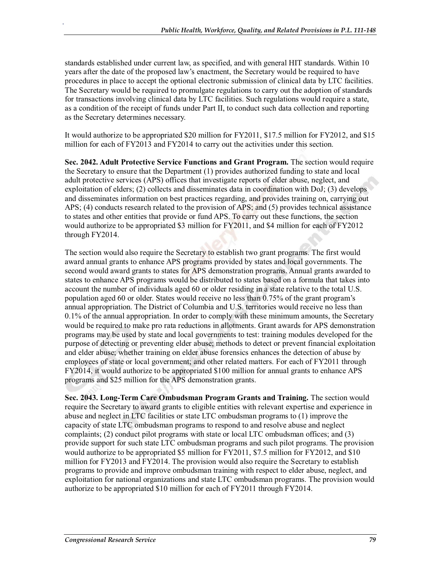standards established under current law, as specified, and with general HIT standards. Within 10 years after the date of the proposed law's enactment, the Secretary would be required to have procedures in place to accept the optional electronic submission of clinical data by LTC facilities. The Secretary would be required to promulgate regulations to carry out the adoption of standards for transactions involving clinical data by LTC facilities. Such regulations would require a state, as a condition of the receipt of funds under Part II, to conduct such data collection and reporting as the Secretary determines necessary.

It would authorize to be appropriated \$20 million for FY2011, \$17.5 million for FY2012, and \$15 million for each of FY2013 and FY2014 to carry out the activities under this section.

**Sec. 2042. Adult Protective Service Functions and Grant Program.** The section would require the Secretary to ensure that the Department (1) provides authorized funding to state and local adult protective services (APS) offices that investigate reports of elder abuse, neglect, and exploitation of elders; (2) collects and disseminates data in coordination with DoJ; (3) develops and disseminates information on best practices regarding, and provides training on, carrying out APS; (4) conducts research related to the provision of APS; and (5) provides technical assistance to states and other entities that provide or fund APS. To carry out these functions, the section would authorize to be appropriated \$3 million for FY2011, and \$4 million for each of FY2012 through FY2014.

The section would also require the Secretary to establish two grant programs. The first would award annual grants to enhance APS programs provided by states and local governments. The second would award grants to states for APS demonstration programs. Annual grants awarded to states to enhance APS programs would be distributed to states based on a formula that takes into account the number of individuals aged 60 or older residing in a state relative to the total U.S. population aged 60 or older. States would receive no less than 0.75% of the grant program's annual appropriation. The District of Columbia and U.S. territories would receive no less than 0.1% of the annual appropriation. In order to comply with these minimum amounts, the Secretary would be required to make pro rata reductions in allotments. Grant awards for APS demonstration programs may be used by state and local governments to test: training modules developed for the purpose of detecting or preventing elder abuse; methods to detect or prevent financial exploitation and elder abuse; whether training on elder abuse forensics enhances the detection of abuse by employees of state or local government; and other related matters. For each of FY2011 through FY2014, it would authorize to be appropriated \$100 million for annual grants to enhance APS programs and \$25 million for the APS demonstration grants.

**Sec. 2043. Long-Term Care Ombudsman Program Grants and Training.** The section would require the Secretary to award grants to eligible entities with relevant expertise and experience in abuse and neglect in LTC facilities or state LTC ombudsman programs to (1) improve the capacity of state LTC ombudsman programs to respond to and resolve abuse and neglect complaints; (2) conduct pilot programs with state or local LTC ombudsman offices; and (3) provide support for such state LTC ombudsman programs and such pilot programs. The provision would authorize to be appropriated \$5 million for FY2011, \$7.5 million for FY2012, and \$10 million for FY2013 and FY2014. The provision would also require the Secretary to establish programs to provide and improve ombudsman training with respect to elder abuse, neglect, and exploitation for national organizations and state LTC ombudsman programs. The provision would authorize to be appropriated \$10 million for each of FY2011 through FY2014.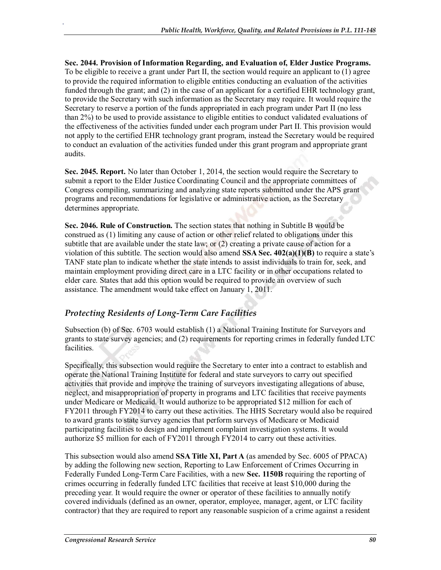**Sec. 2044. Provision of Information Regarding, and Evaluation of, Elder Justice Programs.**  To be eligible to receive a grant under Part II, the section would require an applicant to (1) agree to provide the required information to eligible entities conducting an evaluation of the activities funded through the grant; and (2) in the case of an applicant for a certified EHR technology grant, to provide the Secretary with such information as the Secretary may require. It would require the Secretary to reserve a portion of the funds appropriated in each program under Part II (no less than 2%) to be used to provide assistance to eligible entities to conduct validated evaluations of the effectiveness of the activities funded under each program under Part II. This provision would not apply to the certified EHR technology grant program, instead the Secretary would be required to conduct an evaluation of the activities funded under this grant program and appropriate grant audits.

**Sec. 2045. Report.** No later than October 1, 2014, the section would require the Secretary to submit a report to the Elder Justice Coordinating Council and the appropriate committees of Congress compiling, summarizing and analyzing state reports submitted under the APS grant programs and recommendations for legislative or administrative action, as the Secretary determines appropriate.

**Sec. 2046. Rule of Construction.** The section states that nothing in Subtitle B would be construed as (1) limiting any cause of action or other relief related to obligations under this subtitle that are available under the state law; or (2) creating a private cause of action for a violation of this subtitle. The section would also amend **SSA Sec. 402(a)(1)(B)** to require a state's TANF state plan to indicate whether the state intends to assist individuals to train for, seek, and maintain employment providing direct care in a LTC facility or in other occupations related to elder care. States that add this option would be required to provide an overview of such assistance. The amendment would take effect on January 1, 2011.

#### *Protecting Residents of Long-Term Care Facilities*

Subsection (b) of Sec. 6703 would establish (1) a National Training Institute for Surveyors and grants to state survey agencies; and (2) requirements for reporting crimes in federally funded LTC facilities.

Specifically, this subsection would require the Secretary to enter into a contract to establish and operate the National Training Institute for federal and state surveyors to carry out specified activities that provide and improve the training of surveyors investigating allegations of abuse, neglect, and misappropriation of property in programs and LTC facilities that receive payments under Medicare or Medicaid. It would authorize to be appropriated \$12 million for each of FY2011 through FY2014 to carry out these activities. The HHS Secretary would also be required to award grants to state survey agencies that perform surveys of Medicare or Medicaid participating facilities to design and implement complaint investigation systems. It would authorize \$5 million for each of FY2011 through FY2014 to carry out these activities.

This subsection would also amend **SSA Title XI, Part A** (as amended by Sec. 6005 of PPACA) by adding the following new section, Reporting to Law Enforcement of Crimes Occurring in Federally Funded Long-Term Care Facilities, with a new **Sec. 1150B** requiring the reporting of crimes occurring in federally funded LTC facilities that receive at least \$10,000 during the preceding year. It would require the owner or operator of these facilities to annually notify covered individuals (defined as an owner, operator, employee, manager, agent, or LTC facility contractor) that they are required to report any reasonable suspicion of a crime against a resident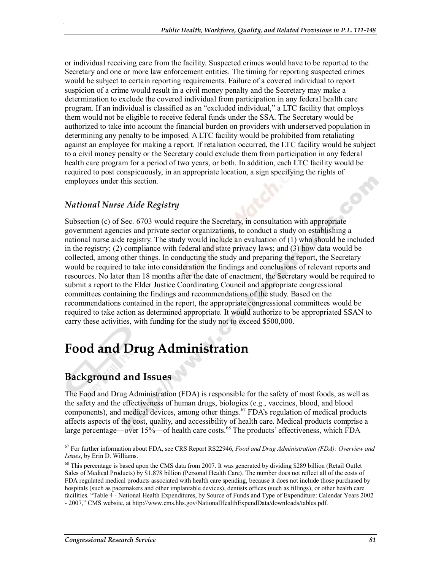or individual receiving care from the facility. Suspected crimes would have to be reported to the Secretary and one or more law enforcement entities. The timing for reporting suspected crimes would be subject to certain reporting requirements. Failure of a covered individual to report suspicion of a crime would result in a civil money penalty and the Secretary may make a determination to exclude the covered individual from participation in any federal health care program. If an individual is classified as an "excluded individual," a LTC facility that employs them would not be eligible to receive federal funds under the SSA. The Secretary would be authorized to take into account the financial burden on providers with underserved population in determining any penalty to be imposed. A LTC facility would be prohibited from retaliating against an employee for making a report. If retaliation occurred, the LTC facility would be subject to a civil money penalty or the Secretary could exclude them from participation in any federal health care program for a period of two years, or both. In addition, each LTC facility would be required to post conspicuously, in an appropriate location, a sign specifying the rights of employees under this section.

#### *National Nurse Aide Registry*

.

Subsection (c) of Sec. 6703 would require the Secretary, in consultation with appropriate government agencies and private sector organizations, to conduct a study on establishing a national nurse aide registry. The study would include an evaluation of (1) who should be included in the registry; (2) compliance with federal and state privacy laws; and (3) how data would be collected, among other things. In conducting the study and preparing the report, the Secretary would be required to take into consideration the findings and conclusions of relevant reports and resources. No later than 18 months after the date of enactment, the Secretary would be required to submit a report to the Elder Justice Coordinating Council and appropriate congressional committees containing the findings and recommendations of the study. Based on the recommendations contained in the report, the appropriate congressional committees would be required to take action as determined appropriate. It would authorize to be appropriated SSAN to carry these activities, with funding for the study not to exceed \$500,000.

# **Food and Drug Administration**

## **Background and Issues**

The Food and Drug Administration (FDA) is responsible for the safety of most foods, as well as the safety and the effectiveness of human drugs, biologics (e.g., vaccines, blood, and blood components), and medical devices, among other things.<sup>67</sup> FDA's regulation of medical products affects aspects of the cost, quality, and accessibility of health care. Medical products comprise a large percentage—over 15%—of health care costs.<sup>68</sup> The products' effectiveness, which FDA

<sup>67</sup> For further information about FDA, see CRS Report RS22946, *Food and Drug Administration (FDA): Overview and Issues*, by Erin D. Williams.

<sup>&</sup>lt;sup>68</sup> This percentage is based upon the CMS data from 2007. It was generated by dividing \$289 billion (Retail Outlet Sales of Medical Products) by \$1,878 billion (Personal Health Care). The number does not reflect all of the costs of FDA regulated medical products associated with health care spending, because it does not include those purchased by hospitals (such as pacemakers and other implantable devices), dentists offices (such as fillings), or other health care facilities. "Table 4 - National Health Expenditures, by Source of Funds and Type of Expenditure: Calendar Years 2002 - 2007," CMS website, at http://www.cms.hhs.gov/NationalHealthExpendData/downloads/tables.pdf.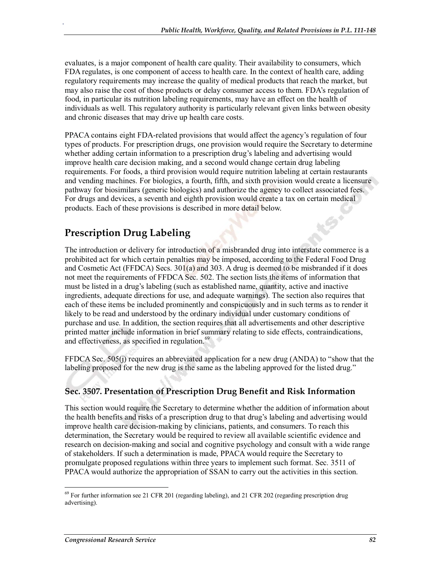evaluates, is a major component of health care quality. Their availability to consumers, which FDA regulates, is one component of access to health care. In the context of health care, adding regulatory requirements may increase the quality of medical products that reach the market, but may also raise the cost of those products or delay consumer access to them. FDA's regulation of food, in particular its nutrition labeling requirements, may have an effect on the health of individuals as well. This regulatory authority is particularly relevant given links between obesity and chronic diseases that may drive up health care costs.

PPACA contains eight FDA-related provisions that would affect the agency's regulation of four types of products. For prescription drugs, one provision would require the Secretary to determine whether adding certain information to a prescription drug's labeling and advertising would improve health care decision making, and a second would change certain drug labeling requirements. For foods, a third provision would require nutrition labeling at certain restaurants and vending machines. For biologics, a fourth, fifth, and sixth provision would create a licensure pathway for biosimilars (generic biologics) and authorize the agency to collect associated fees. For drugs and devices, a seventh and eighth provision would create a tax on certain medical products. Each of these provisions is described in more detail below.

# **Prescription Drug Labeling**

.

The introduction or delivery for introduction of a misbranded drug into interstate commerce is a prohibited act for which certain penalties may be imposed, according to the Federal Food Drug and Cosmetic Act (FFDCA) Secs. 301(a) and 303. A drug is deemed to be misbranded if it does not meet the requirements of FFDCA Sec. 502. The section lists the items of information that must be listed in a drug's labeling (such as established name, quantity, active and inactive ingredients, adequate directions for use, and adequate warnings). The section also requires that each of these items be included prominently and conspicuously and in such terms as to render it likely to be read and understood by the ordinary individual under customary conditions of purchase and use. In addition, the section requires that all advertisements and other descriptive printed matter include information in brief summary relating to side effects, contraindications, and effectiveness, as specified in regulation.<sup>69</sup>

FFDCA Sec. 505(j) requires an abbreviated application for a new drug (ANDA) to "show that the labeling proposed for the new drug is the same as the labeling approved for the listed drug."

## **Sec. 3507. Presentation of Prescription Drug Benefit and Risk Information**

This section would require the Secretary to determine whether the addition of information about the health benefits and risks of a prescription drug to that drug's labeling and advertising would improve health care decision-making by clinicians, patients, and consumers. To reach this determination, the Secretary would be required to review all available scientific evidence and research on decision-making and social and cognitive psychology and consult with a wide range of stakeholders. If such a determination is made, PPACA would require the Secretary to promulgate proposed regulations within three years to implement such format. Sec. 3511 of PPACA would authorize the appropriation of SSAN to carry out the activities in this section.

<sup>69</sup> For further information see 21 CFR 201 (regarding labeling), and 21 CFR 202 (regarding prescription drug advertising).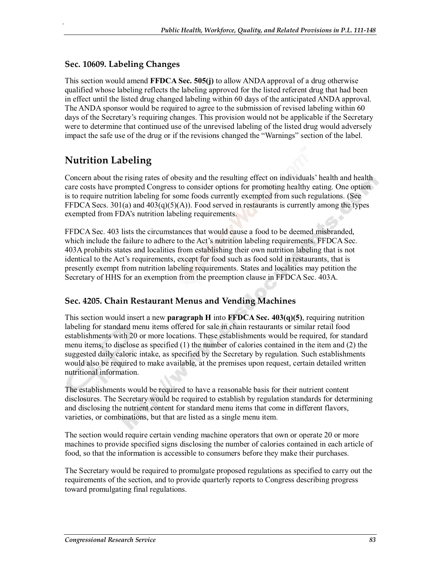### **Sec. 10609. Labeling Changes**

.

This section would amend **FFDCA Sec. 505(j)** to allow ANDA approval of a drug otherwise qualified whose labeling reflects the labeling approved for the listed referent drug that had been in effect until the listed drug changed labeling within 60 days of the anticipated ANDA approval. The ANDA sponsor would be required to agree to the submission of revised labeling within 60 days of the Secretary's requiring changes. This provision would not be applicable if the Secretary were to determine that continued use of the unrevised labeling of the listed drug would adversely impact the safe use of the drug or if the revisions changed the "Warnings" section of the label.

# **Nutrition Labeling**

Concern about the rising rates of obesity and the resulting effect on individuals' health and health care costs have prompted Congress to consider options for promoting healthy eating. One option is to require nutrition labeling for some foods currently exempted from such regulations. (See FFDCA Secs. 301(a) and  $403(q)(5)(A)$ . Food served in restaurants is currently among the types exempted from FDA's nutrition labeling requirements.

FFDCA Sec. 403 lists the circumstances that would cause a food to be deemed misbranded, which include the failure to adhere to the Act's nutrition labeling requirements. FFDCA Sec. 403A prohibits states and localities from establishing their own nutrition labeling that is not identical to the Act's requirements, except for food such as food sold in restaurants, that is presently exempt from nutrition labeling requirements. States and localities may petition the Secretary of HHS for an exemption from the preemption clause in FFDCA Sec. 403A.

## **Sec. 4205. Chain Restaurant Menus and Vending Machines**

This section would insert a new **paragraph H** into **FFDCA Sec. 403(q)(5)**, requiring nutrition labeling for standard menu items offered for sale in chain restaurants or similar retail food establishments with 20 or more locations. These establishments would be required, for standard menu items, to disclose as specified (1) the number of calories contained in the item and (2) the suggested daily caloric intake, as specified by the Secretary by regulation. Such establishments would also be required to make available, at the premises upon request, certain detailed written nutritional information.

The establishments would be required to have a reasonable basis for their nutrient content disclosures. The Secretary would be required to establish by regulation standards for determining and disclosing the nutrient content for standard menu items that come in different flavors, varieties, or combinations, but that are listed as a single menu item.

The section would require certain vending machine operators that own or operate 20 or more machines to provide specified signs disclosing the number of calories contained in each article of food, so that the information is accessible to consumers before they make their purchases.

The Secretary would be required to promulgate proposed regulations as specified to carry out the requirements of the section, and to provide quarterly reports to Congress describing progress toward promulgating final regulations.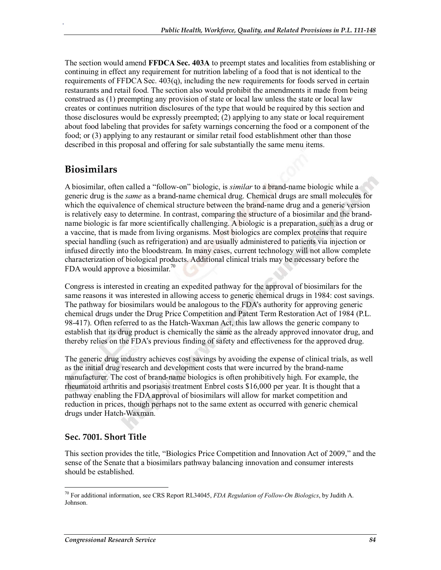The section would amend **FFDCA Sec. 403A** to preempt states and localities from establishing or continuing in effect any requirement for nutrition labeling of a food that is not identical to the requirements of FFDCA Sec.  $403(q)$ , including the new requirements for foods served in certain restaurants and retail food. The section also would prohibit the amendments it made from being construed as (1) preempting any provision of state or local law unless the state or local law creates or continues nutrition disclosures of the type that would be required by this section and those disclosures would be expressly preempted; (2) applying to any state or local requirement about food labeling that provides for safety warnings concerning the food or a component of the food; or (3) applying to any restaurant or similar retail food establishment other than those described in this proposal and offering for sale substantially the same menu items.

## **Biosimilars**

.

A biosimilar, often called a "follow-on" biologic, is *similar* to a brand-name biologic while a generic drug is the *same* as a brand-name chemical drug. Chemical drugs are small molecules for which the equivalence of chemical structure between the brand-name drug and a generic version is relatively easy to determine. In contrast, comparing the structure of a biosimilar and the brandname biologic is far more scientifically challenging. A biologic is a preparation, such as a drug or a vaccine, that is made from living organisms. Most biologics are complex proteins that require special handling (such as refrigeration) and are usually administered to patients via injection or infused directly into the bloodstream. In many cases, current technology will not allow complete characterization of biological products. Additional clinical trials may be necessary before the FDA would approve a biosimilar.<sup>70</sup>

Congress is interested in creating an expedited pathway for the approval of biosimilars for the same reasons it was interested in allowing access to generic chemical drugs in 1984: cost savings. The pathway for biosimilars would be analogous to the FDA's authority for approving generic chemical drugs under the Drug Price Competition and Patent Term Restoration Act of 1984 (P.L. 98-417). Often referred to as the Hatch-Waxman Act, this law allows the generic company to establish that its drug product is chemically the same as the already approved innovator drug, and thereby relies on the FDA's previous finding of safety and effectiveness for the approved drug.

The generic drug industry achieves cost savings by avoiding the expense of clinical trials, as well as the initial drug research and development costs that were incurred by the brand-name manufacturer. The cost of brand-name biologics is often prohibitively high. For example, the rheumatoid arthritis and psoriasis treatment Enbrel costs \$16,000 per year. It is thought that a pathway enabling the FDA approval of biosimilars will allow for market competition and reduction in prices, though perhaps not to the same extent as occurred with generic chemical drugs under Hatch-Waxman.

## **Sec. 7001. Short Title**

This section provides the title, "Biologics Price Competition and Innovation Act of 2009," and the sense of the Senate that a biosimilars pathway balancing innovation and consumer interests should be established.

<sup>70</sup> For additional information, see CRS Report RL34045, *FDA Regulation of Follow-On Biologics*, by Judith A. Johnson.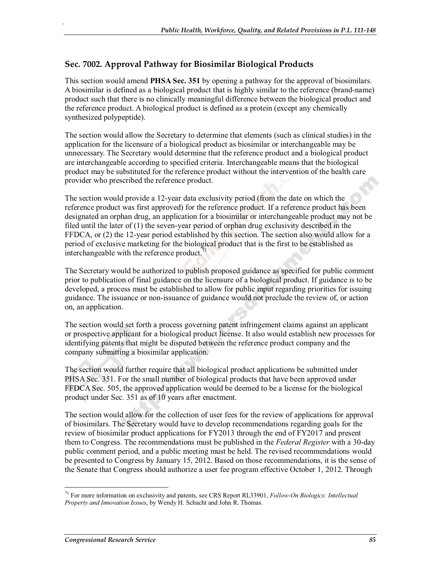## **Sec. 7002. Approval Pathway for Biosimilar Biological Products**

.

This section would amend **PHSA Sec. 351** by opening a pathway for the approval of biosimilars. A biosimilar is defined as a biological product that is highly similar to the reference (brand-name) product such that there is no clinically meaningful difference between the biological product and the reference product. A biological product is defined as a protein (except any chemically synthesized polypeptide).

The section would allow the Secretary to determine that elements (such as clinical studies) in the application for the licensure of a biological product as biosimilar or interchangeable may be unnecessary. The Secretary would determine that the reference product and a biological product are interchangeable according to specified criteria. Interchangeable means that the biological product may be substituted for the reference product without the intervention of the health care provider who prescribed the reference product.

The section would provide a 12-year data exclusivity period (from the date on which the reference product was first approved) for the reference product. If a reference product has been designated an orphan drug, an application for a biosimilar or interchangeable product may not be filed until the later of (1) the seven-year period of orphan drug exclusivity described in the FFDCA, or (2) the 12-year period established by this section. The section also would allow for a period of exclusive marketing for the biological product that is the first to be established as interchangeable with the reference product. $<sup>7</sup>$ </sup>

The Secretary would be authorized to publish proposed guidance as specified for public comment prior to publication of final guidance on the licensure of a biological product. If guidance is to be developed, a process must be established to allow for public input regarding priorities for issuing guidance. The issuance or non-issuance of guidance would not preclude the review of, or action on, an application.

The section would set forth a process governing patent infringement claims against an applicant or prospective applicant for a biological product license. It also would establish new processes for identifying patents that might be disputed between the reference product company and the company submitting a biosimilar application.

The section would further require that all biological product applications be submitted under PHSA Sec. 351. For the small number of biological products that have been approved under FFDCA Sec. 505, the approved application would be deemed to be a license for the biological product under Sec. 351 as of 10 years after enactment.

The section would allow for the collection of user fees for the review of applications for approval of biosimilars. The Secretary would have to develop recommendations regarding goals for the review of biosimilar product applications for FY2013 through the end of FY2017 and present them to Congress. The recommendations must be published in the *Federal Register* with a 30-day public comment period, and a public meeting must be held. The revised recommendations would be presented to Congress by January 15, 2012. Based on those recommendations, it is the sense of the Senate that Congress should authorize a user fee program effective October 1, 2012. Through

<sup>71</sup> For more information on exclusivity and patents, see CRS Report RL33901, *Follow-On Biologics: Intellectual Property and Innovation Issues*, by Wendy H. Schacht and John R. Thomas.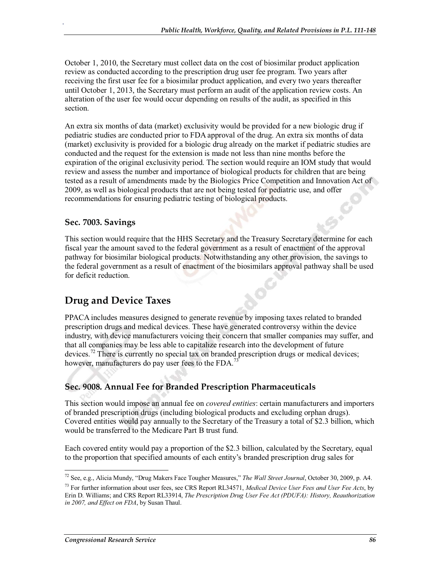October 1, 2010, the Secretary must collect data on the cost of biosimilar product application review as conducted according to the prescription drug user fee program. Two years after receiving the first user fee for a biosimilar product application, and every two years thereafter until October 1, 2013, the Secretary must perform an audit of the application review costs. An alteration of the user fee would occur depending on results of the audit, as specified in this section.

An extra six months of data (market) exclusivity would be provided for a new biologic drug if pediatric studies are conducted prior to FDA approval of the drug. An extra six months of data (market) exclusivity is provided for a biologic drug already on the market if pediatric studies are conducted and the request for the extension is made not less than nine months before the expiration of the original exclusivity period. The section would require an IOM study that would review and assess the number and importance of biological products for children that are being tested as a result of amendments made by the Biologics Price Competition and Innovation Act of 2009, as well as biological products that are not being tested for pediatric use, and offer recommendations for ensuring pediatric testing of biological products.

#### **Sec. 7003. Savings**

.

This section would require that the HHS Secretary and the Treasury Secretary determine for each fiscal year the amount saved to the federal government as a result of enactment of the approval pathway for biosimilar biological products. Notwithstanding any other provision, the savings to the federal government as a result of enactment of the biosimilars approval pathway shall be used for deficit reduction.

## **Drug and Device Taxes**

PPACA includes measures designed to generate revenue by imposing taxes related to branded prescription drugs and medical devices. These have generated controversy within the device industry, with device manufacturers voicing their concern that smaller companies may suffer, and that all companies may be less able to capitalize research into the development of future devices.<sup>72</sup> There is currently no special tax on branded prescription drugs or medical devices; however, manufacturers do pay user fees to the FDA.<sup>73</sup>

## **Sec. 9008. Annual Fee for Branded Prescription Pharmaceuticals**

This section would impose an annual fee on *covered entities*: certain manufacturers and importers of branded prescription drugs (including biological products and excluding orphan drugs). Covered entities would pay annually to the Secretary of the Treasury a total of \$2.3 billion, which would be transferred to the Medicare Part B trust fund.

Each covered entity would pay a proportion of the \$2.3 billion, calculated by the Secretary, equal to the proportion that specified amounts of each entity's branded prescription drug sales for

<sup>72</sup> See, e.g., Alicia Mundy, "Drug Makers Face Tougher Measures," *The Wall Street Journal*, October 30, 2009, p. A4.

<sup>73</sup> For further information about user fees, see CRS Report RL34571, *Medical Device User Fees and User Fee Acts*, by Erin D. Williams; and CRS Report RL33914, *The Prescription Drug User Fee Act (PDUFA): History, Reauthorization in 2007, and Effect on FDA*, by Susan Thaul.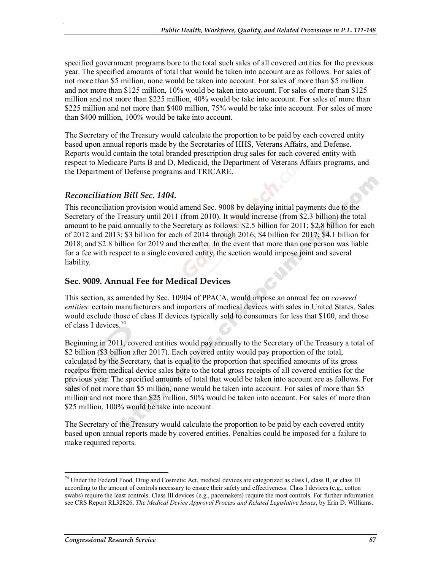specified government programs bore to the total such sales of all covered entities for the previous year. The specified amounts of total that would be taken into account are as follows. For sales of not more than \$5 million, none would be taken into account. For sales of more than \$5 million and not more than \$125 million, 10% would be taken into account. For sales of more than \$125 million and not more than \$225 million, 40% would be take into account. For sales of more than \$225 million and not more than \$400 million, 75% would be take into account. For sales of more than \$400 million, 100% would be take into account.

The Secretary of the Treasury would calculate the proportion to be paid by each covered entity based upon annual reports made by the Secretaries of HHS, Veterans Affairs, and Defense. Reports would contain the total branded prescription drug sales for each covered entity with respect to Medicare Parts B and D, Medicaid, the Department of Veterans Affairs programs, and the Department of Defense programs and TRICARE.

#### *Reconciliation Bill Sec. 1404.*

.

This reconciliation provision would amend Sec. 9008 by delaying initial payments due to the Secretary of the Treasury until 2011 (from 2010). It would increase (from \$2.3 billion) the total amount to be paid annually to the Secretary as follows: \$2.5 billion for 2011; \$2.8 billion for each of 2012 and 2013; \$3 billion for each of 2014 through 2016; \$4 billion for 2017; \$4.1 billion for 2018; and \$2.8 billion for 2019 and thereafter. In the event that more than one person was liable for a fee with respect to a single covered entity, the section would impose joint and several liability.

#### **Sec. 9009. Annual Fee for Medical Devices**

This section, as amended by Sec. 10904 of PPACA, would impose an annual fee on *covered entities*: certain manufacturers and importers of medical devices with sales in United States. Sales would exclude those of class II devices typically sold to consumers for less that \$100, and those of class I devices.<sup>74</sup>

Beginning in 2011, covered entities would pay annually to the Secretary of the Treasury a total of \$2 billion (\$3 billion after 2017). Each covered entity would pay proportion of the total, calculated by the Secretary, that is equal to the proportion that specified amounts of its gross receipts from medical device sales bore to the total gross receipts of all covered entities for the previous year. The specified amounts of total that would be taken into account are as follows. For sales of not more than \$5 million, none would be taken into account. For sales of more than \$5 million and not more than \$25 million, 50% would be taken into account. For sales of more than \$25 million, 100% would be take into account.

The Secretary of the Treasury would calculate the proportion to be paid by each covered entity based upon annual reports made by covered entities. Penalties could be imposed for a failure to make required reports.

 $74$  Under the Federal Food, Drug and Cosmetic Act, medical devices are categorized as class I, class II, or class III according to the amount of controls necessary to ensure their safety and effectiveness. Class I devices (e.g., cotton swabs) require the least controls. Class III devices (e.g., pacemakers) require the most controls. For further information see CRS Report RL32826, *The Medical Device Approval Process and Related Legislative Issues*, by Erin D. Williams.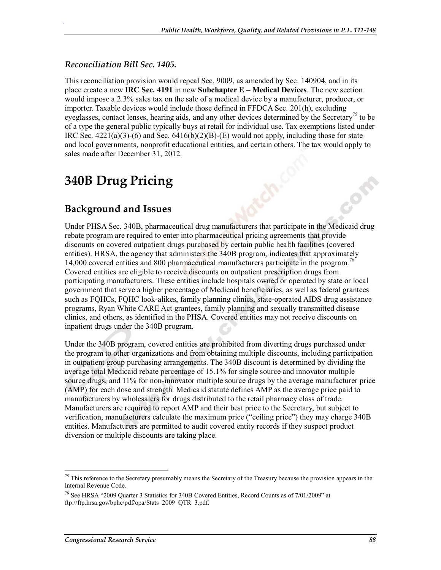#### *Reconciliation Bill Sec. 1405.*

.

This reconciliation provision would repeal Sec. 9009, as amended by Sec. 140904, and in its place create a new **IRC Sec. 4191** in new **Subchapter E – Medical Devices**. The new section would impose a 2.3% sales tax on the sale of a medical device by a manufacturer, producer, or importer. Taxable devices would include those defined in FFDCA Sec. 201(h), excluding eyeglasses, contact lenses, hearing aids, and any other devices determined by the Secretary<sup>75</sup> to be of a type the general public typically buys at retail for individual use. Tax exemptions listed under IRC Sec.  $4221(a)(3)-(6)$  and Sec.  $6416(b)(2)(B)-(E)$  would not apply, including those for state and local governments, nonprofit educational entities, and certain others. The tax would apply to sales made after December 31, 2012.

# **340B Drug Pricing**

## **Background and Issues**

Under PHSA Sec. 340B, pharmaceutical drug manufacturers that participate in the Medicaid drug rebate program are required to enter into pharmaceutical pricing agreements that provide discounts on covered outpatient drugs purchased by certain public health facilities (covered entities). HRSA, the agency that administers the 340B program, indicates that approximately 14,000 covered entities and 800 pharmaceutical manufacturers participate in the program.<sup>76</sup> Covered entities are eligible to receive discounts on outpatient prescription drugs from participating manufacturers. These entities include hospitals owned or operated by state or local government that serve a higher percentage of Medicaid beneficiaries, as well as federal grantees such as FQHCs, FQHC look-alikes, family planning clinics, state-operated AIDS drug assistance programs, Ryan White CARE Act grantees, family planning and sexually transmitted disease clinics, and others, as identified in the PHSA. Covered entities may not receive discounts on inpatient drugs under the 340B program.

Under the 340B program, covered entities are prohibited from diverting drugs purchased under the program to other organizations and from obtaining multiple discounts, including participation in outpatient group purchasing arrangements. The 340B discount is determined by dividing the average total Medicaid rebate percentage of 15.1% for single source and innovator multiple source drugs, and 11% for non-innovator multiple source drugs by the average manufacturer price (AMP) for each dose and strength. Medicaid statute defines AMP as the average price paid to manufacturers by wholesalers for drugs distributed to the retail pharmacy class of trade. Manufacturers are required to report AMP and their best price to the Secretary, but subject to verification, manufacturers calculate the maximum price ("ceiling price") they may charge 340B entities. Manufacturers are permitted to audit covered entity records if they suspect product diversion or multiple discounts are taking place.

<sup>&</sup>lt;sup>75</sup> This reference to the Secretary presumably means the Secretary of the Treasury because the provision appears in the Internal Revenue Code.

<sup>76</sup> See HRSA "2009 Quarter 3 Statistics for 340B Covered Entities, Record Counts as of 7/01/2009" at ftp://ftp.hrsa.gov/bphc/pdf/opa/Stats\_2009\_QTR\_3.pdf.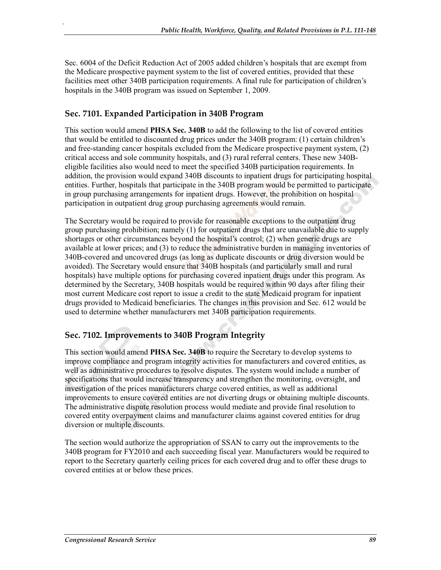Sec. 6004 of the Deficit Reduction Act of 2005 added children's hospitals that are exempt from the Medicare prospective payment system to the list of covered entities, provided that these facilities meet other 340B participation requirements. A final rule for participation of children's hospitals in the 340B program was issued on September 1, 2009.

### **Sec. 7101. Expanded Participation in 340B Program**

.

This section would amend **PHSA Sec. 340B** to add the following to the list of covered entities that would be entitled to discounted drug prices under the 340B program: (1) certain children's and free-standing cancer hospitals excluded from the Medicare prospective payment system, (2) critical access and sole community hospitals, and (3) rural referral centers. These new 340Beligible facilities also would need to meet the specified 340B participation requirements. In addition, the provision would expand 340B discounts to inpatient drugs for participating hospital entities. Further, hospitals that participate in the 340B program would be permitted to participate in group purchasing arrangements for inpatient drugs. However, the prohibition on hospital participation in outpatient drug group purchasing agreements would remain.

The Secretary would be required to provide for reasonable exceptions to the outpatient drug group purchasing prohibition; namely (1) for outpatient drugs that are unavailable due to supply shortages or other circumstances beyond the hospital's control; (2) when generic drugs are available at lower prices; and (3) to reduce the administrative burden in managing inventories of 340B-covered and uncovered drugs (as long as duplicate discounts or drug diversion would be avoided). The Secretary would ensure that 340B hospitals (and particularly small and rural hospitals) have multiple options for purchasing covered inpatient drugs under this program. As determined by the Secretary, 340B hospitals would be required within 90 days after filing their most current Medicare cost report to issue a credit to the state Medicaid program for inpatient drugs provided to Medicaid beneficiaries. The changes in this provision and Sec. 612 would be used to determine whether manufacturers met 340B participation requirements.

## **Sec. 7102. Improvements to 340B Program Integrity**

This section would amend **PHSA Sec. 340B** to require the Secretary to develop systems to improve compliance and program integrity activities for manufacturers and covered entities, as well as administrative procedures to resolve disputes. The system would include a number of specifications that would increase transparency and strengthen the monitoring, oversight, and investigation of the prices manufacturers charge covered entities, as well as additional improvements to ensure covered entities are not diverting drugs or obtaining multiple discounts. The administrative dispute resolution process would mediate and provide final resolution to covered entity overpayment claims and manufacturer claims against covered entities for drug diversion or multiple discounts.

The section would authorize the appropriation of SSAN to carry out the improvements to the 340B program for FY2010 and each succeeding fiscal year. Manufacturers would be required to report to the Secretary quarterly ceiling prices for each covered drug and to offer these drugs to covered entities at or below these prices.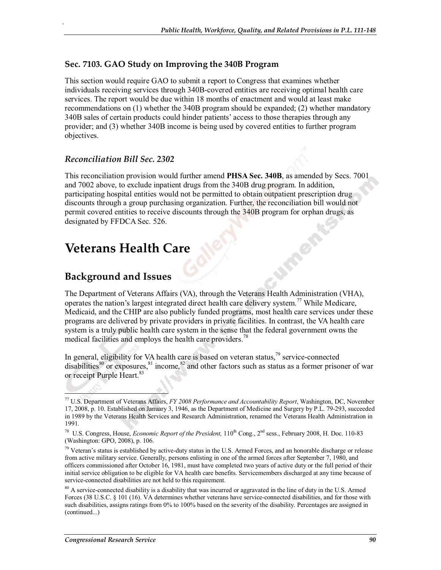#### **Sec. 7103. GAO Study on Improving the 340B Program**

This section would require GAO to submit a report to Congress that examines whether individuals receiving services through 340B-covered entities are receiving optimal health care services. The report would be due within 18 months of enactment and would at least make recommendations on (1) whether the 340B program should be expanded; (2) whether mandatory 340B sales of certain products could hinder patients' access to those therapies through any provider; and (3) whether 340B income is being used by covered entities to further program objectives.

#### *Reconciliation Bill Sec. 2302*

.

This reconciliation provision would further amend **PHSA Sec. 340B**, as amended by Secs. 7001 and 7002 above, to exclude inpatient drugs from the 340B drug program. In addition, participating hospital entities would not be permitted to obtain outpatient prescription drug discounts through a group purchasing organization. Further, the reconciliation bill would not permit covered entities to receive discounts through the 340B program for orphan drugs, as designated by FFDCA Sec. 526.

# **Veterans Health Care**

## **Background and Issues**

The Department of Veterans Affairs (VA), through the Veterans Health Administration (VHA), operates the nation's largest integrated direct health care delivery system.<sup>77</sup> While Medicare, Medicaid, and the CHIP are also publicly funded programs, most health care services under these programs are delivered by private providers in private facilities. In contrast, the VA health care system is a truly public health care system in the sense that the federal government owns the medical facilities and employs the health care providers.<sup>78</sup>

In general, eligibility for VA health care is based on veteran status, $^{79}$  service-connected disabilities<sup>80</sup> or exposures, <sup>81</sup> income, <sup>82</sup> and other factors such as status as a former prisoner of war or receipt Purple Heart.<sup>83</sup>

<sup>77</sup> U.S. Department of Veterans Affairs, *FY 2008 Performance and Accountability Report*, Washington, DC, November 17, 2008, p. 10. Established on January 3, 1946, as the Department of Medicine and Surgery by P.L. 79-293, succeeded in 1989 by the Veterans Health Services and Research Administration, renamed the Veterans Health Administration in 1991.

<sup>&</sup>lt;sup>78</sup> U.S. Congress, House, *Economic Report of the President*, 110<sup>th</sup> Cong., 2<sup>nd</sup> sess., February 2008, H. Doc. 110-83 (Washington: GPO, 2008), p. 106.

 $79$  Veteran's status is established by active-duty status in the U.S. Armed Forces, and an honorable discharge or release from active military service. Generally, persons enlisting in one of the armed forces after September 7, 1980, and officers commissioned after October 16, 1981, must have completed two years of active duty or the full period of their initial service obligation to be eligible for VA health care benefits. Servicemembers discharged at any time because of service-connected disabilities are not held to this requirement.

<sup>&</sup>lt;sup>80</sup> A service-connected disability is a disability that was incurred or aggravated in the line of duty in the U.S. Armed Forces (38 U.S.C. § 101 (16). VA determines whether veterans have service-connected disabilities, and for those with such disabilities, assigns ratings from 0% to 100% based on the severity of the disability. Percentages are assigned in (continued...)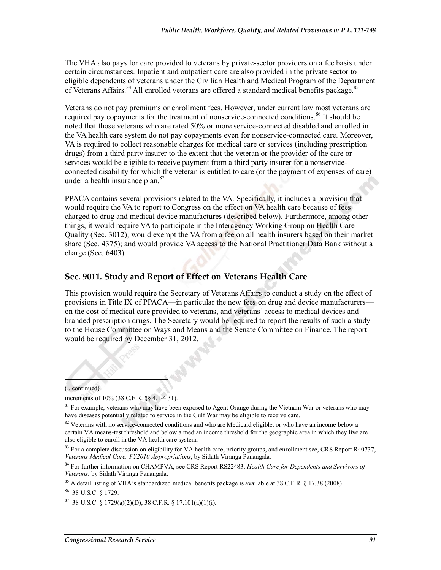The VHA also pays for care provided to veterans by private-sector providers on a fee basis under certain circumstances. Inpatient and outpatient care are also provided in the private sector to eligible dependents of veterans under the Civilian Health and Medical Program of the Department of Veterans Affairs.<sup>84</sup> All enrolled veterans are offered a standard medical benefits package.<sup>85</sup>

Veterans do not pay premiums or enrollment fees. However, under current law most veterans are required pay copayments for the treatment of nonservice-connected conditions.<sup>86</sup> It should be noted that those veterans who are rated 50% or more service-connected disabled and enrolled in the VA health care system do not pay copayments even for nonservice-connected care. Moreover, VA is required to collect reasonable charges for medical care or services (including prescription drugs) from a third party insurer to the extent that the veteran or the provider of the care or services would be eligible to receive payment from a third party insurer for a nonserviceconnected disability for which the veteran is entitled to care (or the payment of expenses of care) under a health insurance plan.<sup>87</sup>

PPACA contains several provisions related to the VA. Specifically, it includes a provision that would require the VA to report to Congress on the effect on VA health care because of fees charged to drug and medical device manufactures (described below). Furthermore, among other things, it would require VA to participate in the Interagency Working Group on Health Care Quality (Sec. 3012); would exempt the VA from a fee on all health insurers based on their market share (Sec. 4375); and would provide VA access to the National Practitioner Data Bank without a charge (Sec. 6403).

#### **Sec. 9011. Study and Report of Effect on Veterans Health Care**

This provision would require the Secretary of Veterans Affairs to conduct a study on the effect of provisions in Title IX of PPACA—in particular the new fees on drug and device manufacturers on the cost of medical care provided to veterans, and veterans' access to medical devices and branded prescription drugs. The Secretary would be required to report the results of such a study to the House Committee on Ways and Means and the Senate Committee on Finance. The report would be required by December 31, 2012.

(...continued)

.

increments of 10% (38 C.F.R. §§ 4.1-4.31).

<sup>85</sup> A detail listing of VHA's standardized medical benefits package is available at 38 C.F.R. § 17.38 (2008).

86 38 U.S.C. § 1729.

<sup>87</sup> 38 U.S.C. § 1729(a)(2)(D); 38 C.F.R. § 17.101(a)(1)(i).

<sup>&</sup>lt;sup>81</sup> For example, veterans who may have been exposed to Agent Orange during the Vietnam War or veterans who may have diseases potentially related to service in the Gulf War may be eligible to receive care.

<sup>&</sup>lt;sup>82</sup> Veterans with no service-connected conditions and who are Medicaid eligible, or who have an income below a certain VA means-test threshold and below a median income threshold for the geographic area in which they live are also eligible to enroll in the VA health care system.

 $83$  For a complete discussion on eligibility for VA health care, priority groups, and enrollment see, CRS Report R40737, *Veterans Medical Care: FY2010 Appropriations*, by Sidath Viranga Panangala.

<sup>84</sup> For further information on CHAMPVA, see CRS Report RS22483, *Health Care for Dependents and Survivors of Veterans*, by Sidath Viranga Panangala.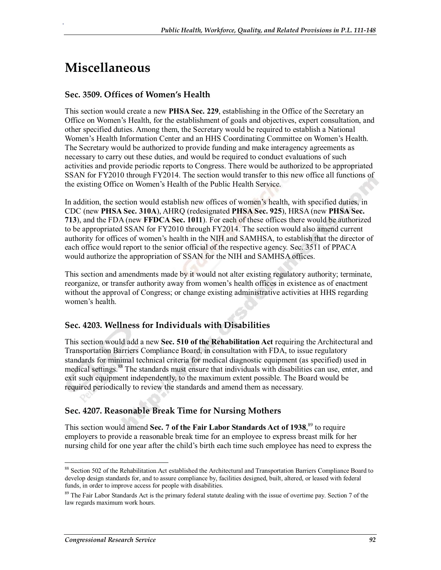# **Miscellaneous**

.

#### **Sec. 3509. Offices of Women's Health**

This section would create a new **PHSA Sec. 229**, establishing in the Office of the Secretary an Office on Women's Health, for the establishment of goals and objectives, expert consultation, and other specified duties. Among them, the Secretary would be required to establish a National Women's Health Information Center and an HHS Coordinating Committee on Women's Health. The Secretary would be authorized to provide funding and make interagency agreements as necessary to carry out these duties, and would be required to conduct evaluations of such activities and provide periodic reports to Congress. There would be authorized to be appropriated SSAN for FY2010 through FY2014. The section would transfer to this new office all functions of the existing Office on Women's Health of the Public Health Service.

In addition, the section would establish new offices of women's health, with specified duties, in CDC (new **PHSA Sec. 310A**), AHRQ (redesignated **PHSA Sec. 925**), HRSA (new **PHSA Sec. 713**), and the FDA (new **FFDCA Sec. 1011**). For each of these offices there would be authorized to be appropriated SSAN for FY2010 through FY2014. The section would also amend current authority for offices of women's health in the NIH and SAMHSA, to establish that the director of each office would report to the senior official of the respective agency. Sec. 3511 of PPACA would authorize the appropriation of SSAN for the NIH and SAMHSA offices.

This section and amendments made by it would not alter existing regulatory authority; terminate, reorganize, or transfer authority away from women's health offices in existence as of enactment without the approval of Congress; or change existing administrative activities at HHS regarding women's health.

#### **Sec. 4203. Wellness for Individuals with Disabilities**

This section would add a new **Sec. 510 of the Rehabilitation Act** requiring the Architectural and Transportation Barriers Compliance Board, in consultation with FDA, to issue regulatory standards for minimal technical criteria for medical diagnostic equipment (as specified) used in medical settings.<sup>88</sup> The standards must ensure that individuals with disabilities can use, enter, and exit such equipment independently, to the maximum extent possible. The Board would be required periodically to review the standards and amend them as necessary.

#### **Sec. 4207. Reasonable Break Time for Nursing Mothers**

This section would amend Sec. 7 of the Fair Labor Standards Act of 1938,<sup>89</sup> to require employers to provide a reasonable break time for an employee to express breast milk for her nursing child for one year after the child's birth each time such employee has need to express the

<sup>88</sup> Section 502 of the Rehabilitation Act established the Architectural and Transportation Barriers Compliance Board to develop design standards for, and to assure compliance by, facilities designed, built, altered, or leased with federal funds, in order to improve access for people with disabilities.

<sup>&</sup>lt;sup>89</sup> The Fair Labor Standards Act is the primary federal statute dealing with the issue of overtime pay. Section 7 of the law regards maximum work hours.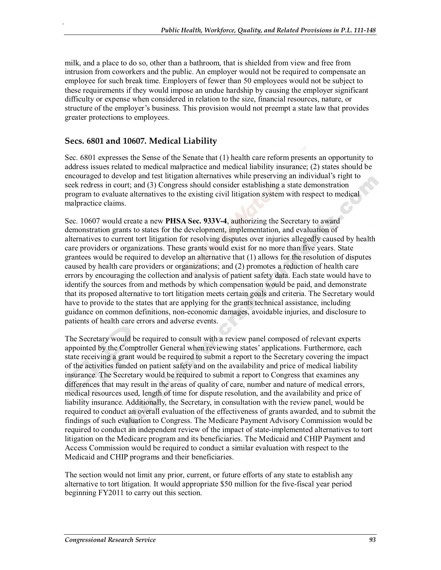milk, and a place to do so, other than a bathroom, that is shielded from view and free from intrusion from coworkers and the public. An employer would not be required to compensate an employee for such break time. Employers of fewer than 50 employees would not be subject to these requirements if they would impose an undue hardship by causing the employer significant difficulty or expense when considered in relation to the size, financial resources, nature, or structure of the employer's business. This provision would not preempt a state law that provides greater protections to employees.

#### **Secs. 6801 and 10607. Medical Liability**

.

Sec. 6801 expresses the Sense of the Senate that (1) health care reform presents an opportunity to address issues related to medical malpractice and medical liability insurance; (2) states should be encouraged to develop and test litigation alternatives while preserving an individual's right to seek redress in court; and (3) Congress should consider establishing a state demonstration program to evaluate alternatives to the existing civil litigation system with respect to medical malpractice claims.

Sec. 10607 would create a new **PHSA Sec. 933V-4**, authorizing the Secretary to award demonstration grants to states for the development, implementation, and evaluation of alternatives to current tort litigation for resolving disputes over injuries allegedly caused by health care providers or organizations. These grants would exist for no more than five years. State grantees would be required to develop an alternative that (1) allows for the resolution of disputes caused by health care providers or organizations; and (2) promotes a reduction of health care errors by encouraging the collection and analysis of patient safety data. Each state would have to identify the sources from and methods by which compensation would be paid, and demonstrate that its proposed alternative to tort litigation meets certain goals and criteria. The Secretary would have to provide to the states that are applying for the grants technical assistance, including guidance on common definitions, non-economic damages, avoidable injuries, and disclosure to patients of health care errors and adverse events.

The Secretary would be required to consult with a review panel composed of relevant experts appointed by the Comptroller General when reviewing states' applications. Furthermore, each state receiving a grant would be required to submit a report to the Secretary covering the impact of the activities funded on patient safety and on the availability and price of medical liability insurance. The Secretary would be required to submit a report to Congress that examines any differences that may result in the areas of quality of care, number and nature of medical errors, medical resources used, length of time for dispute resolution, and the availability and price of liability insurance. Additionally, the Secretary, in consultation with the review panel, would be required to conduct an overall evaluation of the effectiveness of grants awarded, and to submit the findings of such evaluation to Congress. The Medicare Payment Advisory Commission would be required to conduct an independent review of the impact of state-implemented alternatives to tort litigation on the Medicare program and its beneficiaries. The Medicaid and CHIP Payment and Access Commission would be required to conduct a similar evaluation with respect to the Medicaid and CHIP programs and their beneficiaries.

The section would not limit any prior, current, or future efforts of any state to establish any alternative to tort litigation. It would appropriate \$50 million for the five-fiscal year period beginning FY2011 to carry out this section.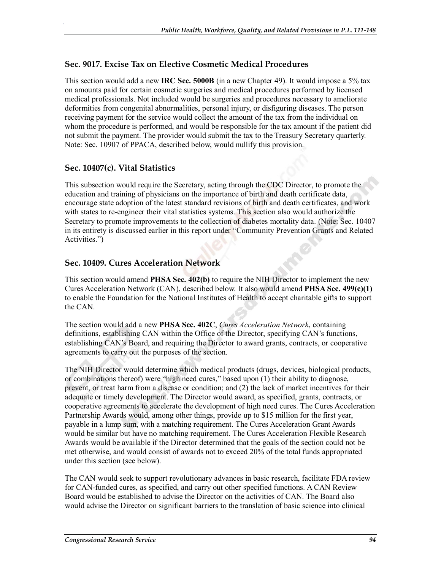#### **Sec. 9017. Excise Tax on Elective Cosmetic Medical Procedures**

This section would add a new **IRC Sec. 5000B** (in a new Chapter 49). It would impose a 5% tax on amounts paid for certain cosmetic surgeries and medical procedures performed by licensed medical professionals. Not included would be surgeries and procedures necessary to ameliorate deformities from congenital abnormalities, personal injury, or disfiguring diseases. The person receiving payment for the service would collect the amount of the tax from the individual on whom the procedure is performed, and would be responsible for the tax amount if the patient did not submit the payment. The provider would submit the tax to the Treasury Secretary quarterly. Note: Sec. 10907 of PPACA, described below, would nullify this provision.

#### **Sec. 10407(c). Vital Statistics**

.

This subsection would require the Secretary, acting through the CDC Director, to promote the education and training of physicians on the importance of birth and death certificate data, encourage state adoption of the latest standard revisions of birth and death certificates, and work with states to re-engineer their vital statistics systems. This section also would authorize the Secretary to promote improvements to the collection of diabetes mortality data. (Note: Sec. 10407 in its entirety is discussed earlier in this report under "Community Prevention Grants and Related Activities.")

#### **Sec. 10409. Cures Acceleration Network**

This section would amend **PHSA Sec. 402(b)** to require the NIH Director to implement the new Cures Acceleration Network (CAN), described below. It also would amend **PHSA Sec. 499(c)(1)** to enable the Foundation for the National Institutes of Health to accept charitable gifts to support the CAN.

The section would add a new **PHSA Sec. 402C**, *Cures Acceleration Network*, containing definitions, establishing CAN within the Office of the Director, specifying CAN's functions, establishing CAN's Board, and requiring the Director to award grants, contracts, or cooperative agreements to carry out the purposes of the section.

The NIH Director would determine which medical products (drugs, devices, biological products, or combinations thereof) were "high need cures," based upon (1) their ability to diagnose, prevent, or treat harm from a disease or condition; and (2) the lack of market incentives for their adequate or timely development. The Director would award, as specified, grants, contracts, or cooperative agreements to accelerate the development of high need cures. The Cures Acceleration Partnership Awards would, among other things, provide up to \$15 million for the first year, payable in a lump sum, with a matching requirement. The Cures Acceleration Grant Awards would be similar but have no matching requirement. The Cures Acceleration Flexible Research Awards would be available if the Director determined that the goals of the section could not be met otherwise, and would consist of awards not to exceed 20% of the total funds appropriated under this section (see below).

The CAN would seek to support revolutionary advances in basic research, facilitate FDA review for CAN-funded cures, as specified, and carry out other specified functions. A CAN Review Board would be established to advise the Director on the activities of CAN. The Board also would advise the Director on significant barriers to the translation of basic science into clinical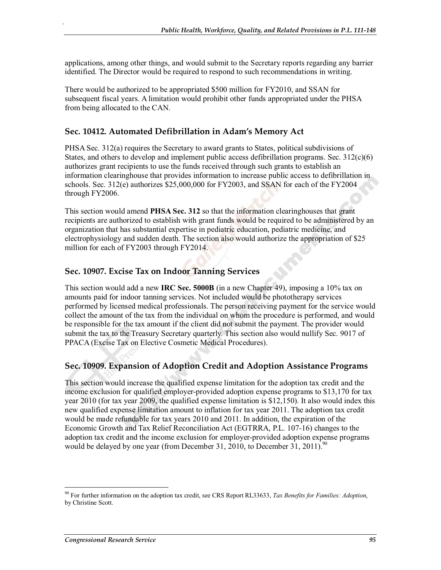applications, among other things, and would submit to the Secretary reports regarding any barrier identified. The Director would be required to respond to such recommendations in writing.

There would be authorized to be appropriated \$500 million for FY2010, and SSAN for subsequent fiscal years. A limitation would prohibit other funds appropriated under the PHSA from being allocated to the CAN.

#### **Sec. 10412. Automated Defibrillation in Adam's Memory Act**

.

PHSA Sec. 312(a) requires the Secretary to award grants to States, political subdivisions of States, and others to develop and implement public access defibrillation programs. Sec.  $312(c)(6)$ authorizes grant recipients to use the funds received through such grants to establish an information clearinghouse that provides information to increase public access to defibrillation in schools. Sec. 312(e) authorizes \$25,000,000 for FY2003, and SSAN for each of the FY2004 through FY2006.

This section would amend **PHSA Sec. 312** so that the information clearinghouses that grant recipients are authorized to establish with grant funds would be required to be administered by an organization that has substantial expertise in pediatric education, pediatric medicine, and electrophysiology and sudden death. The section also would authorize the appropriation of \$25 million for each of FY2003 through FY2014.

#### **Sec. 10907. Excise Tax on Indoor Tanning Services**

This section would add a new **IRC Sec. 5000B** (in a new Chapter 49), imposing a 10% tax on amounts paid for indoor tanning services. Not included would be phototherapy services performed by licensed medical professionals. The person receiving payment for the service would collect the amount of the tax from the individual on whom the procedure is performed, and would be responsible for the tax amount if the client did not submit the payment. The provider would submit the tax to the Treasury Secretary quarterly. This section also would nullify Sec. 9017 of PPACA (Excise Tax on Elective Cosmetic Medical Procedures).

#### **Sec. 10909. Expansion of Adoption Credit and Adoption Assistance Programs**

This section would increase the qualified expense limitation for the adoption tax credit and the income exclusion for qualified employer-provided adoption expense programs to \$13,170 for tax year 2010 (for tax year 2009, the qualified expense limitation is \$12,150). It also would index this new qualified expense limitation amount to inflation for tax year 2011. The adoption tax credit would be made refundable for tax years 2010 and 2011. In addition, the expiration of the Economic Growth and Tax Relief Reconciliation Act (EGTRRA, P.L. 107-16) changes to the adoption tax credit and the income exclusion for employer-provided adoption expense programs would be delayed by one year (from December 31, 2010, to December 31, 2011).<sup>90</sup>

<sup>90</sup> For further information on the adoption tax credit, see CRS Report RL33633, *Tax Benefits for Families: Adoption*, by Christine Scott.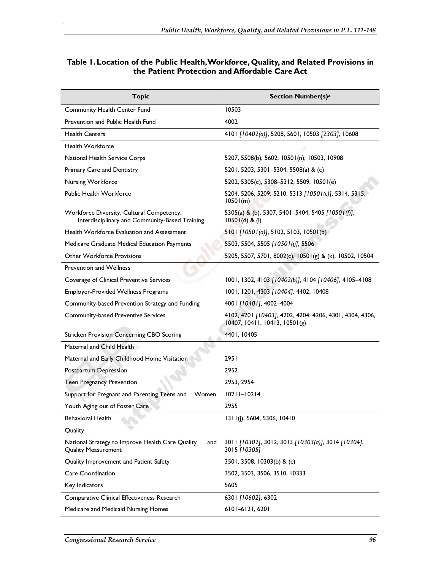#### **Table 1. Location of the Public Health, Workforce, Quality, and Related Provisions in the Patient Protection and Affordable Care Act**

| <b>Topic</b>                                                                                | Section Number(s) <sup>a</sup>                                                           |  |
|---------------------------------------------------------------------------------------------|------------------------------------------------------------------------------------------|--|
| Community Health Center Fund                                                                | 10503                                                                                    |  |
| Prevention and Public Health Fund                                                           | 4002                                                                                     |  |
| <b>Health Centers</b>                                                                       | 4101 [10402(a)], 5208, 5601, 10503 [2303], 10608                                         |  |
| <b>Health Workforce</b>                                                                     |                                                                                          |  |
| National Health Service Corps                                                               | 5207, 5508(b), 5602, 10501(n), 10503, 10908                                              |  |
| Primary Care and Dentistry                                                                  | 5201, 5203, 5301–5304, 5508(a) & (c)                                                     |  |
| Nursing Workforce                                                                           | 5202, 5305(c), 5308-5312, 5509, 10501(e)                                                 |  |
| Public Health Workforce                                                                     | 5204, 5206, 5209, 5210, 5313 [10501(c)], 5314, 5315,<br>10501(m)                         |  |
| Workforce Diversity, Cultural Competency,<br>Interdisciplinary and Community-Based Training | 5305(a) & (b), 5307, 5401-5404, 5405 [10501(f)],<br>$10501(d)$ & (I)                     |  |
| Health Workforce Evaluation and Assessment                                                  | $5101$ [10501(a)], 5102, 5103, 10501(b)                                                  |  |
| Medicare Graduate Medical Education Payments                                                | 5503, 5504, 5505 [10501(j)], 5506                                                        |  |
| <b>Other Workforce Provisions</b>                                                           | 5205, 5507, 5701, 8002(c), 10501(g) & (k), 10502, 10504                                  |  |
| <b>Prevention and Wellness</b>                                                              |                                                                                          |  |
| Coverage of Clinical Preventive Services                                                    | 1001, 1302, 4103 [10402(b)], 4104 [10406], 4105-4108                                     |  |
| <b>Employer-Provided Wellness Programs</b>                                                  | 1001, 1201, 4303 [10404], 4402, 10408                                                    |  |
| Community-based Prevention Strategy and Funding                                             | 4001 [10401], 4002-4004                                                                  |  |
| Community-based Preventive Services                                                         | 4102, 4201 [10403], 4202, 4204, 4206, 4301, 4304, 4306,<br>10407, 10411, 10413, 10501(g) |  |
| <b>Stricken Provision Concerning CBO Scoring</b>                                            | 4401, 10405                                                                              |  |
| Maternal and Child Health                                                                   |                                                                                          |  |
| Maternal and Early Childhood Home Visitation                                                | 2951                                                                                     |  |
| Postpartum Depression                                                                       | 2952                                                                                     |  |
| <b>Teen Pregnancy Prevention</b>                                                            | 2953, 2954                                                                               |  |
| Support for Pregnant and Parenting Teens and<br>Women                                       | $10211 - 10214$                                                                          |  |
| Youth Aging out of Foster Care                                                              | 2955                                                                                     |  |
| <b>Behavioral Health</b>                                                                    | $1311(j)$ , 5604, 5306, 10410                                                            |  |
| Quality                                                                                     |                                                                                          |  |
| National Strategy to Improve Health Care Quality<br>and<br><b>Quality Measurement</b>       | 3011 [10302], 3012, 3013 [10303(a)], 3014 [10304],<br>3015 [10305]                       |  |
| Quality Improvement and Patient Safety                                                      | 3501, 3508, 10303(b) & (c)                                                               |  |
| Care Coordination                                                                           | 3502, 3503, 3506, 3510, 10333                                                            |  |
| Key Indicators                                                                              | 5605                                                                                     |  |
| Comparative Clinical Effectiveness Research                                                 | 6301 [10602], 6302                                                                       |  |
| Medicare and Medicaid Nursing Homes                                                         | 6101-6121, 6201                                                                          |  |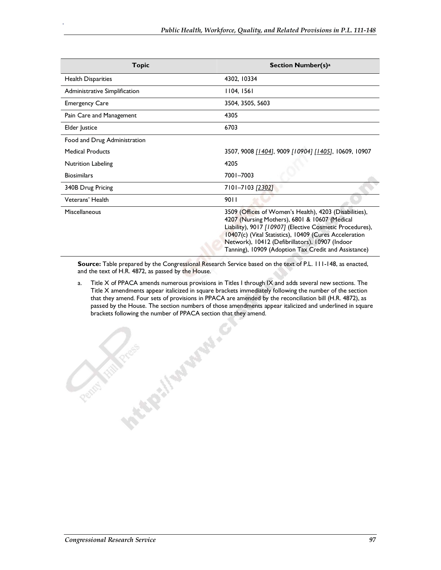| Topic                         | <b>Section Number(s)a</b>                                                                                                                                                                                                                                                                                                                |
|-------------------------------|------------------------------------------------------------------------------------------------------------------------------------------------------------------------------------------------------------------------------------------------------------------------------------------------------------------------------------------|
| <b>Health Disparities</b>     | 4302, 10334                                                                                                                                                                                                                                                                                                                              |
| Administrative Simplification | 1104, 1561                                                                                                                                                                                                                                                                                                                               |
| <b>Emergency Care</b>         | 3504, 3505, 5603                                                                                                                                                                                                                                                                                                                         |
| Pain Care and Management      | 4305                                                                                                                                                                                                                                                                                                                                     |
| Elder Justice                 | 6703                                                                                                                                                                                                                                                                                                                                     |
| Food and Drug Administration  |                                                                                                                                                                                                                                                                                                                                          |
| <b>Medical Products</b>       | 3507, 9008 [1404], 9009 [10904] [1405], 10609, 10907                                                                                                                                                                                                                                                                                     |
| Nutrition Labeling            | 4205                                                                                                                                                                                                                                                                                                                                     |
| <b>Biosimilars</b>            | 7001-7003                                                                                                                                                                                                                                                                                                                                |
| 340B Drug Pricing             | 7101–7103 <u>[2302</u> ]                                                                                                                                                                                                                                                                                                                 |
| Veterans' Health              | 9011                                                                                                                                                                                                                                                                                                                                     |
| Miscellaneous                 | 3509 (Offices of Women's Health), 4203 (Disabilities),<br>4207 (Nursing Mothers), 6801 & 10607 (Medical<br>Liability), 9017 [10907] (Elective Cosmetic Procedures),<br>10407(c) (Vital Statistics), 10409 (Cures Acceleration<br>Network), 10412 (Defibrillators), 10907 (Indoor<br>Tanning), 10909 (Adoption Tax Credit and Assistance) |

**Source:** Table prepared by the Congressional Research Service based on the text of P.L. 111-148, as enacted, and the text of H.R. 4872, as passed by the House.

a. Title X of PPACA amends numerous provisions in Titles I through IX and adds several new sections. The Title X amendments appear italicized in square brackets immediately following the number of the section that they amend. Four sets of provisions in PPACA are amended by the reconciliation bill (H.R. 4872), as passed by the House. The section numbers of those amendments appear italicized and underlined in square brackets following the number of PPACA section that they amend.<br>
And the property of the party of the property of the party of the party of the party of the party of the party of the party of the party of the party of the

Penny for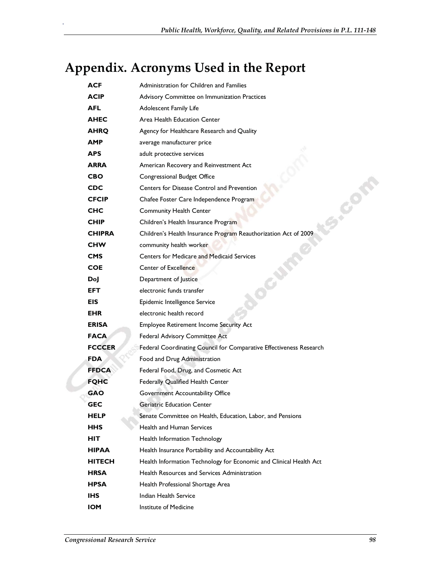# **Appendix. Acronyms Used in the Report**

| ACF           | Administration for Children and Families                            |  |  |
|---------------|---------------------------------------------------------------------|--|--|
| <b>ACIP</b>   | Advisory Committee on Immunization Practices                        |  |  |
| <b>AFL</b>    | Adolescent Family Life                                              |  |  |
| <b>AHEC</b>   | Area Health Education Center                                        |  |  |
| <b>AHRQ</b>   | Agency for Healthcare Research and Quality                          |  |  |
| <b>AMP</b>    | average manufacturer price                                          |  |  |
| <b>APS</b>    | adult protective services                                           |  |  |
| <b>ARRA</b>   | American Recovery and Reinvestment Act                              |  |  |
| <b>CBO</b>    | Congressional Budget Office                                         |  |  |
| <b>CDC</b>    | Centers for Disease Control and Prevention                          |  |  |
| <b>CFCIP</b>  | Chafee Foster Care Independence Program                             |  |  |
| <b>CHC</b>    | <b>Community Health Center</b>                                      |  |  |
| <b>CHIP</b>   | Children's Health Insurance Program                                 |  |  |
| <b>CHIPRA</b> | Children's Health Insurance Program Reauthorization Act of 2009     |  |  |
| <b>CHW</b>    | community health worker                                             |  |  |
| <b>CMS</b>    | <b>Centers for Medicare and Medicaid Services</b>                   |  |  |
| <b>COE</b>    | Center of Excellence                                                |  |  |
| Doj           | Department of Justice                                               |  |  |
| <b>EFT</b>    | electronic funds transfer                                           |  |  |
| EIS.          | Epidemic Intelligence Service                                       |  |  |
| <b>EHR</b>    | electronic health record                                            |  |  |
| <b>ERISA</b>  | <b>Employee Retirement Income Security Act</b>                      |  |  |
| <b>FACA</b>   | Federal Advisory Committee Act                                      |  |  |
| <b>FCCCER</b> | Federal Coordinating Council for Comparative Effectiveness Research |  |  |
| <b>FDA</b>    | Food and Drug Administration                                        |  |  |
| <b>FFDCA</b>  | Federal Food, Drug, and Cosmetic Act                                |  |  |
| <b>FQHC</b>   | Federally Qualified Health Center                                   |  |  |
| <b>GAO</b>    | Government Accountability Office                                    |  |  |
| <b>GEC</b>    | <b>Geriatric Education Center</b>                                   |  |  |
| <b>HELP</b>   | Senate Committee on Health, Education, Labor, and Pensions          |  |  |
| HHS           | <b>Health and Human Services</b>                                    |  |  |
| HIT           | Health Information Technology                                       |  |  |
| <b>HIPAA</b>  | Health Insurance Portability and Accountability Act                 |  |  |
| <b>HITECH</b> | Health Information Technology for Economic and Clinical Health Act  |  |  |
| <b>HRSA</b>   | Health Resources and Services Administration                        |  |  |
| <b>HPSA</b>   | Health Professional Shortage Area                                   |  |  |
| IHS.          | Indian Health Service                                               |  |  |
| <b>IOM</b>    | Institute of Medicine                                               |  |  |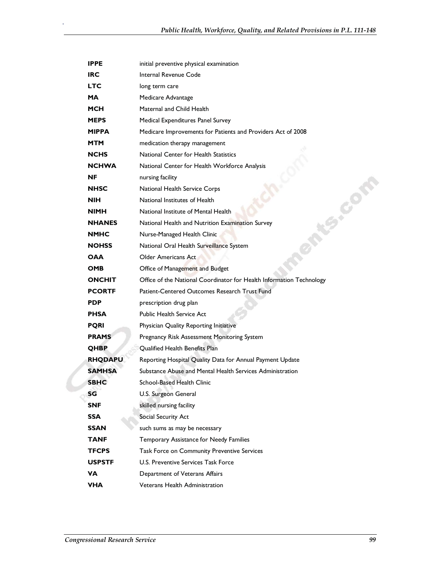| <b>IPPE</b>    | initial preventive physical examination                              |
|----------------|----------------------------------------------------------------------|
| <b>IRC</b>     | Internal Revenue Code                                                |
| <b>LTC</b>     | long term care                                                       |
| <b>MA</b>      | Medicare Advantage                                                   |
| <b>MCH</b>     | Maternal and Child Health                                            |
| <b>MEPS</b>    | Medical Expenditures Panel Survey                                    |
| <b>MIPPA</b>   | Medicare Improvements for Patients and Providers Act of 2008         |
| <b>MTM</b>     | medication therapy management                                        |
| <b>NCHS</b>    | National Center for Health Statistics                                |
| <b>NCHWA</b>   | National Center for Health Workforce Analysis                        |
| <b>NF</b>      | nursing facility                                                     |
| <b>NHSC</b>    | National Health Service Corps                                        |
| <b>NIH</b>     | <b>FSICO</b><br>National Institutes of Health                        |
| <b>NIMH</b>    | National Institute of Mental Health                                  |
| <b>NHANES</b>  | National Health and Nutrition Examination Survey                     |
| <b>NMHC</b>    | Nurse-Managed Health Clinic                                          |
| <b>NOHSS</b>   | National Oral Health Surveillance System                             |
| <b>OAA</b>     | <b>Older Americans Act</b>                                           |
| <b>OMB</b>     | Office of Management and Budget                                      |
| <b>ONCHIT</b>  | Office of the National Coordinator for Health Information Technology |
| <b>PCORTF</b>  | Patient-Centered Outcomes Research Trust Fund                        |
| <b>PDP</b>     | prescription drug plan                                               |
| <b>PHSA</b>    | Public Health Service Act                                            |
| <b>PQRI</b>    | Physician Quality Reporting Initiative                               |
| <b>PRAMS</b>   | Pregnancy Risk Assessment Monitoring System                          |
| <b>QHBP</b>    | Qualified Health Benefits Plan                                       |
| <b>RHQDAPU</b> | Reporting Hospital Quality Data for Annual Payment Update            |
| <b>SAMHSA</b>  | Substance Abuse and Mental Health Services Administration            |
| <b>SBHC</b>    | School-Based Health Clinic                                           |
| SG             | U.S. Surgeon General                                                 |
| <b>SNF</b>     | skilled nursing facility                                             |
| <b>SSA</b>     | Social Security Act                                                  |
| <b>SSAN</b>    | such sums as may be necessary                                        |
| <b>TANF</b>    | Temporary Assistance for Needy Families                              |
| <b>TFCPS</b>   | Task Force on Community Preventive Services                          |
| <b>USPSTF</b>  | U.S. Preventive Services Task Force                                  |
| <b>VA</b>      | Department of Veterans Affairs                                       |
| <b>VHA</b>     | Veterans Health Administration                                       |